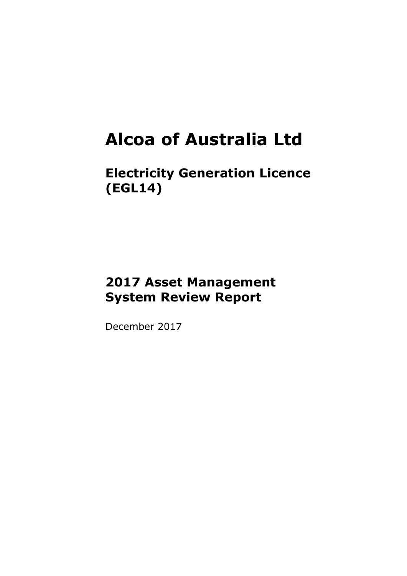### **Alcoa of Australia Ltd**

**Electricity Generation Licence (EGL14)**

### **2017 Asset Management System Review Report**

December 2017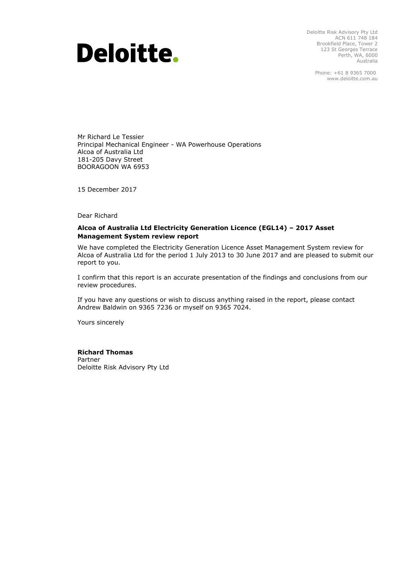## **Deloitte.**

Deloitte Risk Advisory Pty Ltd ACN 611 748 184 Brookfield Place, Tower 2 123 St Georges Terrace Perth, WA, 6000 Australia

> Phone: +61 8 9365 7000 www.deloitte.com.au

Mr Richard Le Tessier Principal Mechanical Engineer - WA Powerhouse Operations Alcoa of Australia Ltd 181-205 Davy Street BOORAGOON WA 6953

15 December 2017

Dear Richard

#### **Alcoa of Australia Ltd Electricity Generation Licence (EGL14) – 2017 Asset Management System review report**

We have completed the Electricity Generation Licence Asset Management System review for Alcoa of Australia Ltd for the period 1 July 2013 to 30 June 2017 and are pleased to submit our report to you.

I confirm that this report is an accurate presentation of the findings and conclusions from our review procedures.

If you have any questions or wish to discuss anything raised in the report, please contact Andrew Baldwin on 9365 7236 or myself on 9365 7024.

Yours sincerely

#### **Richard Thomas**

Partner Deloitte Risk Advisory Pty Ltd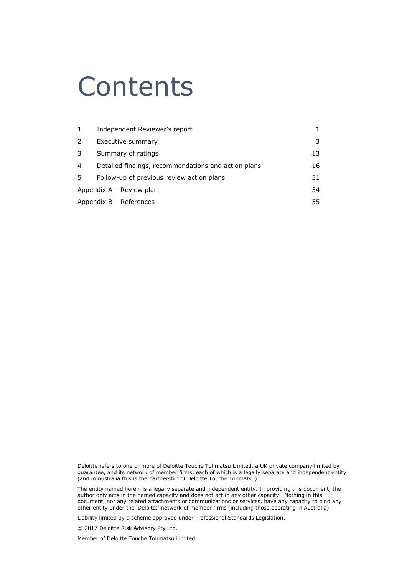### Contents

| $\mathbf{1}$ | Independent Reviewer's report                       |    |  |
|--------------|-----------------------------------------------------|----|--|
| 2            | Executive summary                                   |    |  |
| 3            | Summary of ratings                                  | 13 |  |
| 4            | Detailed findings, recommendations and action plans | 16 |  |
| 5            | Follow-up of previous review action plans           | 51 |  |
|              | Appendix $A -$ Review plan<br>54                    |    |  |
|              | Appendix $B -$ References<br>55                     |    |  |

Deloitte refers to one or more of Deloitte Touche Tohmatsu Limited, a UK private company limited by guarantee, and its network of member firms, each of which is a legally separate and independent entity (and in Australia this is the partnership of Deloitte Touche Tohmatsu).

The entity named herein is a legally separate and independent entity. In providing this document, the author only acts in the named capacity and does not act in any other capacity. Nothing in this document, nor any related attachments or communications or services, have any capacity to bind any other entity under the 'Deloitte' network of member firms (including those operating in Australia).

Liability limited by a scheme approved under Professional Standards Legislation.

© 2017 Deloitte Risk Advisory Pty Ltd.

Member of Deloitte Touche Tohmatsu Limited.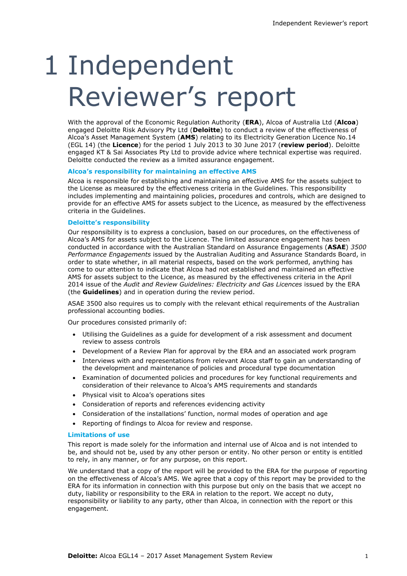# 1 Independent Reviewer's report

With the approval of the Economic Regulation Authority (**ERA**), Alcoa of Australia Ltd (**Alcoa**) engaged Deloitte Risk Advisory Pty Ltd (**Deloitte**) to conduct a review of the effectiveness of Alcoa's Asset Management System (**AMS**) relating to its Electricity Generation Licence No.14 (EGL 14) (the **Licence**) for the period 1 July 2013 to 30 June 2017 (**review period**). Deloitte engaged KT & Sai Associates Pty Ltd to provide advice where technical expertise was required. Deloitte conducted the review as a limited assurance engagement.

#### **Alcoa's responsibility for maintaining an effective AMS**

Alcoa is responsible for establishing and maintaining an effective AMS for the assets subject to the License as measured by the effectiveness criteria in the Guidelines. This responsibility includes implementing and maintaining policies, procedures and controls, which are designed to provide for an effective AMS for assets subject to the Licence, as measured by the effectiveness criteria in the Guidelines.

#### **Deloitte's responsibility**

Our responsibility is to express a conclusion, based on our procedures, on the effectiveness of Alcoa's AMS for assets subject to the Licence. The limited assurance engagement has been conducted in accordance with the Australian Standard on Assurance Engagements (**ASAE**) *3500 Performance Engagements* issued by the Australian Auditing and Assurance Standards Board, in order to state whether, in all material respects, based on the work performed, anything has come to our attention to indicate that Alcoa had not established and maintained an effective AMS for assets subject to the Licence, as measured by the effectiveness criteria in the April 2014 issue of the *Audit and Review Guidelines: Electricity and Gas Licences* issued by the ERA (the **Guidelines**) and in operation during the review period.

ASAE 3500 also requires us to comply with the relevant ethical requirements of the Australian professional accounting bodies.

Our procedures consisted primarily of:

- Utilising the Guidelines as a guide for development of a risk assessment and document review to assess controls
- Development of a Review Plan for approval by the ERA and an associated work program
- Interviews with and representations from relevant Alcoa staff to gain an understanding of the development and maintenance of policies and procedural type documentation
- Examination of documented policies and procedures for key functional requirements and consideration of their relevance to Alcoa's AMS requirements and standards
- Physical visit to Alcoa's operations sites
- Consideration of reports and references evidencing activity
- Consideration of the installations' function, normal modes of operation and age
- Reporting of findings to Alcoa for review and response.

#### **Limitations of use**

This report is made solely for the information and internal use of Alcoa and is not intended to be, and should not be, used by any other person or entity. No other person or entity is entitled to rely, in any manner, or for any purpose, on this report.

We understand that a copy of the report will be provided to the ERA for the purpose of reporting on the effectiveness of Alcoa's AMS. We agree that a copy of this report may be provided to the ERA for its information in connection with this purpose but only on the basis that we accept no duty, liability or responsibility to the ERA in relation to the report. We accept no duty, responsibility or liability to any party, other than Alcoa, in connection with the report or this engagement.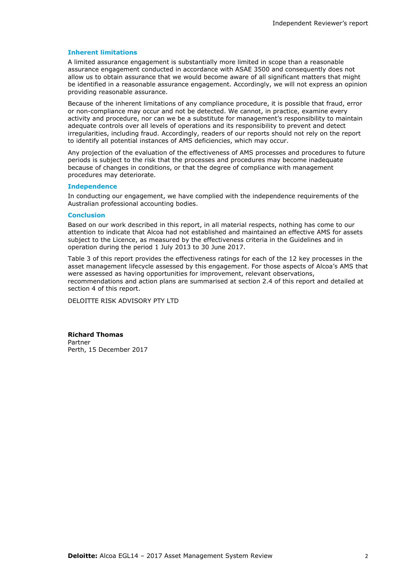#### **Inherent limitations**

A limited assurance engagement is substantially more limited in scope than a reasonable assurance engagement conducted in accordance with ASAE 3500 and consequently does not allow us to obtain assurance that we would become aware of all significant matters that might be identified in a reasonable assurance engagement. Accordingly, we will not express an opinion providing reasonable assurance.

Because of the inherent limitations of any compliance procedure, it is possible that fraud, error or non-compliance may occur and not be detected. We cannot, in practice, examine every activity and procedure, nor can we be a substitute for management's responsibility to maintain adequate controls over all levels of operations and its responsibility to prevent and detect irregularities, including fraud. Accordingly, readers of our reports should not rely on the report to identify all potential instances of AMS deficiencies, which may occur.

Any projection of the evaluation of the effectiveness of AMS processes and procedures to future periods is subject to the risk that the processes and procedures may become inadequate because of changes in conditions, or that the degree of compliance with management procedures may deteriorate.

#### **Independence**

In conducting our engagement, we have complied with the independence requirements of the Australian professional accounting bodies.

#### **Conclusion**

Based on our work described in this report, in all material respects, nothing has come to our attention to indicate that Alcoa had not established and maintained an effective AMS for assets subject to the Licence, as measured by the effectiveness criteria in the Guidelines and in operation during the period 1 July 2013 to 30 June 2017.

Table 3 of this report provides the effectiveness ratings for each of the 12 key processes in the asset management lifecycle assessed by this engagement. For those aspects of Alcoa's AMS that were assessed as having opportunities for improvement, relevant observations, recommendations and action plans are summarised at section 2.4 of this report and detailed at section 4 of this report.

DELOITTE RISK ADVISORY PTY LTD

**Richard Thomas** Partner Perth, 15 December 2017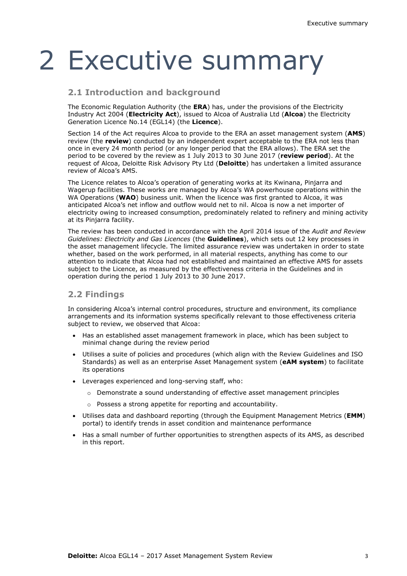## 2 Executive summary

#### **2.1 Introduction and background**

The Economic Regulation Authority (the **ERA**) has, under the provisions of the Electricity Industry Act 2004 (**Electricity Act**), issued to Alcoa of Australia Ltd (**Alcoa**) the Electricity Generation Licence No.14 (EGL14) (the **Licence**).

Section 14 of the Act requires Alcoa to provide to the ERA an asset management system (**AMS**) review (the **review**) conducted by an independent expert acceptable to the ERA not less than once in every 24 month period (or any longer period that the ERA allows). The ERA set the period to be covered by the review as 1 July 2013 to 30 June 2017 (**review period**). At the request of Alcoa, Deloitte Risk Advisory Pty Ltd (**Deloitte**) has undertaken a limited assurance review of Alcoa's AMS.

The Licence relates to Alcoa's operation of generating works at its Kwinana, Pinjarra and Wagerup facilities. These works are managed by Alcoa's WA powerhouse operations within the WA Operations (**WAO**) business unit. When the licence was first granted to Alcoa, it was anticipated Alcoa's net inflow and outflow would net to nil. Alcoa is now a net importer of electricity owing to increased consumption, predominately related to refinery and mining activity at its Pinjarra facility.

The review has been conducted in accordance with the April 2014 issue of the *Audit and Review Guidelines: Electricity and Gas Licences* (the **Guidelines**), which sets out 12 key processes in the asset management lifecycle. The limited assurance review was undertaken in order to state whether, based on the work performed, in all material respects, anything has come to our attention to indicate that Alcoa had not established and maintained an effective AMS for assets subject to the Licence, as measured by the effectiveness criteria in the Guidelines and in operation during the period 1 July 2013 to 30 June 2017.

#### **2.2 Findings**

In considering Alcoa's internal control procedures, structure and environment, its compliance arrangements and its information systems specifically relevant to those effectiveness criteria subject to review, we observed that Alcoa:

- Has an established asset management framework in place, which has been subject to minimal change during the review period
- Utilises a suite of policies and procedures (which align with the Review Guidelines and ISO Standards) as well as an enterprise Asset Management system (**eAM system**) to facilitate its operations
- Leverages experienced and long-serving staff, who:
	- o Demonstrate a sound understanding of effective asset management principles
	- o Possess a strong appetite for reporting and accountability.
- Utilises data and dashboard reporting (through the Equipment Management Metrics (**EMM**) portal) to identify trends in asset condition and maintenance performance
- Has a small number of further opportunities to strengthen aspects of its AMS, as described in this report.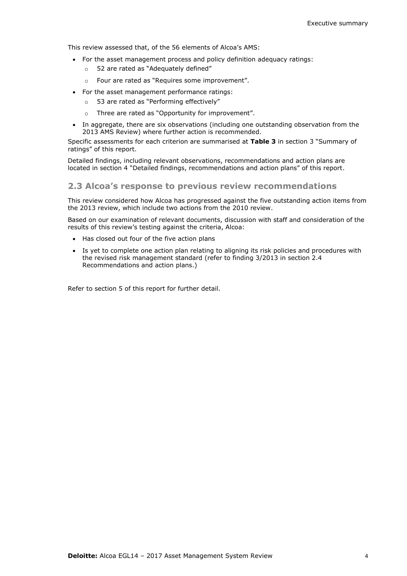This review assessed that, of the 56 elements of Alcoa's AMS:

- For the asset management process and policy definition adequacy ratings:
	- o 52 are rated as "Adequately defined"
	- o Four are rated as "Requires some improvement".
- For the asset management performance ratings:
	- o 53 are rated as "Performing effectively"
	- o Three are rated as "Opportunity for improvement".
- In aggregate, there are six observations (including one outstanding observation from the 2013 AMS Review) where further action is recommended.

Specific assessments for each criterion are summarised at **Table 3** in section 3 "Summary of ratings" of this report.

Detailed findings, including relevant observations, recommendations and action plans are located in section 4 "Detailed findings, recommendations and action plans" of this report.

#### **2.3 Alcoa's response to previous review recommendations**

This review considered how Alcoa has progressed against the five outstanding action items from the 2013 review, which include two actions from the 2010 review.

Based on our examination of relevant documents, discussion with staff and consideration of the results of this review's testing against the criteria, Alcoa:

- Has closed out four of the five action plans
- Is yet to complete one action plan relating to aligning its risk policies and procedures with the revised risk management standard (refer to finding 3/2013 in section 2.4 Recommendations and action plans.)

Refer to section 5 of this report for further detail.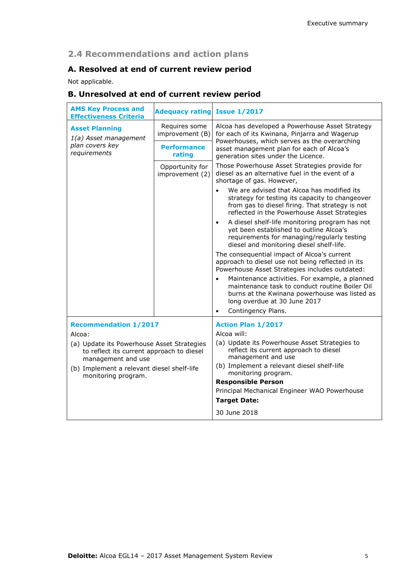#### **2.4 Recommendations and action plans**

#### **A. Resolved at end of current review period**

Not applicable.

#### **B. Unresolved at end of current review period**

| <b>AMS Key Process and</b><br><b>Effectiveness Criteria</b>                                                                                                                                  | <b>Adequacy rating Issue 1/2017</b> |                                                                                                                                                                                                                                                                                                       |  |
|----------------------------------------------------------------------------------------------------------------------------------------------------------------------------------------------|-------------------------------------|-------------------------------------------------------------------------------------------------------------------------------------------------------------------------------------------------------------------------------------------------------------------------------------------------------|--|
| <b>Asset Planning</b><br>1(a) Asset management                                                                                                                                               | Requires some<br>improvement (B)    | Alcoa has developed a Powerhouse Asset Strategy<br>for each of its Kwinana, Pinjarra and Wagerup                                                                                                                                                                                                      |  |
| plan covers key<br>requirements                                                                                                                                                              | <b>Performance</b><br>rating        | Powerhouses, which serves as the overarching<br>asset management plan for each of Alcoa's<br>generation sites under the Licence.                                                                                                                                                                      |  |
|                                                                                                                                                                                              | Opportunity for<br>improvement (2)  | Those Powerhouse Asset Strategies provide for<br>diesel as an alternative fuel in the event of a<br>shortage of gas. However,                                                                                                                                                                         |  |
|                                                                                                                                                                                              |                                     | We are advised that Alcoa has modified its<br>$\bullet$<br>strategy for testing its capacity to changeover<br>from gas to diesel firing. That strategy is not<br>reflected in the Powerhouse Asset Strategies                                                                                         |  |
|                                                                                                                                                                                              |                                     | A diesel shelf-life monitoring program has not<br>$\bullet$<br>yet been established to outline Alcoa's<br>requirements for managing/regularly testing<br>diesel and monitoring diesel shelf-life.                                                                                                     |  |
|                                                                                                                                                                                              |                                     | The consequential impact of Alcoa's current<br>approach to diesel use not being reflected in its<br>Powerhouse Asset Strategies includes outdated:                                                                                                                                                    |  |
|                                                                                                                                                                                              |                                     | Maintenance activities. For example, a planned<br>$\bullet$<br>maintenance task to conduct routine Boiler Oil<br>burns at the Kwinana powerhouse was listed as<br>long overdue at 30 June 2017                                                                                                        |  |
|                                                                                                                                                                                              |                                     | Contingency Plans.<br>$\bullet$                                                                                                                                                                                                                                                                       |  |
| <b>Recommendation 1/2017</b>                                                                                                                                                                 |                                     | <b>Action Plan 1/2017</b>                                                                                                                                                                                                                                                                             |  |
| Alcoa:<br>(a) Update its Powerhouse Asset Strategies<br>to reflect its current approach to diesel<br>management and use<br>(b) Implement a relevant diesel shelf-life<br>monitoring program. |                                     | Alcoa will:<br>(a) Update its Powerhouse Asset Strategies to<br>reflect its current approach to diesel<br>management and use<br>(b) Implement a relevant diesel shelf-life<br>monitoring program.<br><b>Responsible Person</b><br>Principal Mechanical Engineer WAO Powerhouse<br><b>Target Date:</b> |  |
|                                                                                                                                                                                              |                                     | 30 June 2018                                                                                                                                                                                                                                                                                          |  |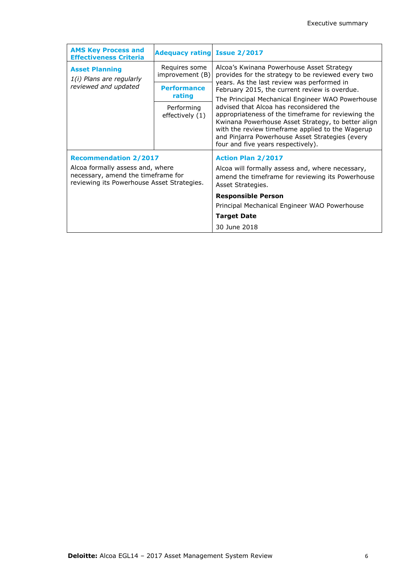| <b>AMS Key Process and</b><br><b>Effectiveness Criteria</b>                                                                                          | <b>Adequacy rating Issue 2/2017</b> |                                                                                                                                                                                                                                                                                                                                                      |
|------------------------------------------------------------------------------------------------------------------------------------------------------|-------------------------------------|------------------------------------------------------------------------------------------------------------------------------------------------------------------------------------------------------------------------------------------------------------------------------------------------------------------------------------------------------|
| <b>Asset Planning</b><br>1(i) Plans are regularly                                                                                                    | Requires some<br>improvement (B)    | Alcoa's Kwinana Powerhouse Asset Strategy<br>provides for the strategy to be reviewed every two                                                                                                                                                                                                                                                      |
| reviewed and updated                                                                                                                                 | <b>Performance</b><br>rating        | years. As the last review was performed in<br>February 2015, the current review is overdue.                                                                                                                                                                                                                                                          |
|                                                                                                                                                      | Performing<br>effectively (1)       | The Principal Mechanical Engineer WAO Powerhouse<br>advised that Alcoa has reconsidered the<br>appropriateness of the timeframe for reviewing the<br>Kwinana Powerhouse Asset Strategy, to better align<br>with the review timeframe applied to the Wagerup<br>and Pinjarra Powerhouse Asset Strategies (every<br>four and five years respectively). |
| <b>Recommendation 2/2017</b><br>Alcoa formally assess and, where<br>necessary, amend the timeframe for<br>reviewing its Powerhouse Asset Strategies. |                                     | <b>Action Plan 2/2017</b><br>Alcoa will formally assess and, where necessary,<br>amend the timeframe for reviewing its Powerhouse<br>Asset Strategies.                                                                                                                                                                                               |
|                                                                                                                                                      |                                     | <b>Responsible Person</b><br>Principal Mechanical Engineer WAO Powerhouse                                                                                                                                                                                                                                                                            |
|                                                                                                                                                      |                                     | <b>Target Date</b>                                                                                                                                                                                                                                                                                                                                   |
|                                                                                                                                                      |                                     | 30 June 2018                                                                                                                                                                                                                                                                                                                                         |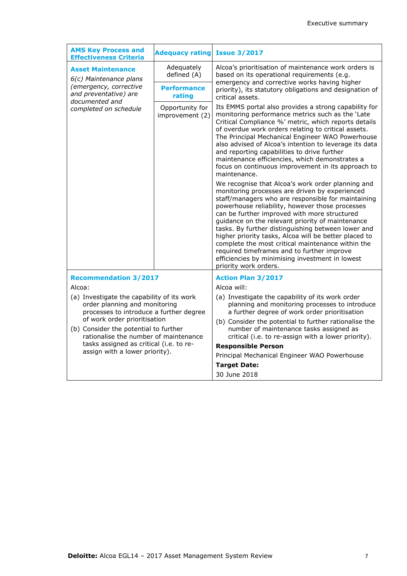| <b>AMS Key Process and</b><br><b>Effectiveness Criteria</b>                                                                                                                                                                              | <b>Adequacy rating</b>             | <b>Issue 3/2017</b>                                                                                                                                                                                                                                                                                                                                                                                                                                                                                                                                                                                            |  |
|------------------------------------------------------------------------------------------------------------------------------------------------------------------------------------------------------------------------------------------|------------------------------------|----------------------------------------------------------------------------------------------------------------------------------------------------------------------------------------------------------------------------------------------------------------------------------------------------------------------------------------------------------------------------------------------------------------------------------------------------------------------------------------------------------------------------------------------------------------------------------------------------------------|--|
| <b>Asset Maintenance</b><br>6(c) Maintenance plans                                                                                                                                                                                       | Adequately<br>defined (A)          | Alcoa's prioritisation of maintenance work orders is<br>based on its operational requirements (e.g.                                                                                                                                                                                                                                                                                                                                                                                                                                                                                                            |  |
| (emergency, corrective<br>and preventative) are<br>documented and                                                                                                                                                                        | <b>Performance</b><br>rating       | emergency and corrective works having higher<br>priority), its statutory obligations and designation of<br>critical assets.                                                                                                                                                                                                                                                                                                                                                                                                                                                                                    |  |
| completed on schedule                                                                                                                                                                                                                    | Opportunity for<br>improvement (2) | Its EMMS portal also provides a strong capability for<br>monitoring performance metrics such as the 'Late<br>Critical Compliance %' metric, which reports details<br>of overdue work orders relating to critical assets.<br>The Principal Mechanical Engineer WAO Powerhouse<br>also advised of Alcoa's intention to leverage its data<br>and reporting capabilities to drive further<br>maintenance efficiencies, which demonstrates a<br>focus on continuous improvement in its approach to<br>maintenance.                                                                                                  |  |
|                                                                                                                                                                                                                                          |                                    | We recognise that Alcoa's work order planning and<br>monitoring processes are driven by experienced<br>staff/managers who are responsible for maintaining<br>powerhouse reliability, however those processes<br>can be further improved with more structured<br>guidance on the relevant priority of maintenance<br>tasks. By further distinguishing between lower and<br>higher priority tasks, Alcoa will be better placed to<br>complete the most critical maintenance within the<br>required timeframes and to further improve<br>efficiencies by minimising investment in lowest<br>priority work orders. |  |
| <b>Recommendation 3/2017</b>                                                                                                                                                                                                             |                                    | <b>Action Plan 3/2017</b>                                                                                                                                                                                                                                                                                                                                                                                                                                                                                                                                                                                      |  |
| Alcoa:                                                                                                                                                                                                                                   |                                    | Alcoa will:                                                                                                                                                                                                                                                                                                                                                                                                                                                                                                                                                                                                    |  |
| (a) Investigate the capability of its work<br>order planning and monitoring<br>processes to introduce a further degree<br>of work order prioritisation<br>(b) Consider the potential to further<br>rationalise the number of maintenance |                                    | (a) Investigate the capability of its work order<br>planning and monitoring processes to introduce<br>a further degree of work order prioritisation<br>(b) Consider the potential to further rationalise the<br>number of maintenance tasks assigned as<br>critical (i.e. to re-assign with a lower priority).                                                                                                                                                                                                                                                                                                 |  |
| tasks assigned as critical (i.e. to re-<br>assign with a lower priority).                                                                                                                                                                |                                    | <b>Responsible Person</b>                                                                                                                                                                                                                                                                                                                                                                                                                                                                                                                                                                                      |  |
|                                                                                                                                                                                                                                          |                                    | Principal Mechanical Engineer WAO Powerhouse                                                                                                                                                                                                                                                                                                                                                                                                                                                                                                                                                                   |  |
|                                                                                                                                                                                                                                          |                                    | <b>Target Date:</b>                                                                                                                                                                                                                                                                                                                                                                                                                                                                                                                                                                                            |  |
|                                                                                                                                                                                                                                          |                                    | 30 June 2018                                                                                                                                                                                                                                                                                                                                                                                                                                                                                                                                                                                                   |  |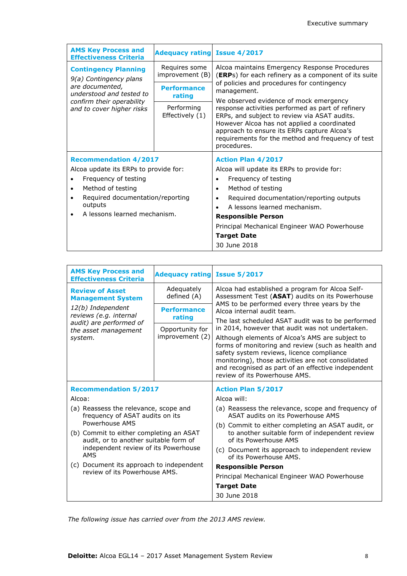| <b>AMS Key Process and</b><br><b>Effectiveness Criteria</b> | <b>Adequacy rating Issue 4/2017</b> |                                                                                                                                                                                                                                                                                                               |
|-------------------------------------------------------------|-------------------------------------|---------------------------------------------------------------------------------------------------------------------------------------------------------------------------------------------------------------------------------------------------------------------------------------------------------------|
| <b>Contingency Planning</b><br>9(a) Contingency plans       | Requires some<br>improvement (B)    | Alcoa maintains Emergency Response Procedures<br>(ERPs) for each refinery as a component of its suite<br>of policies and procedures for contingency<br>management.                                                                                                                                            |
| are documented,<br>understood and tested to                 | <b>Performance</b><br>rating        |                                                                                                                                                                                                                                                                                                               |
| confirm their operability<br>and to cover higher risks      | Performing<br>Effectively (1)       | We observed evidence of mock emergency<br>response activities performed as part of refinery<br>ERPs, and subject to review via ASAT audits.<br>However Alcoa has not applied a coordinated<br>approach to ensure its ERPs capture Alcoa's<br>requirements for the method and frequency of test<br>procedures. |
| <b>Recommendation 4/2017</b>                                |                                     | <b>Action Plan 4/2017</b>                                                                                                                                                                                                                                                                                     |
| Alcoa update its ERPs to provide for:                       |                                     | Alcoa will update its ERPs to provide for:                                                                                                                                                                                                                                                                    |
| Frequency of testing                                        |                                     | Frequency of testing<br>$\bullet$                                                                                                                                                                                                                                                                             |
| Method of testing<br>$\bullet$                              |                                     | Method of testing<br>$\bullet$                                                                                                                                                                                                                                                                                |
| Required documentation/reporting                            |                                     | Required documentation/reporting outputs                                                                                                                                                                                                                                                                      |
| outputs                                                     |                                     | A lessons learned mechanism.                                                                                                                                                                                                                                                                                  |
| A lessons learned mechanism.                                |                                     | <b>Responsible Person</b>                                                                                                                                                                                                                                                                                     |
|                                                             |                                     | Principal Mechanical Engineer WAO Powerhouse                                                                                                                                                                                                                                                                  |
|                                                             |                                     | <b>Target Date</b>                                                                                                                                                                                                                                                                                            |
|                                                             |                                     | 30 June 2018                                                                                                                                                                                                                                                                                                  |

| <b>AMS Key Process and</b><br><b>Effectiveness Criteria</b>                                                                            | <b>Adequacy rating Issue 5/2017</b> |                                                                                                                                                                                                                                                                                                 |
|----------------------------------------------------------------------------------------------------------------------------------------|-------------------------------------|-------------------------------------------------------------------------------------------------------------------------------------------------------------------------------------------------------------------------------------------------------------------------------------------------|
| <b>Review of Asset</b><br><b>Management System</b>                                                                                     | Adequately<br>defined (A)           | Alcoa had established a program for Alcoa Self-<br>Assessment Test (ASAT) audits on its Powerhouse                                                                                                                                                                                              |
| 12(b) Independent<br>reviews (e.g. internal<br>audit) are performed of                                                                 | <b>Performance</b><br>rating        | AMS to be performed every three years by the<br>Alcoa internal audit team.<br>The last scheduled ASAT audit was to be performed                                                                                                                                                                 |
| the asset management                                                                                                                   | Opportunity for                     | in 2014, however that audit was not undertaken.                                                                                                                                                                                                                                                 |
| system.                                                                                                                                | improvement (2)                     | Although elements of Alcoa's AMS are subject to<br>forms of monitoring and review (such as health and<br>safety system reviews, licence compliance<br>monitoring), those activities are not consolidated<br>and recognised as part of an effective independent<br>review of its Powerhouse AMS. |
| <b>Recommendation 5/2017</b>                                                                                                           |                                     | <b>Action Plan 5/2017</b>                                                                                                                                                                                                                                                                       |
| Alcoa:                                                                                                                                 |                                     | Alcoa will:                                                                                                                                                                                                                                                                                     |
| (a) Reassess the relevance, scope and<br>frequency of ASAT audits on its                                                               |                                     | (a) Reassess the relevance, scope and frequency of<br>ASAT audits on its Powerhouse AMS                                                                                                                                                                                                         |
| Powerhouse AMS                                                                                                                         |                                     | (b) Commit to either completing an ASAT audit, or                                                                                                                                                                                                                                               |
| (b) Commit to either completing an ASAT<br>audit, or to another suitable form of<br>independent review of its Powerhouse<br><b>AMS</b> |                                     | to another suitable form of independent review<br>of its Powerhouse AMS                                                                                                                                                                                                                         |
|                                                                                                                                        |                                     | (c) Document its approach to independent review<br>of its Powerhouse AMS.                                                                                                                                                                                                                       |
| (c) Document its approach to independent                                                                                               |                                     | <b>Responsible Person</b>                                                                                                                                                                                                                                                                       |
| review of its Powerhouse AMS.                                                                                                          |                                     | Principal Mechanical Engineer WAO Powerhouse                                                                                                                                                                                                                                                    |
|                                                                                                                                        |                                     | <b>Target Date</b>                                                                                                                                                                                                                                                                              |
|                                                                                                                                        |                                     | 30 June 2018                                                                                                                                                                                                                                                                                    |

*The following issue has carried over from the 2013 AMS review.*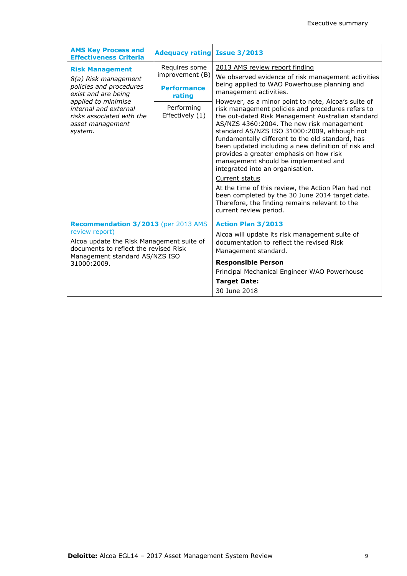| <b>AMS Key Process and</b><br><b>Effectiveness Criteria</b>                                              | <b>Adequacy rating</b>                          | <b>Issue 3/2013</b>                                                                                                                                                                                                                                                                                                                                                                                                                                                                                                                                                                                                                                                                                  |
|----------------------------------------------------------------------------------------------------------|-------------------------------------------------|------------------------------------------------------------------------------------------------------------------------------------------------------------------------------------------------------------------------------------------------------------------------------------------------------------------------------------------------------------------------------------------------------------------------------------------------------------------------------------------------------------------------------------------------------------------------------------------------------------------------------------------------------------------------------------------------------|
| <b>Risk Management</b>                                                                                   | Requires some                                   | 2013 AMS review report finding                                                                                                                                                                                                                                                                                                                                                                                                                                                                                                                                                                                                                                                                       |
| 8(a) Risk management<br>policies and procedures<br>exist and are being                                   | improvement (B)<br><b>Performance</b><br>rating | We observed evidence of risk management activities<br>being applied to WAO Powerhouse planning and<br>management activities.                                                                                                                                                                                                                                                                                                                                                                                                                                                                                                                                                                         |
| applied to minimise<br>internal and external<br>risks associated with the<br>asset management<br>system. | Performing<br>Effectively (1)                   | However, as a minor point to note, Alcoa's suite of<br>risk management policies and procedures refers to<br>the out-dated Risk Management Australian standard<br>AS/NZS 4360:2004. The new risk management<br>standard AS/NZS ISO 31000:2009, although not<br>fundamentally different to the old standard, has<br>been updated including a new definition of risk and<br>provides a greater emphasis on how risk<br>management should be implemented and<br>integrated into an organisation.<br>Current status<br>At the time of this review, the Action Plan had not<br>been completed by the 30 June 2014 target date.<br>Therefore, the finding remains relevant to the<br>current review period. |
| Recommendation 3/2013 (per 2013 AMS<br>review report)                                                    |                                                 | <b>Action Plan 3/2013</b>                                                                                                                                                                                                                                                                                                                                                                                                                                                                                                                                                                                                                                                                            |
| Alcoa update the Risk Management suite of<br>documents to reflect the revised Risk                       |                                                 | Alcoa will update its risk management suite of<br>documentation to reflect the revised Risk<br>Management standard.                                                                                                                                                                                                                                                                                                                                                                                                                                                                                                                                                                                  |
| Management standard AS/NZS ISO<br>31000:2009.                                                            |                                                 | <b>Responsible Person</b>                                                                                                                                                                                                                                                                                                                                                                                                                                                                                                                                                                                                                                                                            |
|                                                                                                          |                                                 | Principal Mechanical Engineer WAO Powerhouse                                                                                                                                                                                                                                                                                                                                                                                                                                                                                                                                                                                                                                                         |
|                                                                                                          |                                                 | <b>Target Date:</b>                                                                                                                                                                                                                                                                                                                                                                                                                                                                                                                                                                                                                                                                                  |
|                                                                                                          |                                                 | 30 June 2018                                                                                                                                                                                                                                                                                                                                                                                                                                                                                                                                                                                                                                                                                         |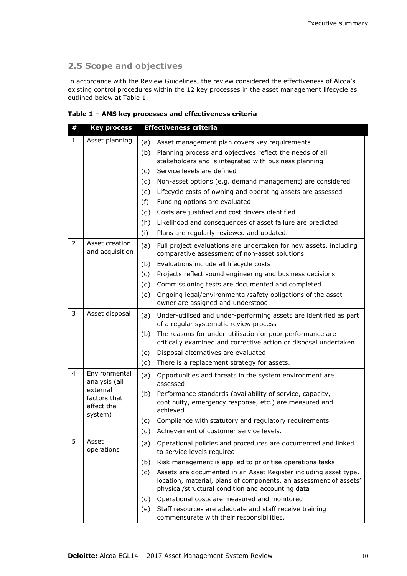#### **2.5 Scope and objectives**

In accordance with the Review Guidelines, the review considered the effectiveness of Alcoa's existing control procedures within the 12 key processes in the asset management lifecycle as outlined below at Table 1.

|  |  |  |  | Table 1 - AMS key processes and effectiveness criteria |
|--|--|--|--|--------------------------------------------------------|
|--|--|--|--|--------------------------------------------------------|

| # | <b>Key process</b>                                | <b>Effectiveness criteria</b>                                                                                                                                                                     |  |
|---|---------------------------------------------------|---------------------------------------------------------------------------------------------------------------------------------------------------------------------------------------------------|--|
| 1 | Asset planning                                    | (a)<br>Asset management plan covers key requirements                                                                                                                                              |  |
|   |                                                   | Planning process and objectives reflect the needs of all<br>(b)                                                                                                                                   |  |
|   |                                                   | stakeholders and is integrated with business planning                                                                                                                                             |  |
|   |                                                   | Service levels are defined<br>(c)                                                                                                                                                                 |  |
|   |                                                   | (d)<br>Non-asset options (e.g. demand management) are considered                                                                                                                                  |  |
|   |                                                   | Lifecycle costs of owning and operating assets are assessed<br>(e)                                                                                                                                |  |
|   |                                                   | Funding options are evaluated                                                                                                                                                                     |  |
|   |                                                   | Costs are justified and cost drivers identified<br>(g)                                                                                                                                            |  |
|   |                                                   | (h)<br>Likelihood and consequences of asset failure are predicted                                                                                                                                 |  |
|   |                                                   | Plans are regularly reviewed and updated.                                                                                                                                                         |  |
| 2 | Asset creation<br>and acquisition                 | (a)<br>Full project evaluations are undertaken for new assets, including<br>comparative assessment of non-asset solutions                                                                         |  |
|   |                                                   | Evaluations include all lifecycle costs<br>(b)                                                                                                                                                    |  |
|   |                                                   | Projects reflect sound engineering and business decisions<br>(c)                                                                                                                                  |  |
|   |                                                   | (d)<br>Commissioning tests are documented and completed                                                                                                                                           |  |
|   |                                                   | (e)<br>Ongoing legal/environmental/safety obligations of the asset<br>owner are assigned and understood.                                                                                          |  |
| 3 | Asset disposal                                    | Under-utilised and under-performing assets are identified as part<br>(a)<br>of a regular systematic review process                                                                                |  |
|   |                                                   | The reasons for under-utilisation or poor performance are<br>(b)<br>critically examined and corrective action or disposal undertaken                                                              |  |
|   |                                                   | Disposal alternatives are evaluated<br>(c)                                                                                                                                                        |  |
|   |                                                   | (d)<br>There is a replacement strategy for assets.                                                                                                                                                |  |
| 4 | Environmental<br>analysis (all                    | (a)<br>Opportunities and threats in the system environment are<br>assessed                                                                                                                        |  |
|   | external<br>factors that<br>affect the<br>system) | Performance standards (availability of service, capacity,<br>(b)<br>continuity, emergency response, etc.) are measured and<br>achieved                                                            |  |
|   |                                                   | Compliance with statutory and regulatory requirements<br>(c)                                                                                                                                      |  |
|   |                                                   | (d) Achievement of customer service levels.                                                                                                                                                       |  |
| 5 | Asset<br>operations                               | Operational policies and procedures are documented and linked<br>(a)<br>to service levels required                                                                                                |  |
|   |                                                   | Risk management is applied to prioritise operations tasks<br>(b)                                                                                                                                  |  |
|   |                                                   | Assets are documented in an Asset Register including asset type,<br>(c)<br>location, material, plans of components, an assessment of assets'<br>physical/structural condition and accounting data |  |
|   |                                                   | Operational costs are measured and monitored<br>(d)                                                                                                                                               |  |
|   |                                                   | Staff resources are adequate and staff receive training<br>(e)<br>commensurate with their responsibilities.                                                                                       |  |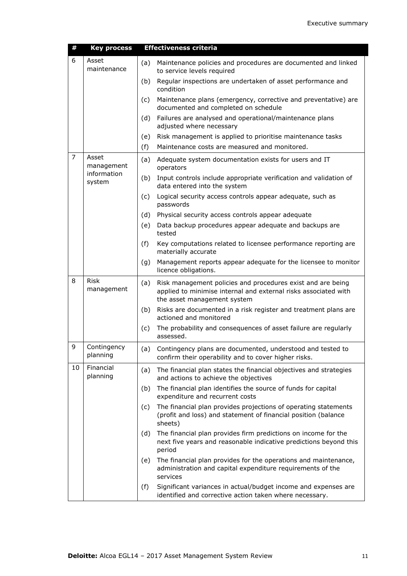| #  | <b>Key process</b>        |     | <b>Effectiveness criteria</b>                                                                                                                                 |
|----|---------------------------|-----|---------------------------------------------------------------------------------------------------------------------------------------------------------------|
| 6  | Asset<br>maintenance      | (a) | Maintenance policies and procedures are documented and linked<br>to service levels required                                                                   |
|    |                           | (b) | Regular inspections are undertaken of asset performance and<br>condition                                                                                      |
|    |                           | (c) | Maintenance plans (emergency, corrective and preventative) are<br>documented and completed on schedule                                                        |
|    |                           | (d) | Failures are analysed and operational/maintenance plans<br>adjusted where necessary                                                                           |
|    |                           | (e) | Risk management is applied to prioritise maintenance tasks                                                                                                    |
|    |                           | (f) | Maintenance costs are measured and monitored.                                                                                                                 |
| 7  | Asset<br>management       | (a) | Adequate system documentation exists for users and IT<br>operators                                                                                            |
|    | information<br>system     | (b) | Input controls include appropriate verification and validation of<br>data entered into the system                                                             |
|    |                           | (c) | Logical security access controls appear adequate, such as<br>passwords                                                                                        |
|    |                           | (d) | Physical security access controls appear adequate                                                                                                             |
|    |                           | (e) | Data backup procedures appear adequate and backups are<br>tested                                                                                              |
|    |                           | (f) | Key computations related to licensee performance reporting are<br>materially accurate                                                                         |
|    |                           | (g) | Management reports appear adequate for the licensee to monitor<br>licence obligations.                                                                        |
| 8  | <b>Risk</b><br>management | (a) | Risk management policies and procedures exist and are being<br>applied to minimise internal and external risks associated with<br>the asset management system |
|    |                           | (b) | Risks are documented in a risk register and treatment plans are<br>actioned and monitored                                                                     |
|    |                           | (c) | The probability and consequences of asset failure are regularly<br>assessed.                                                                                  |
| 9  | Contingency<br>planning   | (a) | Contingency plans are documented, understood and tested to<br>confirm their operability and to cover higher risks.                                            |
| 10 | Financial<br>planning     | (a) | The financial plan states the financial objectives and strategies<br>and actions to achieve the objectives                                                    |
|    |                           | (b) | The financial plan identifies the source of funds for capital<br>expenditure and recurrent costs                                                              |
|    |                           | (c) | The financial plan provides projections of operating statements<br>(profit and loss) and statement of financial position (balance<br>sheets)                  |
|    |                           | (d) | The financial plan provides firm predictions on income for the<br>next five years and reasonable indicative predictions beyond this<br>period                 |
|    |                           | (e) | The financial plan provides for the operations and maintenance,<br>administration and capital expenditure requirements of the<br>services                     |
|    |                           | (f) | Significant variances in actual/budget income and expenses are<br>identified and corrective action taken where necessary.                                     |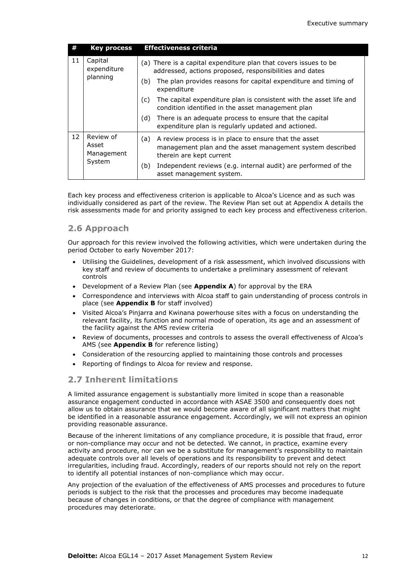| #  | <b>Key process</b>                         | <b>Effectiveness criteria</b>                                                                                                                                                                                        |
|----|--------------------------------------------|----------------------------------------------------------------------------------------------------------------------------------------------------------------------------------------------------------------------|
| 11 | Capital<br>expenditure<br>planning         | (a) There is a capital expenditure plan that covers issues to be<br>addressed, actions proposed, responsibilities and dates<br>The plan provides reasons for capital expenditure and timing of<br>(b)<br>expenditure |
|    |                                            | The capital expenditure plan is consistent with the asset life and<br>(c)<br>condition identified in the asset management plan                                                                                       |
|    |                                            | There is an adequate process to ensure that the capital<br>(d)<br>expenditure plan is regularly updated and actioned.                                                                                                |
| 12 | Review of<br>Asset<br>Management<br>System | A review process is in place to ensure that the asset<br>(a)<br>management plan and the asset management system described<br>therein are kept current                                                                |
|    |                                            | Independent reviews (e.g. internal audit) are performed of the<br>(b)<br>asset management system.                                                                                                                    |

Each key process and effectiveness criterion is applicable to Alcoa's Licence and as such was individually considered as part of the review. The Review Plan set out at Appendix A details the risk assessments made for and priority assigned to each key process and effectiveness criterion.

#### **2.6 Approach**

Our approach for this review involved the following activities, which were undertaken during the period October to early November 2017:

- Utilising the Guidelines, development of a risk assessment, which involved discussions with key staff and review of documents to undertake a preliminary assessment of relevant controls
- Development of a Review Plan (see **Appendix A**) for approval by the ERA
- Correspondence and interviews with Alcoa staff to gain understanding of process controls in place (see **Appendix B** for staff involved)
- Visited Alcoa's Pinjarra and Kwinana powerhouse sites with a focus on understanding the relevant facility, its function and normal mode of operation, its age and an assessment of the facility against the AMS review criteria
- Review of documents, processes and controls to assess the overall effectiveness of Alcoa's AMS (see **Appendix B** for reference listing)
- Consideration of the resourcing applied to maintaining those controls and processes
- Reporting of findings to Alcoa for review and response.

#### **2.7 Inherent limitations**

A limited assurance engagement is substantially more limited in scope than a reasonable assurance engagement conducted in accordance with ASAE 3500 and consequently does not allow us to obtain assurance that we would become aware of all significant matters that might be identified in a reasonable assurance engagement. Accordingly, we will not express an opinion providing reasonable assurance.

Because of the inherent limitations of any compliance procedure, it is possible that fraud, error or non-compliance may occur and not be detected. We cannot, in practice, examine every activity and procedure, nor can we be a substitute for management's responsibility to maintain adequate controls over all levels of operations and its responsibility to prevent and detect irregularities, including fraud. Accordingly, readers of our reports should not rely on the report to identify all potential instances of non-compliance which may occur.

Any projection of the evaluation of the effectiveness of AMS processes and procedures to future periods is subject to the risk that the processes and procedures may become inadequate because of changes in conditions, or that the degree of compliance with management procedures may deteriorate.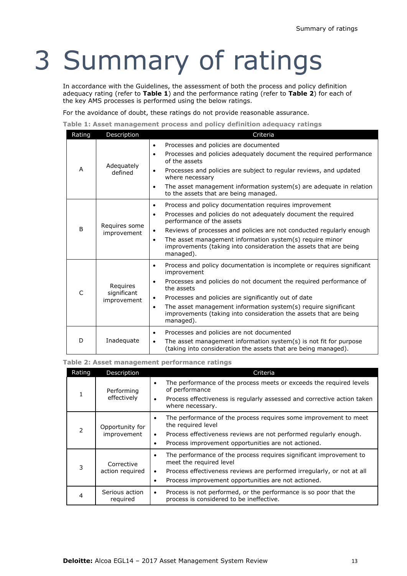# 3 Summary of ratings

In accordance with the Guidelines, the assessment of both the process and policy definition adequacy rating (refer to **Table 1**) and the performance rating (refer to **Table 2**) for each of the key AMS processes is performed using the below ratings.

For the avoidance of doubt, these ratings do not provide reasonable assurance.

**Table 1: Asset management process and policy definition adequacy ratings**

| Rating | Description                            | Criteria                                                                                                                                                                                                                                                                                                                                                                                                                  |
|--------|----------------------------------------|---------------------------------------------------------------------------------------------------------------------------------------------------------------------------------------------------------------------------------------------------------------------------------------------------------------------------------------------------------------------------------------------------------------------------|
| A      | Adequately<br>defined                  | Processes and policies are documented<br>٠<br>Processes and policies adequately document the required performance<br>$\bullet$<br>of the assets<br>Processes and policies are subject to regular reviews, and updated<br>٠<br>where necessary<br>The asset management information system(s) are adequate in relation<br>$\bullet$<br>to the assets that are being managed.                                                |
| B      | Requires some<br>improvement           | Process and policy documentation requires improvement<br>$\bullet$<br>Processes and policies do not adequately document the required<br>$\bullet$<br>performance of the assets<br>Reviews of processes and policies are not conducted regularly enough<br>٠<br>The asset management information system(s) require minor<br>٠<br>improvements (taking into consideration the assets that are being<br>managed).            |
| C      | Requires<br>significant<br>improvement | Process and policy documentation is incomplete or requires significant<br>٠<br>improvement<br>Processes and policies do not document the required performance of<br>$\bullet$<br>the assets<br>Processes and policies are significantly out of date<br>٠<br>The asset management information system(s) require significant<br>$\bullet$<br>improvements (taking into consideration the assets that are being<br>managed). |
| D      | Inadequate                             | Processes and policies are not documented<br>$\bullet$<br>The asset management information system(s) is not fit for purpose<br>$\bullet$<br>(taking into consideration the assets that are being managed).                                                                                                                                                                                                                |

#### **Table 2: Asset management performance ratings**

|               | Rating                         | Description                                                                                                                                                                                                                                       | Criteria                                                                                                                                                                                                                                                 |
|---------------|--------------------------------|---------------------------------------------------------------------------------------------------------------------------------------------------------------------------------------------------------------------------------------------------|----------------------------------------------------------------------------------------------------------------------------------------------------------------------------------------------------------------------------------------------------------|
|               |                                | Performing<br>effectively                                                                                                                                                                                                                         | The performance of the process meets or exceeds the required levels<br>$\bullet$<br>of performance<br>Process effectiveness is regularly assessed and corrective action taken<br>٠<br>where necessary.                                                   |
| $\mathcal{P}$ | Opportunity for<br>improvement | The performance of the process requires some improvement to meet<br>$\bullet$<br>the required level<br>Process effectiveness reviews are not performed regularly enough.<br>٠<br>Process improvement opportunities are not actioned.<br>$\bullet$ |                                                                                                                                                                                                                                                          |
| 3<br>4        |                                | Corrective<br>action required                                                                                                                                                                                                                     | The performance of the process requires significant improvement to<br>$\bullet$<br>meet the required level<br>Process effectiveness reviews are performed irregularly, or not at all<br>$\bullet$<br>Process improvement opportunities are not actioned. |
|               |                                | Serious action<br>required                                                                                                                                                                                                                        | Process is not performed, or the performance is so poor that the<br>٠<br>process is considered to be ineffective.                                                                                                                                        |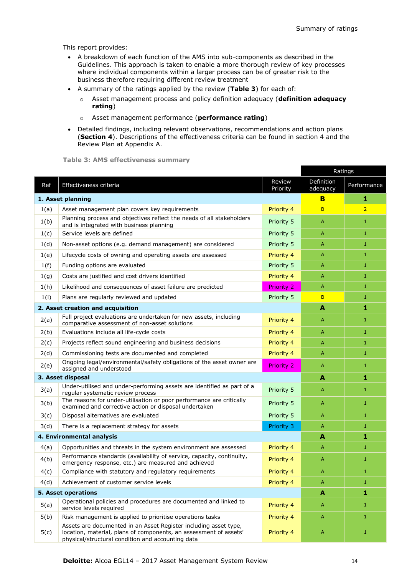This report provides:

- A breakdown of each function of the AMS into sub-components as described in the Guidelines. This approach is taken to enable a more thorough review of key processes where individual components within a larger process can be of greater risk to the business therefore requiring different review treatment
- A summary of the ratings applied by the review (**Table 3**) for each of:
	- o Asset management process and policy definition adequacy (**definition adequacy rating**)
	- o Asset management performance (**performance rating**)
- Detailed findings, including relevant observations, recommendations and action plans (**Section 4**). Descriptions of the effectiveness criteria can be found in section 4 and the Review Plan at Appendix A.

**Table 3: AMS effectiveness summary**

|                            |                                                                                                                                                                                            | Ratings            |                        |                |
|----------------------------|--------------------------------------------------------------------------------------------------------------------------------------------------------------------------------------------|--------------------|------------------------|----------------|
| Ref                        | Effectiveness criteria                                                                                                                                                                     | Review<br>Priority | Definition<br>adequacy | Performance    |
|                            | 1. Asset planning                                                                                                                                                                          | в                  | 1                      |                |
| 1(a)                       | Asset management plan covers key requirements                                                                                                                                              | Priority 4         | B                      | $\overline{2}$ |
| 1(b)                       | Planning process and objectives reflect the needs of all stakeholders<br>and is integrated with business planning                                                                          | Priority 5         | A                      | $\mathbf{1}$   |
| 1(c)                       | Service levels are defined                                                                                                                                                                 | Priority 5         | A                      | $\mathbf{1}$   |
| 1(d)                       | Non-asset options (e.g. demand management) are considered                                                                                                                                  | Priority 5         | A                      | $\mathbf{1}$   |
| 1(e)                       | Lifecycle costs of owning and operating assets are assessed                                                                                                                                | Priority 4         | A                      | 1              |
| 1(f)                       | Funding options are evaluated                                                                                                                                                              | Priority 5         | A                      | $\mathbf{1}$   |
| 1(g)                       | Costs are justified and cost drivers identified                                                                                                                                            | Priority 4         | A                      | $\mathbf{1}$   |
| 1(h)                       | Likelihood and consequences of asset failure are predicted                                                                                                                                 | <b>Priority 2</b>  | $\overline{A}$         | 1              |
| 1(i)                       | Plans are regularly reviewed and updated                                                                                                                                                   | Priority 5         | B                      | $\mathbf{1}$   |
|                            | 2. Asset creation and acquisition                                                                                                                                                          |                    | A                      | 1              |
| 2(a)                       | Full project evaluations are undertaken for new assets, including<br>comparative assessment of non-asset solutions                                                                         | Priority 4         | A                      | $\mathbf{1}$   |
| 2(b)                       | Evaluations include all life-cycle costs                                                                                                                                                   | Priority 4         | A                      | $\mathbf{1}$   |
| 2(c)                       | Projects reflect sound engineering and business decisions                                                                                                                                  | Priority 4         | A                      | $\mathbf{1}$   |
| 2(d)                       | Commissioning tests are documented and completed<br>Priority 4                                                                                                                             |                    | A                      | $\mathbf{1}$   |
| 2(e)                       | Ongoing legal/environmental/safety obligations of the asset owner are<br><b>Priority 2</b><br>assigned and understood                                                                      |                    |                        | $\mathbf{1}$   |
| 3. Asset disposal          |                                                                                                                                                                                            |                    | А                      | 1              |
| 3(a)                       | Under-utilised and under-performing assets are identified as part of a<br>regular systematic review process                                                                                | Priority 5         | A                      | $\mathbf{1}$   |
| 3(b)                       | The reasons for under-utilisation or poor performance are critically<br>examined and corrective action or disposal undertaken                                                              | Priority 5         | A                      | $\mathbf{1}$   |
| 3(c)                       | Disposal alternatives are evaluated                                                                                                                                                        | Priority 5         | A                      | $\mathbf{1}$   |
| 3(d)                       | There is a replacement strategy for assets                                                                                                                                                 | Priority 3         | $\overline{A}$         | $\mathbf{1}$   |
|                            | 4. Environmental analysis                                                                                                                                                                  |                    | А                      | 1              |
| 4(a)                       | Opportunities and threats in the system environment are assessed                                                                                                                           | Priority 4         | A                      | $\mathbf{1}$   |
| 4(b)                       | Performance standards (availability of service, capacity, continuity,<br>emergency response, etc.) are measured and achieved                                                               | Priority 4         | A                      | $\mathbf{1}$   |
| 4(c)                       | Compliance with statutory and regulatory requirements                                                                                                                                      | Priority 4         | A                      | $\mathbf{1}$   |
| 4(d)                       | Achievement of customer service levels<br>Priority 4                                                                                                                                       |                    |                        | $\mathbf{1}$   |
| <b>5. Asset operations</b> |                                                                                                                                                                                            |                    | A                      | 1              |
| 5(a)                       | Operational policies and procedures are documented and linked to<br>service levels required                                                                                                | Priority 4         | A                      | $\mathbf{1}$   |
| 5(b)                       | Risk management is applied to prioritise operations tasks                                                                                                                                  | Priority 4         | A                      | 1              |
| 5(c)                       | Assets are documented in an Asset Register including asset type,<br>location, material, plans of components, an assessment of assets'<br>physical/structural condition and accounting data | Priority 4         | A                      | $\mathbf{1}$   |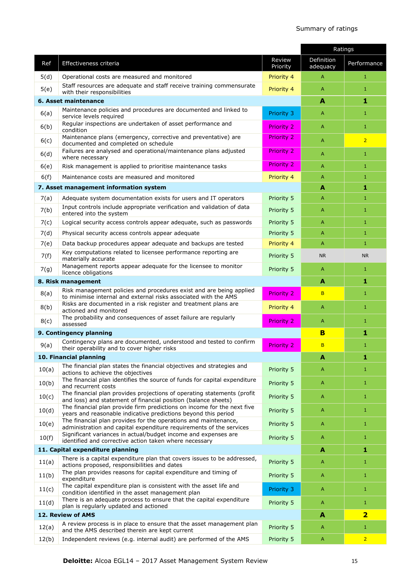#### Summary of ratings

|                    |                                                                                                                                           |                    | Ratings                |                         |
|--------------------|-------------------------------------------------------------------------------------------------------------------------------------------|--------------------|------------------------|-------------------------|
| Ref                | Effectiveness criteria                                                                                                                    | Review<br>Priority | Definition<br>adequacy | Performance             |
| 5(d)               | Operational costs are measured and monitored                                                                                              | Priority 4         | A                      | 1                       |
| 5(e)               | Staff resources are adequate and staff receive training commensurate<br>with their responsibilities                                       | Priority 4         | Α                      | 1                       |
|                    | 6. Asset maintenance                                                                                                                      |                    | A                      | 1                       |
| 6(a)               | Maintenance policies and procedures are documented and linked to<br>service levels required                                               | Priority 3         | A                      | 1                       |
| 6(b)               | Regular inspections are undertaken of asset performance and<br>condition                                                                  | <b>Priority 2</b>  | Α                      | $\mathbf{1}$            |
| 6(c)               | Maintenance plans (emergency, corrective and preventative) are<br>documented and completed on schedule                                    | <b>Priority 2</b>  | A                      | $\overline{2}$          |
| 6(d)               | Failures are analysed and operational/maintenance plans adjusted<br>where necessary                                                       | <b>Priority 2</b>  | Α                      | 1                       |
| 6(e)               | Risk management is applied to prioritise maintenance tasks                                                                                | <b>Priority 2</b>  | A                      | $\mathbf{1}$            |
| 6(f)               | Maintenance costs are measured and monitored                                                                                              | Priority 4         | A                      | $\mathbf{1}$            |
|                    | 7. Asset management information system                                                                                                    |                    | A                      | 1                       |
| 7(a)               | Adequate system documentation exists for users and IT operators                                                                           | Priority 5         | A                      | $\mathbf{1}$            |
| 7(b)               | Input controls include appropriate verification and validation of data<br>entered into the system                                         | Priority 5         | A                      | 1                       |
| 7(c)               | Logical security access controls appear adequate, such as passwords                                                                       | Priority 5         | A                      | $\mathbf{1}$            |
| 7(d)               | Physical security access controls appear adequate                                                                                         | Priority 5         | A                      | $\mathbf{1}$            |
| 7(e)               | Data backup procedures appear adequate and backups are tested                                                                             | Priority 4         | Α                      | $\mathbf{1}$            |
| 7(f)               | Key computations related to licensee performance reporting are<br>materially accurate                                                     | Priority 5         | <b>NR</b>              | NR.                     |
| 7(g)               | Management reports appear adequate for the licensee to monitor<br>licence obligations                                                     | Priority 5         | Α                      | 1                       |
| 8. Risk management |                                                                                                                                           |                    | A                      | 1                       |
| 8(a)               | Risk management policies and procedures exist and are being applied<br>to minimise internal and external risks associated with the AMS    | <b>Priority 2</b>  | B                      | 1                       |
| 8(b)               | Risks are documented in a risk register and treatment plans are<br>actioned and monitored                                                 | Priority 4         | Α                      | $\mathbf{1}$            |
| 8(c)               | The probability and consequences of asset failure are regularly<br>assessed                                                               | <b>Priority 2</b>  | Α                      | $\mathbf{1}$            |
|                    | 9. Contingency planning                                                                                                                   | B                  | 1                      |                         |
| 9(a)               | Contingency plans are documented, understood and tested to confirm<br>their operability and to cover higher risks                         | <b>Priority 2</b>  | B                      | 1                       |
|                    | 10. Financial planning                                                                                                                    |                    | A                      | 1                       |
| 10(a)              | The financial plan states the financial objectives and strategies and<br>actions to achieve the objectives                                | Priority 5         | Α                      | 1                       |
| 10(b)              | The financial plan identifies the source of funds for capital expenditure<br>and recurrent costs                                          | Priority 5         | Α                      | $\mathbf{1}$            |
| 10(c)              | The financial plan provides projections of operating statements (profit<br>and loss) and statement of financial position (balance sheets) | Priority 5         | A                      | $1\,$                   |
| 10(d)              | The financial plan provide firm predictions on income for the next five<br>years and reasonable indicative predictions beyond this period | Priority 5         | Α                      | 1                       |
| 10(e)              | The financial plan provides for the operations and maintenance,<br>administration and capital expenditure requirements of the services    | Priority 5         | Α                      | $\mathbf{1}$            |
| 10(f)              | Significant variances in actual/budget income and expenses are<br>identified and corrective action taken where necessary                  | Priority 5         | Α                      | $\mathbf{1}$            |
|                    | 11. Capital expenditure planning                                                                                                          |                    | $\blacktriangle$       | 1                       |
| 11(a)              | There is a capital expenditure plan that covers issues to be addressed,<br>actions proposed, responsibilities and dates                   | Priority 5         | Α                      | 1                       |
| 11(b)              | The plan provides reasons for capital expenditure and timing of<br>expenditure                                                            | Priority 5         | A                      | $1\,$                   |
| 11(c)              | The capital expenditure plan is consistent with the asset life and<br>condition identified in the asset management plan                   | Priority 3         | A                      | 1                       |
| 11(d)              | There is an adequate process to ensure that the capital expenditure<br>plan is regularly updated and actioned                             | Priority 5         | Α                      | 1                       |
|                    | 12. Review of AMS                                                                                                                         |                    | A                      | $\overline{\mathbf{2}}$ |
| 12(a)              | A review process is in place to ensure that the asset management plan<br>and the AMS described therein are kept current                   | Priority 5         | Α                      | 1                       |
| 12(b)              | Independent reviews (e.g. internal audit) are performed of the AMS                                                                        | Priority 5         | A                      | $\overline{2}$          |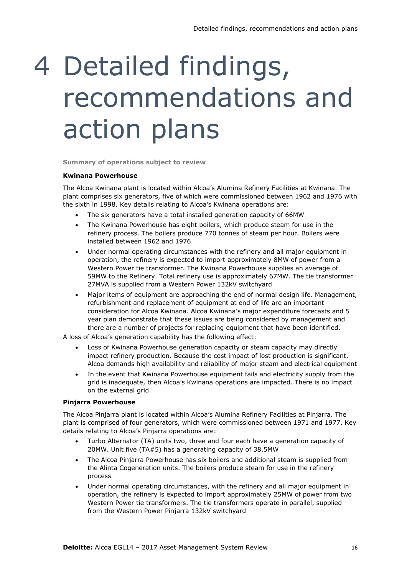# 4 Detailed findings, recommendations and action plans

**Summary of operations subject to review**

#### **Kwinana Powerhouse**

The Alcoa Kwinana plant is located within Alcoa's Alumina Refinery Facilities at Kwinana. The plant comprises six generators, five of which were commissioned between 1962 and 1976 with the sixth in 1998. Key details relating to Alcoa's Kwinana operations are:

- The six generators have a total installed generation capacity of 66MW
- The Kwinana Powerhouse has eight boilers, which produce steam for use in the refinery process. The boilers produce 770 tonnes of steam per hour. Boilers were installed between 1962 and 1976
- Under normal operating circumstances with the refinery and all major equipment in operation, the refinery is expected to import approximately 8MW of power from a Western Power tie transformer. The Kwinana Powerhouse supplies an average of 59MW to the Refinery. Total refinery use is approximately 67MW. The tie transformer 27MVA is supplied from a Western Power 132kV switchyard
- Major items of equipment are approaching the end of normal design life. Management, refurbishment and replacement of equipment at end of life are an important consideration for Alcoa Kwinana. Alcoa Kwinana's major expenditure forecasts and 5 year plan demonstrate that these issues are being considered by management and there are a number of projects for replacing equipment that have been identified.

A loss of Alcoa's generation capability has the following effect:

- Loss of Kwinana Powerhouse generation capacity or steam capacity may directly impact refinery production. Because the cost impact of lost production is significant, Alcoa demands high availability and reliability of major steam and electrical equipment
- In the event that Kwinana Powerhouse equipment fails and electricity supply from the grid is inadequate, then Alcoa's Kwinana operations are impacted. There is no impact on the external grid.

#### **Pinjarra Powerhouse**

The Alcoa Pinjarra plant is located within Alcoa's Alumina Refinery Facilities at Pinjarra. The plant is comprised of four generators, which were commissioned between 1971 and 1977. Key details relating to Alcoa's Pinjarra operations are:

- Turbo Alternator (TA) units two, three and four each have a generation capacity of 20MW. Unit five (TA#5) has a generating capacity of 38.5MW
- The Alcoa Pinjarra Powerhouse has six boilers and additional steam is supplied from the Alinta Cogeneration units. The boilers produce steam for use in the refinery process
- Under normal operating circumstances, with the refinery and all major equipment in operation, the refinery is expected to import approximately 25MW of power from two Western Power tie transformers. The tie transformers operate in parallel, supplied from the Western Power Pinjarra 132kV switchyard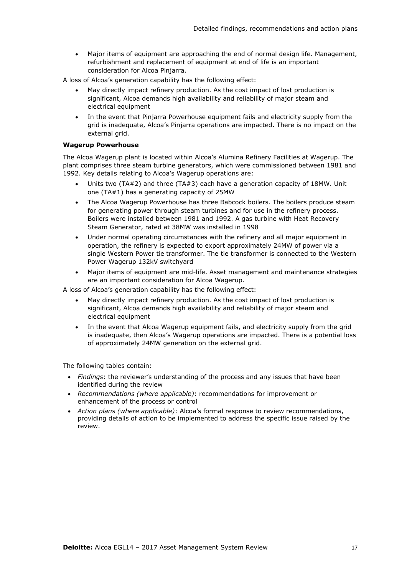- Major items of equipment are approaching the end of normal design life. Management, refurbishment and replacement of equipment at end of life is an important consideration for Alcoa Pinjarra.
- A loss of Alcoa's generation capability has the following effect:
	- May directly impact refinery production. As the cost impact of lost production is significant, Alcoa demands high availability and reliability of major steam and electrical equipment
	- In the event that Pinjarra Powerhouse equipment fails and electricity supply from the grid is inadequate, Alcoa's Pinjarra operations are impacted. There is no impact on the external grid.

#### **Wagerup Powerhouse**

The Alcoa Wagerup plant is located within Alcoa's Alumina Refinery Facilities at Wagerup. The plant comprises three steam turbine generators, which were commissioned between 1981 and 1992. Key details relating to Alcoa's Wagerup operations are:

- Units two (TA#2) and three (TA#3) each have a generation capacity of 18MW. Unit one (TA#1) has a generating capacity of 25MW
- The Alcoa Wagerup Powerhouse has three Babcock boilers. The boilers produce steam for generating power through steam turbines and for use in the refinery process. Boilers were installed between 1981 and 1992. A gas turbine with Heat Recovery Steam Generator, rated at 38MW was installed in 1998
- Under normal operating circumstances with the refinery and all major equipment in operation, the refinery is expected to export approximately 24MW of power via a single Western Power tie transformer. The tie transformer is connected to the Western Power Wagerup 132kV switchyard
- Major items of equipment are mid-life. Asset management and maintenance strategies are an important consideration for Alcoa Wagerup.

A loss of Alcoa's generation capability has the following effect:

- May directly impact refinery production. As the cost impact of lost production is significant, Alcoa demands high availability and reliability of major steam and electrical equipment
- In the event that Alcoa Wagerup equipment fails, and electricity supply from the grid is inadequate, then Alcoa's Wagerup operations are impacted. There is a potential loss of approximately 24MW generation on the external grid.

The following tables contain:

- *Findings*: the reviewer's understanding of the process and any issues that have been identified during the review
- *Recommendations (where applicable)*: recommendations for improvement or enhancement of the process or control
- *Action plans (where applicable)*: Alcoa's formal response to review recommendations, providing details of action to be implemented to address the specific issue raised by the review.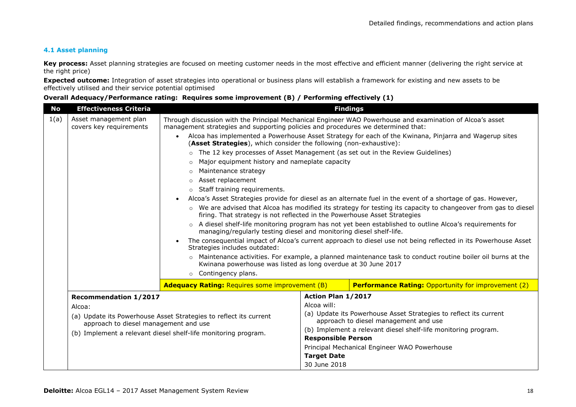#### **4.1 Asset planning**

**Key process:** Asset planning strategies are focused on meeting customer needs in the most effective and efficient manner (delivering the right service at the right price)

**Expected outcome:** Integration of asset strategies into operational or business plans will establish a framework for existing and new assets to be effectively utilised and their service potential optimised

#### **Overall Adequacy/Performance rating: Requires some improvement (B) / Performing effectively (1)**

| <b>No</b> | <b>Effectiveness Criteria</b>                                  |                                                                                                                                                                                               |                                                                                                            | <b>Findings</b>                                                                                                 |
|-----------|----------------------------------------------------------------|-----------------------------------------------------------------------------------------------------------------------------------------------------------------------------------------------|------------------------------------------------------------------------------------------------------------|-----------------------------------------------------------------------------------------------------------------|
| 1(a)      | Asset management plan<br>covers key requirements               | Through discussion with the Principal Mechanical Engineer WAO Powerhouse and examination of Alcoa's asset<br>management strategies and supporting policies and procedures we determined that: |                                                                                                            |                                                                                                                 |
|           |                                                                | $\bullet$<br>(Asset Strategies), which consider the following (non-exhaustive):                                                                                                               |                                                                                                            | Alcoa has implemented a Powerhouse Asset Strategy for each of the Kwinana, Pinjarra and Wagerup sites           |
|           |                                                                | o The 12 key processes of Asset Management (as set out in the Review Guidelines)                                                                                                              |                                                                                                            |                                                                                                                 |
|           |                                                                | Major equipment history and nameplate capacity<br>$\circ$                                                                                                                                     |                                                                                                            |                                                                                                                 |
|           |                                                                | Maintenance strategy<br>$\circ$                                                                                                                                                               |                                                                                                            |                                                                                                                 |
|           |                                                                | Asset replacement<br>$\circ$                                                                                                                                                                  |                                                                                                            |                                                                                                                 |
|           |                                                                | $\circ$ Staff training requirements.                                                                                                                                                          |                                                                                                            |                                                                                                                 |
|           |                                                                |                                                                                                                                                                                               |                                                                                                            | Alcoa's Asset Strategies provide for diesel as an alternate fuel in the event of a shortage of gas. However,    |
|           |                                                                | firing. That strategy is not reflected in the Powerhouse Asset Strategies                                                                                                                     |                                                                                                            | ○ We are advised that Alcoa has modified its strategy for testing its capacity to changeover from gas to diesel |
|           |                                                                | ○ A diesel shelf-life monitoring program has not yet been established to outline Alcoa's requirements for<br>managing/regularly testing diesel and monitoring diesel shelf-life.              |                                                                                                            |                                                                                                                 |
|           |                                                                | The consequential impact of Alcoa's current approach to diesel use not being reflected in its Powerhouse Asset<br>Strategies includes outdated:                                               |                                                                                                            |                                                                                                                 |
|           |                                                                | Kwinana powerhouse was listed as long overdue at 30 June 2017                                                                                                                                 |                                                                                                            | o Maintenance activities. For example, a planned maintenance task to conduct routine boiler oil burns at the    |
|           |                                                                | o Contingency plans.                                                                                                                                                                          |                                                                                                            |                                                                                                                 |
|           |                                                                | <b>Adequacy Rating: Requires some improvement (B)</b>                                                                                                                                         |                                                                                                            | <b>Performance Rating: Opportunity for improvement (2)</b>                                                      |
|           | <b>Recommendation 1/2017</b>                                   |                                                                                                                                                                                               | Action Plan 1/2017                                                                                         |                                                                                                                 |
|           | Alcoa:                                                         |                                                                                                                                                                                               | Alcoa will:                                                                                                |                                                                                                                 |
|           | approach to diesel management and use                          | (a) Update its Powerhouse Asset Strategies to reflect its current                                                                                                                             | (a) Update its Powerhouse Asset Strategies to reflect its current<br>approach to diesel management and use |                                                                                                                 |
|           | (b) Implement a relevant diesel shelf-life monitoring program. |                                                                                                                                                                                               | (b) Implement a relevant diesel shelf-life monitoring program.                                             |                                                                                                                 |
|           |                                                                |                                                                                                                                                                                               | <b>Responsible Person</b>                                                                                  |                                                                                                                 |
|           |                                                                |                                                                                                                                                                                               |                                                                                                            | Principal Mechanical Engineer WAO Powerhouse                                                                    |
|           |                                                                |                                                                                                                                                                                               | <b>Target Date</b>                                                                                         |                                                                                                                 |
|           |                                                                |                                                                                                                                                                                               | 30 June 2018                                                                                               |                                                                                                                 |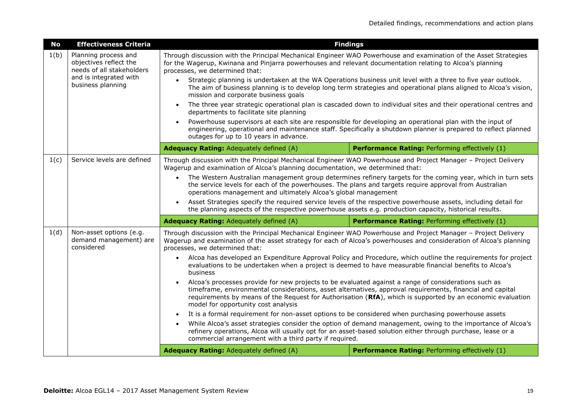| <b>No</b> | <b>Effectiveness Criteria</b>                                                                                              | <b>Findings</b>                                                                                                                                                                                                                                                                                                                                                                                                                                                                                                                                                                                                                                                                                                                       |                                                                                                                                                                                                                                                                                                                                                                                                                                                                                                                                                                                                                                                                                                                                   |  |
|-----------|----------------------------------------------------------------------------------------------------------------------------|---------------------------------------------------------------------------------------------------------------------------------------------------------------------------------------------------------------------------------------------------------------------------------------------------------------------------------------------------------------------------------------------------------------------------------------------------------------------------------------------------------------------------------------------------------------------------------------------------------------------------------------------------------------------------------------------------------------------------------------|-----------------------------------------------------------------------------------------------------------------------------------------------------------------------------------------------------------------------------------------------------------------------------------------------------------------------------------------------------------------------------------------------------------------------------------------------------------------------------------------------------------------------------------------------------------------------------------------------------------------------------------------------------------------------------------------------------------------------------------|--|
| 1(b)      | Planning process and<br>objectives reflect the<br>needs of all stakeholders<br>and is integrated with<br>business planning | Through discussion with the Principal Mechanical Engineer WAO Powerhouse and examination of the Asset Strategies<br>for the Wagerup, Kwinana and Pinjarra powerhouses and relevant documentation relating to Alcoa's planning<br>processes, we determined that:                                                                                                                                                                                                                                                                                                                                                                                                                                                                       |                                                                                                                                                                                                                                                                                                                                                                                                                                                                                                                                                                                                                                                                                                                                   |  |
|           |                                                                                                                            | $\bullet$<br>mission and corporate business goals                                                                                                                                                                                                                                                                                                                                                                                                                                                                                                                                                                                                                                                                                     | Strategic planning is undertaken at the WA Operations business unit level with a three to five year outlook.<br>The aim of business planning is to develop long term strategies and operational plans aligned to Alcoa's vision,                                                                                                                                                                                                                                                                                                                                                                                                                                                                                                  |  |
|           |                                                                                                                            | $\bullet$<br>departments to facilitate site planning                                                                                                                                                                                                                                                                                                                                                                                                                                                                                                                                                                                                                                                                                  | The three year strategic operational plan is cascaded down to individual sites and their operational centres and                                                                                                                                                                                                                                                                                                                                                                                                                                                                                                                                                                                                                  |  |
|           |                                                                                                                            | $\bullet$<br>outages for up to 10 years in advance.                                                                                                                                                                                                                                                                                                                                                                                                                                                                                                                                                                                                                                                                                   | Powerhouse supervisors at each site are responsible for developing an operational plan with the input of<br>engineering, operational and maintenance staff. Specifically a shutdown planner is prepared to reflect planned                                                                                                                                                                                                                                                                                                                                                                                                                                                                                                        |  |
|           |                                                                                                                            | Adequacy Rating: Adequately defined (A)                                                                                                                                                                                                                                                                                                                                                                                                                                                                                                                                                                                                                                                                                               | Performance Rating: Performing effectively (1)                                                                                                                                                                                                                                                                                                                                                                                                                                                                                                                                                                                                                                                                                    |  |
| 1(c)      | Service levels are defined                                                                                                 | Through discussion with the Principal Mechanical Engineer WAO Powerhouse and Project Manager - Project Delivery<br>Wagerup and examination of Alcoa's planning documentation, we determined that:<br>The Western Australian management group determines refinery targets for the coming year, which in turn sets<br>$\bullet$<br>the service levels for each of the powerhouses. The plans and targets require approval from Australian<br>operations management and ultimately Alcoa's global management<br>Asset Strategies specify the required service levels of the respective powerhouse assets, including detail for<br>the planning aspects of the respective powerhouse assets e.g. production capacity, historical results. |                                                                                                                                                                                                                                                                                                                                                                                                                                                                                                                                                                                                                                                                                                                                   |  |
|           |                                                                                                                            | Adequacy Rating: Adequately defined (A)                                                                                                                                                                                                                                                                                                                                                                                                                                                                                                                                                                                                                                                                                               | Performance Rating: Performing effectively (1)                                                                                                                                                                                                                                                                                                                                                                                                                                                                                                                                                                                                                                                                                    |  |
| 1(d)      | Non-asset options (e.g.<br>demand management) are<br>considered                                                            | Through discussion with the Principal Mechanical Engineer WAO Powerhouse and Project Manager - Project Delivery<br>Wagerup and examination of the asset strategy for each of Alcoa's powerhouses and consideration of Alcoa's planning<br>processes, we determined that:<br>$\bullet$<br>business<br>Alcoa's processes provide for new projects to be evaluated against a range of considerations such as<br>model for opportunity cost analysis<br>It is a formal requirement for non-asset options to be considered when purchasing powerhouse assets<br>commercial arrangement with a third party if required.<br>Adequacy Rating: Adequately defined (A)                                                                          | Alcoa has developed an Expenditure Approval Policy and Procedure, which outline the requirements for project<br>evaluations to be undertaken when a project is deemed to have measurable financial benefits to Alcoa's<br>timeframe, environmental considerations, asset alternatives, approval requirements, financial and capital<br>requirements by means of the Request for Authorisation (RfA), which is supported by an economic evaluation<br>While Alcoa's asset strategies consider the option of demand management, owing to the importance of Alcoa's<br>refinery operations, Alcoa will usually opt for an asset-based solution either through purchase, lease or a<br>Performance Rating: Performing effectively (1) |  |
|           |                                                                                                                            |                                                                                                                                                                                                                                                                                                                                                                                                                                                                                                                                                                                                                                                                                                                                       |                                                                                                                                                                                                                                                                                                                                                                                                                                                                                                                                                                                                                                                                                                                                   |  |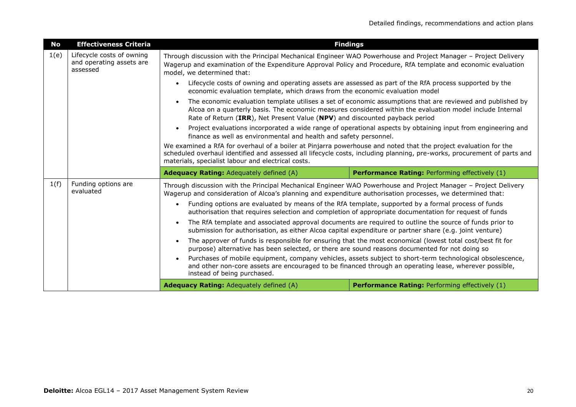| <b>No</b>                                                                                                                                                                                                                                                                                                                                    | <b>Effectiveness Criteria</b>    |                                                                                                                                                                                                                                                                                                  | <b>Findings</b>                                                                                                                                                                                                         |  |
|----------------------------------------------------------------------------------------------------------------------------------------------------------------------------------------------------------------------------------------------------------------------------------------------------------------------------------------------|----------------------------------|--------------------------------------------------------------------------------------------------------------------------------------------------------------------------------------------------------------------------------------------------------------------------------------------------|-------------------------------------------------------------------------------------------------------------------------------------------------------------------------------------------------------------------------|--|
| Lifecycle costs of owning<br>1(e)<br>Through discussion with the Principal Mechanical Engineer WAO Powerhouse and Project Manager - Project Delivery<br>and operating assets are<br>Wagerup and examination of the Expenditure Approval Policy and Procedure, RfA template and economic evaluation<br>assessed<br>model, we determined that: |                                  |                                                                                                                                                                                                                                                                                                  |                                                                                                                                                                                                                         |  |
|                                                                                                                                                                                                                                                                                                                                              |                                  | Lifecycle costs of owning and operating assets are assessed as part of the RfA process supported by the<br>economic evaluation template, which draws from the economic evaluation model                                                                                                          |                                                                                                                                                                                                                         |  |
|                                                                                                                                                                                                                                                                                                                                              |                                  | Rate of Return (IRR), Net Present Value (NPV) and discounted payback period                                                                                                                                                                                                                      | The economic evaluation template utilises a set of economic assumptions that are reviewed and published by<br>Alcoa on a quarterly basis. The economic measures considered within the evaluation model include Internal |  |
|                                                                                                                                                                                                                                                                                                                                              |                                  | Project evaluations incorporated a wide range of operational aspects by obtaining input from engineering and<br>finance as well as environmental and health and safety personnel.                                                                                                                |                                                                                                                                                                                                                         |  |
|                                                                                                                                                                                                                                                                                                                                              |                                  | We examined a RfA for overhaul of a boiler at Pinjarra powerhouse and noted that the project evaluation for the<br>scheduled overhaul identified and assessed all lifecycle costs, including planning, pre-works, procurement of parts and<br>materials, specialist labour and electrical costs. |                                                                                                                                                                                                                         |  |
|                                                                                                                                                                                                                                                                                                                                              |                                  | <b>Adequacy Rating: Adequately defined (A)</b>                                                                                                                                                                                                                                                   | Performance Rating: Performing effectively (1)                                                                                                                                                                          |  |
| 1(f)                                                                                                                                                                                                                                                                                                                                         | Funding options are<br>evaluated | Through discussion with the Principal Mechanical Engineer WAO Powerhouse and Project Manager - Project Delivery<br>Wagerup and consideration of Alcoa's planning and expenditure authorisation processes, we determined that:                                                                    |                                                                                                                                                                                                                         |  |
|                                                                                                                                                                                                                                                                                                                                              |                                  | $\bullet$                                                                                                                                                                                                                                                                                        |                                                                                                                                                                                                                         |  |
|                                                                                                                                                                                                                                                                                                                                              |                                  | authorisation that requires selection and completion of appropriate documentation for request of funds                                                                                                                                                                                           | Funding options are evaluated by means of the RfA template, supported by a formal process of funds                                                                                                                      |  |
|                                                                                                                                                                                                                                                                                                                                              |                                  | submission for authorisation, as either Alcoa capital expenditure or partner share (e.g. joint venture)                                                                                                                                                                                          | The RfA template and associated approval documents are required to outline the source of funds prior to                                                                                                                 |  |
|                                                                                                                                                                                                                                                                                                                                              |                                  | purpose) alternative has been selected, or there are sound reasons documented for not doing so                                                                                                                                                                                                   | The approver of funds is responsible for ensuring that the most economical (lowest total cost/best fit for                                                                                                              |  |
|                                                                                                                                                                                                                                                                                                                                              |                                  | instead of being purchased.                                                                                                                                                                                                                                                                      | Purchases of mobile equipment, company vehicles, assets subject to short-term technological obsolescence,<br>and other non-core assets are encouraged to be financed through an operating lease, wherever possible,     |  |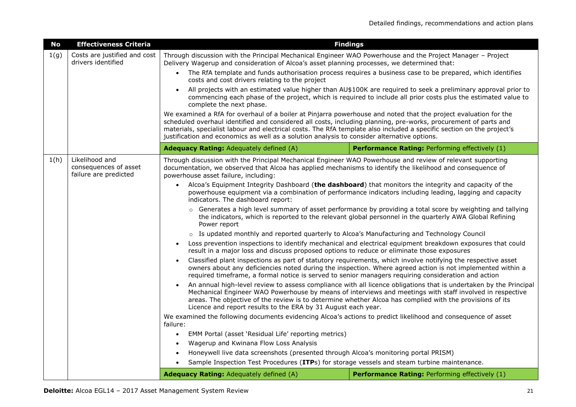| <b>No</b> | <b>Effectiveness Criteria</b>                                    | <b>Findings</b>                                                                                                                                                                                                                                                                                                                                                                                                                                            |                                                                                                                                                                                                                                  |  |
|-----------|------------------------------------------------------------------|------------------------------------------------------------------------------------------------------------------------------------------------------------------------------------------------------------------------------------------------------------------------------------------------------------------------------------------------------------------------------------------------------------------------------------------------------------|----------------------------------------------------------------------------------------------------------------------------------------------------------------------------------------------------------------------------------|--|
| 1(g)      | Costs are justified and cost<br>drivers identified               | Through discussion with the Principal Mechanical Engineer WAO Powerhouse and the Project Manager - Project<br>Delivery Wagerup and consideration of Alcoa's asset planning processes, we determined that:                                                                                                                                                                                                                                                  |                                                                                                                                                                                                                                  |  |
|           |                                                                  | The RfA template and funds authorisation process requires a business case to be prepared, which identifies<br>costs and cost drivers relating to the project                                                                                                                                                                                                                                                                                               |                                                                                                                                                                                                                                  |  |
|           |                                                                  | complete the next phase.                                                                                                                                                                                                                                                                                                                                                                                                                                   | All projects with an estimated value higher than AU\$100K are required to seek a preliminary approval prior to<br>commencing each phase of the project, which is required to include all prior costs plus the estimated value to |  |
|           |                                                                  | We examined a RfA for overhaul of a boiler at Pinjarra powerhouse and noted that the project evaluation for the<br>scheduled overhaul identified and considered all costs, including planning, pre-works, procurement of parts and<br>materials, specialist labour and electrical costs. The RfA template also included a specific section on the project's<br>justification and economics as well as a solution analysis to consider alternative options. |                                                                                                                                                                                                                                  |  |
|           |                                                                  | Adequacy Rating: Adequately defined (A)                                                                                                                                                                                                                                                                                                                                                                                                                    | Performance Rating: Performing effectively (1)                                                                                                                                                                                   |  |
| 1(h)      | Likelihood and<br>consequences of asset<br>failure are predicted | Through discussion with the Principal Mechanical Engineer WAO Powerhouse and review of relevant supporting<br>documentation, we observed that Alcoa has applied mechanisms to identify the likelihood and consequence of<br>powerhouse asset failure, including:                                                                                                                                                                                           |                                                                                                                                                                                                                                  |  |
|           |                                                                  | $\bullet$<br>indicators. The dashboard report:                                                                                                                                                                                                                                                                                                                                                                                                             | Alcoa's Equipment Integrity Dashboard (the dashboard) that monitors the integrity and capacity of the<br>powerhouse equipment via a combination of performance indicators including leading, lagging and capacity                |  |
|           |                                                                  | Power report                                                                                                                                                                                                                                                                                                                                                                                                                                               | ○ Generates a high level summary of asset performance by providing a total score by weighting and tallying<br>the indicators, which is reported to the relevant global personnel in the quarterly AWA Global Refining            |  |
|           |                                                                  | o Is updated monthly and reported quarterly to Alcoa's Manufacturing and Technology Council                                                                                                                                                                                                                                                                                                                                                                |                                                                                                                                                                                                                                  |  |
|           |                                                                  | $\bullet$<br>result in a major loss and discuss proposed options to reduce or eliminate those exposures                                                                                                                                                                                                                                                                                                                                                    | Loss prevention inspections to identify mechanical and electrical equipment breakdown exposures that could                                                                                                                       |  |
|           |                                                                  | required timeframe, a formal notice is served to senior managers requiring consideration and action                                                                                                                                                                                                                                                                                                                                                        | Classified plant inspections as part of statutory requirements, which involve notifying the respective asset<br>owners about any deficiencies noted during the inspection. Where agreed action is not implemented within a       |  |
|           |                                                                  | areas. The objective of the review is to determine whether Alcoa has complied with the provisions of its<br>Licence and report results to the ERA by 31 August each year.                                                                                                                                                                                                                                                                                  | An annual high-level review to assess compliance with all licence obligations that is undertaken by the Principal<br>Mechanical Engineer WAO Powerhouse by means of interviews and meetings with staff involved in respective    |  |
|           |                                                                  | We examined the following documents evidencing Alcoa's actions to predict likelihood and consequence of asset<br>failure:                                                                                                                                                                                                                                                                                                                                  |                                                                                                                                                                                                                                  |  |
|           |                                                                  | EMM Portal (asset 'Residual Life' reporting metrics)                                                                                                                                                                                                                                                                                                                                                                                                       |                                                                                                                                                                                                                                  |  |
|           |                                                                  | Wagerup and Kwinana Flow Loss Analysis                                                                                                                                                                                                                                                                                                                                                                                                                     |                                                                                                                                                                                                                                  |  |
|           |                                                                  | Honeywell live data screenshots (presented through Alcoa's monitoring portal PRISM)                                                                                                                                                                                                                                                                                                                                                                        |                                                                                                                                                                                                                                  |  |
|           |                                                                  | Sample Inspection Test Procedures (ITPs) for storage vessels and steam turbine maintenance.                                                                                                                                                                                                                                                                                                                                                                |                                                                                                                                                                                                                                  |  |
|           |                                                                  | Adequacy Rating: Adequately defined (A)                                                                                                                                                                                                                                                                                                                                                                                                                    | Performance Rating: Performing effectively (1)                                                                                                                                                                                   |  |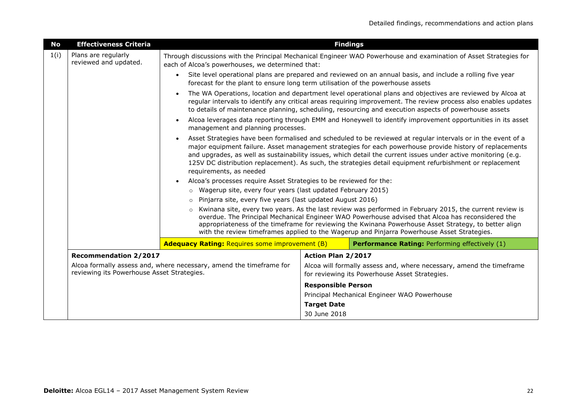| <b>No</b> | <b>Effectiveness Criteria</b>                |                                                                                              | <b>Findings</b>           |                                                                                                                                                                                                                                                                                                                                                                                                                                                       |
|-----------|----------------------------------------------|----------------------------------------------------------------------------------------------|---------------------------|-------------------------------------------------------------------------------------------------------------------------------------------------------------------------------------------------------------------------------------------------------------------------------------------------------------------------------------------------------------------------------------------------------------------------------------------------------|
| 1(i)      | Plans are regularly<br>reviewed and updated. | each of Alcoa's powerhouses, we determined that:                                             |                           | Through discussions with the Principal Mechanical Engineer WAO Powerhouse and examination of Asset Strategies for                                                                                                                                                                                                                                                                                                                                     |
|           |                                              | $\bullet$<br>forecast for the plant to ensure long term utilisation of the powerhouse assets |                           | Site level operational plans are prepared and reviewed on an annual basis, and include a rolling five year                                                                                                                                                                                                                                                                                                                                            |
|           |                                              |                                                                                              |                           | The WA Operations, location and department level operational plans and objectives are reviewed by Alcoa at<br>regular intervals to identify any critical areas requiring improvement. The review process also enables updates<br>to details of maintenance planning, scheduling, resourcing and execution aspects of powerhouse assets                                                                                                                |
|           |                                              | management and planning processes.                                                           |                           | Alcoa leverages data reporting through EMM and Honeywell to identify improvement opportunities in its asset                                                                                                                                                                                                                                                                                                                                           |
|           |                                              | requirements, as needed                                                                      |                           | Asset Strategies have been formalised and scheduled to be reviewed at regular intervals or in the event of a<br>major equipment failure. Asset management strategies for each powerhouse provide history of replacements<br>and upgrades, as well as sustainability issues, which detail the current issues under active monitoring (e.g.<br>125V DC distribution replacement). As such, the strategies detail equipment refurbishment or replacement |
|           |                                              | Alcoa's processes require Asset Strategies to be reviewed for the:                           |                           |                                                                                                                                                                                                                                                                                                                                                                                                                                                       |
|           |                                              | o Wagerup site, every four years (last updated February 2015)                                |                           |                                                                                                                                                                                                                                                                                                                                                                                                                                                       |
|           |                                              | o Pinjarra site, every five years (last updated August 2016)                                 |                           |                                                                                                                                                                                                                                                                                                                                                                                                                                                       |
|           |                                              |                                                                                              |                           | $\circ$ Kwinana site, every two years. As the last review was performed in February 2015, the current review is<br>overdue. The Principal Mechanical Engineer WAO Powerhouse advised that Alcoa has reconsidered the<br>appropriateness of the timeframe for reviewing the Kwinana Powerhouse Asset Strategy, to better align<br>with the review timeframes applied to the Wagerup and Pinjarra Powerhouse Asset Strategies.                          |
|           |                                              | <b>Adequacy Rating: Requires some improvement (B)</b>                                        |                           | Performance Rating: Performing effectively (1)                                                                                                                                                                                                                                                                                                                                                                                                        |
|           | <b>Recommendation 2/2017</b>                 |                                                                                              | Action Plan 2/2017        |                                                                                                                                                                                                                                                                                                                                                                                                                                                       |
|           | reviewing its Powerhouse Asset Strategies.   | Alcoa formally assess and, where necessary, amend the timeframe for                          |                           | Alcoa will formally assess and, where necessary, amend the timeframe<br>for reviewing its Powerhouse Asset Strategies.                                                                                                                                                                                                                                                                                                                                |
|           |                                              |                                                                                              | <b>Responsible Person</b> |                                                                                                                                                                                                                                                                                                                                                                                                                                                       |
|           |                                              |                                                                                              |                           | Principal Mechanical Engineer WAO Powerhouse                                                                                                                                                                                                                                                                                                                                                                                                          |
|           |                                              |                                                                                              | <b>Target Date</b>        |                                                                                                                                                                                                                                                                                                                                                                                                                                                       |
|           |                                              |                                                                                              | 30 June 2018              |                                                                                                                                                                                                                                                                                                                                                                                                                                                       |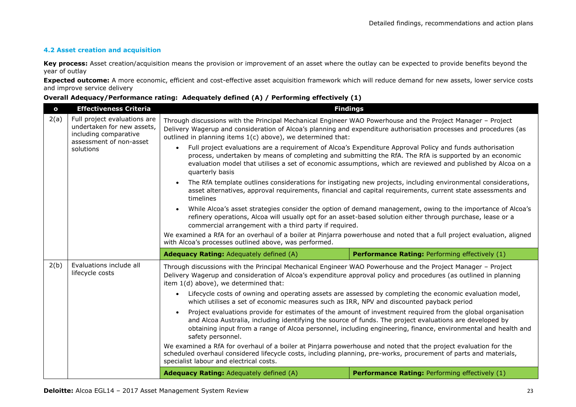#### **4.2 Asset creation and acquisition**

**Key process:** Asset creation/acquisition means the provision or improvement of an asset where the outlay can be expected to provide benefits beyond the year of outlay

**Expected outcome:** A more economic, efficient and cost-effective asset acquisition framework which will reduce demand for new assets, lower service costs and improve service delivery

| $\mathbf{o}$ | <b>Effectiveness Criteria</b>                                                                                               |                                                                                                                                                                                                                                                                                                 | <b>Findings</b>                                                                                                                                                                                                                                                                                                                     |
|--------------|-----------------------------------------------------------------------------------------------------------------------------|-------------------------------------------------------------------------------------------------------------------------------------------------------------------------------------------------------------------------------------------------------------------------------------------------|-------------------------------------------------------------------------------------------------------------------------------------------------------------------------------------------------------------------------------------------------------------------------------------------------------------------------------------|
| 2(a)         | Full project evaluations are<br>undertaken for new assets,<br>including comparative<br>assessment of non-asset<br>solutions | Through discussions with the Principal Mechanical Engineer WAO Powerhouse and the Project Manager - Project<br>Delivery Wagerup and consideration of Alcoa's planning and expenditure authorisation processes and procedures (as<br>outlined in planning items 1(c) above), we determined that: |                                                                                                                                                                                                                                                                                                                                     |
|              |                                                                                                                             | $\bullet$<br>quarterly basis                                                                                                                                                                                                                                                                    | Full project evaluations are a requirement of Alcoa's Expenditure Approval Policy and funds authorisation<br>process, undertaken by means of completing and submitting the RfA. The RfA is supported by an economic<br>evaluation model that utilises a set of economic assumptions, which are reviewed and published by Alcoa on a |
|              |                                                                                                                             | timelines                                                                                                                                                                                                                                                                                       | The RfA template outlines considerations for instigating new projects, including environmental considerations,<br>asset alternatives, approval requirements, financial and capital requirements, current state assessments and                                                                                                      |
|              |                                                                                                                             | commercial arrangement with a third party if required.                                                                                                                                                                                                                                          | While Alcoa's asset strategies consider the option of demand management, owing to the importance of Alcoa's<br>refinery operations, Alcoa will usually opt for an asset-based solution either through purchase, lease or a                                                                                                          |
|              |                                                                                                                             | We examined a RfA for an overhaul of a boiler at Pinjarra powerhouse and noted that a full project evaluation, aligned<br>with Alcoa's processes outlined above, was performed.                                                                                                                 |                                                                                                                                                                                                                                                                                                                                     |
|              |                                                                                                                             | Adequacy Rating: Adequately defined (A)                                                                                                                                                                                                                                                         | Performance Rating: Performing effectively (1)                                                                                                                                                                                                                                                                                      |
| 2(b)         | Evaluations include all<br>lifecycle costs                                                                                  | Through discussions with the Principal Mechanical Engineer WAO Powerhouse and the Project Manager - Project<br>Delivery Wagerup and consideration of Alcoa's expenditure approval policy and procedures (as outlined in planning<br>item 1(d) above), we determined that:                       |                                                                                                                                                                                                                                                                                                                                     |
|              |                                                                                                                             | $\bullet$<br>which utilises a set of economic measures such as IRR, NPV and discounted payback period                                                                                                                                                                                           | Lifecycle costs of owning and operating assets are assessed by completing the economic evaluation model,                                                                                                                                                                                                                            |
|              |                                                                                                                             | and Alcoa Australia, including identifying the source of funds. The project evaluations are developed by<br>safety personnel.                                                                                                                                                                   | Project evaluations provide for estimates of the amount of investment required from the global organisation<br>obtaining input from a range of Alcoa personnel, including engineering, finance, environmental and health and                                                                                                        |
|              |                                                                                                                             | We examined a RfA for overhaul of a boiler at Pinjarra powerhouse and noted that the project evaluation for the<br>scheduled overhaul considered lifecycle costs, including planning, pre-works, procurement of parts and materials,<br>specialist labour and electrical costs.                 |                                                                                                                                                                                                                                                                                                                                     |
|              |                                                                                                                             | <b>Adequacy Rating:</b> Adequately defined (A)                                                                                                                                                                                                                                                  | <b>Performance Rating: Performing effectively (1)</b>                                                                                                                                                                                                                                                                               |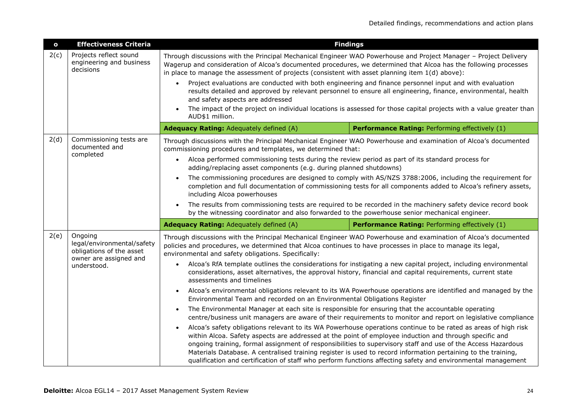| $\mathbf{o}$ | <b>Effectiveness Criteria</b>                                                                              | <b>Findings</b>                                                                                                                                                                                                                                                                                                                         |                                                                                                                                                                                                                                                                                                                                                                                                                                                                 |  |
|--------------|------------------------------------------------------------------------------------------------------------|-----------------------------------------------------------------------------------------------------------------------------------------------------------------------------------------------------------------------------------------------------------------------------------------------------------------------------------------|-----------------------------------------------------------------------------------------------------------------------------------------------------------------------------------------------------------------------------------------------------------------------------------------------------------------------------------------------------------------------------------------------------------------------------------------------------------------|--|
| 2(c)         | Projects reflect sound<br>engineering and business<br>decisions                                            | Through discussions with the Principal Mechanical Engineer WAO Powerhouse and Project Manager - Project Delivery<br>Wagerup and consideration of Alcoa's documented procedures, we determined that Alcoa has the following processes<br>in place to manage the assessment of projects (consistent with asset planning item 1(d) above): |                                                                                                                                                                                                                                                                                                                                                                                                                                                                 |  |
|              |                                                                                                            | $\bullet$<br>and safety aspects are addressed                                                                                                                                                                                                                                                                                           | Project evaluations are conducted with both engineering and finance personnel input and with evaluation<br>results detailed and approved by relevant personnel to ensure all engineering, finance, environmental, health                                                                                                                                                                                                                                        |  |
|              |                                                                                                            | AUD\$1 million.                                                                                                                                                                                                                                                                                                                         | The impact of the project on individual locations is assessed for those capital projects with a value greater than                                                                                                                                                                                                                                                                                                                                              |  |
|              |                                                                                                            | Adequacy Rating: Adequately defined (A)                                                                                                                                                                                                                                                                                                 | Performance Rating: Performing effectively (1)                                                                                                                                                                                                                                                                                                                                                                                                                  |  |
| 2(d)         | Commissioning tests are<br>documented and<br>completed                                                     | Through discussions with the Principal Mechanical Engineer WAO Powerhouse and examination of Alcoa's documented<br>commissioning procedures and templates, we determined that:                                                                                                                                                          |                                                                                                                                                                                                                                                                                                                                                                                                                                                                 |  |
|              |                                                                                                            | Alcoa performed commissioning tests during the review period as part of its standard process for<br>$\bullet$<br>adding/replacing asset components (e.g. during planned shutdowns)                                                                                                                                                      |                                                                                                                                                                                                                                                                                                                                                                                                                                                                 |  |
|              |                                                                                                            | including Alcoa powerhouses                                                                                                                                                                                                                                                                                                             | The commissioning procedures are designed to comply with AS/NZS 3788:2006, including the requirement for<br>completion and full documentation of commissioning tests for all components added to Alcoa's refinery assets,                                                                                                                                                                                                                                       |  |
|              |                                                                                                            | $\bullet$<br>by the witnessing coordinator and also forwarded to the powerhouse senior mechanical engineer.                                                                                                                                                                                                                             | The results from commissioning tests are required to be recorded in the machinery safety device record book                                                                                                                                                                                                                                                                                                                                                     |  |
|              |                                                                                                            | Adequacy Rating: Adequately defined (A)                                                                                                                                                                                                                                                                                                 | Performance Rating: Performing effectively (1)                                                                                                                                                                                                                                                                                                                                                                                                                  |  |
| 2(e)         | Ongoing<br>legal/environmental/safety<br>obligations of the asset<br>owner are assigned and<br>understood. | Through discussions with the Principal Mechanical Engineer WAO Powerhouse and examination of Alcoa's documented<br>policies and procedures, we determined that Alcoa continues to have processes in place to manage its legal,<br>environmental and safety obligations. Specifically:                                                   |                                                                                                                                                                                                                                                                                                                                                                                                                                                                 |  |
|              |                                                                                                            | $\bullet$<br>assessments and timelines                                                                                                                                                                                                                                                                                                  | Alcoa's RfA template outlines the considerations for instigating a new capital project, including environmental<br>considerations, asset alternatives, the approval history, financial and capital requirements, current state                                                                                                                                                                                                                                  |  |
|              |                                                                                                            | $\bullet$<br>Environmental Team and recorded on an Environmental Obligations Register                                                                                                                                                                                                                                                   | Alcoa's environmental obligations relevant to its WA Powerhouse operations are identified and managed by the                                                                                                                                                                                                                                                                                                                                                    |  |
|              |                                                                                                            | The Environmental Manager at each site is responsible for ensuring that the accountable operating<br>$\bullet$                                                                                                                                                                                                                          | centre/business unit managers are aware of their requirements to monitor and report on legislative compliance                                                                                                                                                                                                                                                                                                                                                   |  |
|              |                                                                                                            | within Alcoa. Safety aspects are addressed at the point of employee induction and through specific and                                                                                                                                                                                                                                  | Alcoa's safety obligations relevant to its WA Powerhouse operations continue to be rated as areas of high risk<br>ongoing training, formal assignment of responsibilities to supervisory staff and use of the Access Hazardous<br>Materials Database. A centralised training register is used to record information pertaining to the training,<br>qualification and certification of staff who perform functions affecting safety and environmental management |  |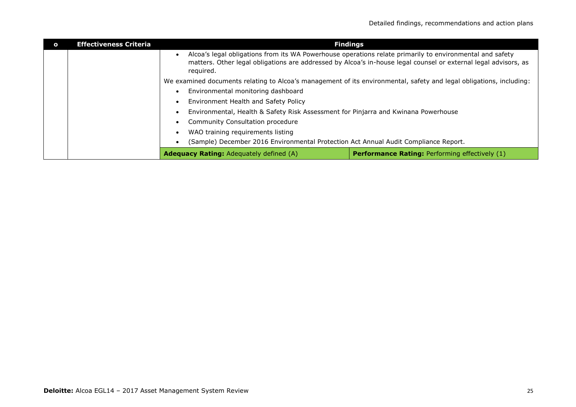| $\Omega$                             | <b>Effectiveness Criteria</b> |                                                                                     | <b>Findings</b>                                                                                                                                                                                                             |
|--------------------------------------|-------------------------------|-------------------------------------------------------------------------------------|-----------------------------------------------------------------------------------------------------------------------------------------------------------------------------------------------------------------------------|
|                                      |                               | required.                                                                           | Alcoa's legal obligations from its WA Powerhouse operations relate primarily to environmental and safety<br>matters. Other legal obligations are addressed by Alcoa's in-house legal counsel or external legal advisors, as |
|                                      |                               |                                                                                     | We examined documents relating to Alcoa's management of its environmental, safety and legal obligations, including:                                                                                                         |
|                                      |                               | Environmental monitoring dashboard                                                  |                                                                                                                                                                                                                             |
| Environment Health and Safety Policy |                               |                                                                                     |                                                                                                                                                                                                                             |
|                                      |                               | Environmental, Health & Safety Risk Assessment for Pinjarra and Kwinana Powerhouse  |                                                                                                                                                                                                                             |
|                                      |                               | Community Consultation procedure                                                    |                                                                                                                                                                                                                             |
|                                      |                               | WAO training requirements listing                                                   |                                                                                                                                                                                                                             |
|                                      |                               | (Sample) December 2016 Environmental Protection Act Annual Audit Compliance Report. |                                                                                                                                                                                                                             |
|                                      |                               | <b>Adequacy Rating:</b> Adequately defined (A)                                      | <b>Performance Rating: Performing effectively (1)</b>                                                                                                                                                                       |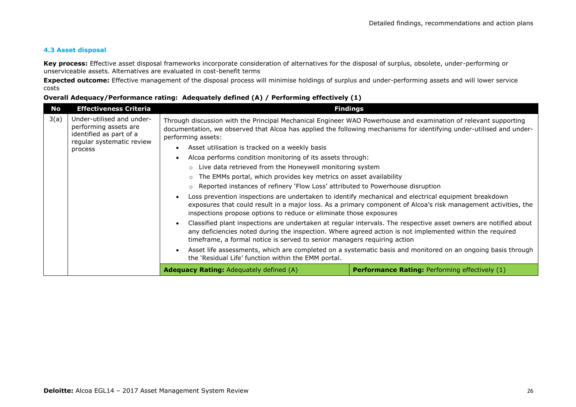#### **4.3 Asset disposal**

**Key process:** Effective asset disposal frameworks incorporate consideration of alternatives for the disposal of surplus, obsolete, under-performing or unserviceable assets. Alternatives are evaluated in cost-benefit terms

**Expected outcome:** Effective management of the disposal process will minimise holdings of surplus and under-performing assets and will lower service costs

| No   | <b>Effectiveness Criteria</b>                                                                              | <b>Findings</b>                                                                                                                                                                                                                                                                                          |  |  |
|------|------------------------------------------------------------------------------------------------------------|----------------------------------------------------------------------------------------------------------------------------------------------------------------------------------------------------------------------------------------------------------------------------------------------------------|--|--|
| 3(a) | Under-utilised and under-<br>performing assets are<br>identified as part of a<br>regular systematic review | Through discussion with the Principal Mechanical Engineer WAO Powerhouse and examination of relevant supporting<br>documentation, we observed that Alcoa has applied the following mechanisms for identifying under-utilised and under-<br>performing assets:                                            |  |  |
|      | process                                                                                                    | Asset utilisation is tracked on a weekly basis                                                                                                                                                                                                                                                           |  |  |
|      |                                                                                                            | Alcoa performs condition monitoring of its assets through:                                                                                                                                                                                                                                               |  |  |
|      |                                                                                                            | ○ Live data retrieved from the Honeywell monitoring system                                                                                                                                                                                                                                               |  |  |
|      |                                                                                                            | The EMMs portal, which provides key metrics on asset availability                                                                                                                                                                                                                                        |  |  |
|      |                                                                                                            | $\circ$ Reported instances of refinery 'Flow Loss' attributed to Powerhouse disruption                                                                                                                                                                                                                   |  |  |
|      |                                                                                                            | Loss prevention inspections are undertaken to identify mechanical and electrical equipment breakdown<br>exposures that could result in a major loss. As a primary component of Alcoa's risk management activities, the<br>inspections propose options to reduce or eliminate those exposures             |  |  |
|      |                                                                                                            | Classified plant inspections are undertaken at regular intervals. The respective asset owners are notified about<br>any deficiencies noted during the inspection. Where agreed action is not implemented within the required<br>timeframe, a formal notice is served to senior managers requiring action |  |  |
|      |                                                                                                            | Asset life assessments, which are completed on a systematic basis and monitored on an ongoing basis through<br>the 'Residual Life' function within the EMM portal.                                                                                                                                       |  |  |
|      |                                                                                                            | <b>Adequacy Rating: Adequately defined (A)</b><br><b>Performance Rating: Performing effectively (1)</b>                                                                                                                                                                                                  |  |  |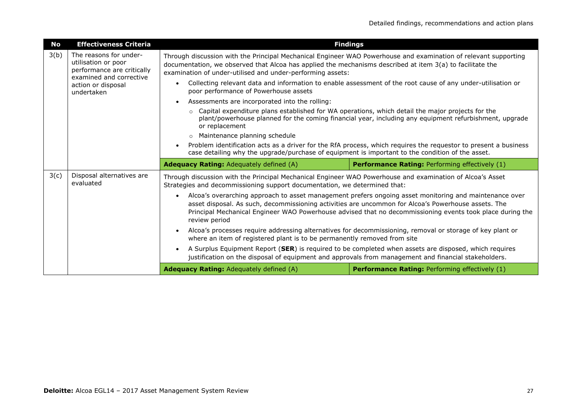| <b>No</b> | <b>Effectiveness Criteria</b>                                                                          | <b>Findings</b>                                                                                                                                                                                                                                                                            |                                                                                                                                                                                                                     |  |
|-----------|--------------------------------------------------------------------------------------------------------|--------------------------------------------------------------------------------------------------------------------------------------------------------------------------------------------------------------------------------------------------------------------------------------------|---------------------------------------------------------------------------------------------------------------------------------------------------------------------------------------------------------------------|--|
| 3(b)      | The reasons for under-<br>utilisation or poor<br>performance are critically<br>examined and corrective | Through discussion with the Principal Mechanical Engineer WAO Powerhouse and examination of relevant supporting<br>documentation, we observed that Alcoa has applied the mechanisms described at item 3(a) to facilitate the<br>examination of under-utilised and under-performing assets: |                                                                                                                                                                                                                     |  |
|           | action or disposal<br>undertaken                                                                       | poor performance of Powerhouse assets                                                                                                                                                                                                                                                      | Collecting relevant data and information to enable assessment of the root cause of any under-utilisation or                                                                                                         |  |
|           |                                                                                                        | Assessments are incorporated into the rolling:                                                                                                                                                                                                                                             |                                                                                                                                                                                                                     |  |
|           |                                                                                                        | Capital expenditure plans established for WA operations, which detail the major projects for the<br>$\circ$<br>or replacement                                                                                                                                                              | plant/powerhouse planned for the coming financial year, including any equipment refurbishment, upgrade                                                                                                              |  |
|           |                                                                                                        | o Maintenance planning schedule                                                                                                                                                                                                                                                            |                                                                                                                                                                                                                     |  |
|           |                                                                                                        |                                                                                                                                                                                                                                                                                            | Problem identification acts as a driver for the RfA process, which requires the requestor to present a business<br>case detailing why the upgrade/purchase of equipment is important to the condition of the asset. |  |
|           |                                                                                                        |                                                                                                                                                                                                                                                                                            |                                                                                                                                                                                                                     |  |
|           |                                                                                                        | <b>Adequacy Rating:</b> Adequately defined (A)                                                                                                                                                                                                                                             | <b>Performance Rating: Performing effectively (1)</b>                                                                                                                                                               |  |
| 3(c)      | Disposal alternatives are<br>evaluated                                                                 | Through discussion with the Principal Mechanical Engineer WAO Powerhouse and examination of Alcoa's Asset<br>Strategies and decommissioning support documentation, we determined that:                                                                                                     |                                                                                                                                                                                                                     |  |
|           |                                                                                                        | $\bullet$<br>asset disposal. As such, decommissioning activities are uncommon for Alcoa's Powerhouse assets. The<br>review period                                                                                                                                                          | Alcoa's overarching approach to asset management prefers ongoing asset monitoring and maintenance over<br>Principal Mechanical Engineer WAO Powerhouse advised that no decommissioning events took place during the |  |
|           |                                                                                                        | where an item of registered plant is to be permanently removed from site                                                                                                                                                                                                                   | Alcoa's processes require addressing alternatives for decommissioning, removal or storage of key plant or                                                                                                           |  |
|           |                                                                                                        | justification on the disposal of equipment and approvals from management and financial stakeholders.                                                                                                                                                                                       | A Surplus Equipment Report (SER) is required to be completed when assets are disposed, which requires                                                                                                               |  |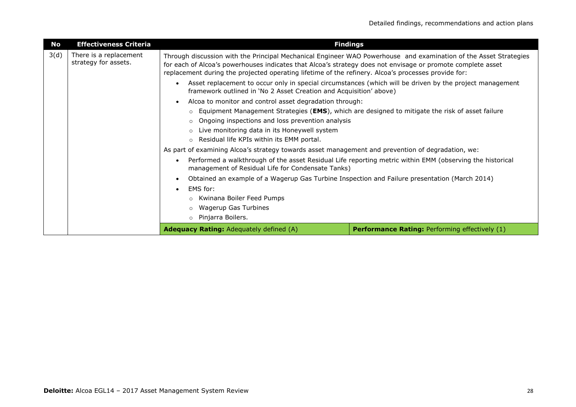| <b>No</b> | <b>Effectiveness Criteria</b>                  | <b>Findings</b>                                                                                                                                                                                                                                                                                                                                                                                                                                                                                                                                                                                                                                                                                                                                                                                                                                       |                                                                                                          |
|-----------|------------------------------------------------|-------------------------------------------------------------------------------------------------------------------------------------------------------------------------------------------------------------------------------------------------------------------------------------------------------------------------------------------------------------------------------------------------------------------------------------------------------------------------------------------------------------------------------------------------------------------------------------------------------------------------------------------------------------------------------------------------------------------------------------------------------------------------------------------------------------------------------------------------------|----------------------------------------------------------------------------------------------------------|
| 3(d)      | There is a replacement<br>strategy for assets. | Through discussion with the Principal Mechanical Engineer WAO Powerhouse and examination of the Asset Strategies<br>for each of Alcoa's powerhouses indicates that Alcoa's strategy does not envisage or promote complete asset<br>replacement during the projected operating lifetime of the refinery. Alcoa's processes provide for:<br>framework outlined in 'No 2 Asset Creation and Acquisition' above)<br>Alcoa to monitor and control asset degradation through:<br>$\circ$ Equipment Management Strategies (EMS), which are designed to mitigate the risk of asset failure<br>Ongoing inspections and loss prevention analysis<br>$\circ$<br>Live monitoring data in its Honeywell system<br>○ Residual life KPIs within its EMM portal.<br>As part of examining Alcoa's strategy towards asset management and prevention of degradation, we: | Asset replacement to occur only in special circumstances (which will be driven by the project management |
|           |                                                | management of Residual Life for Condensate Tanks)<br>Obtained an example of a Wagerup Gas Turbine Inspection and Failure presentation (March 2014)<br>EMS for:<br>○ Kwinana Boiler Feed Pumps<br><b>Wagerup Gas Turbines</b><br>Pinjarra Boilers.<br>$\circ$                                                                                                                                                                                                                                                                                                                                                                                                                                                                                                                                                                                          | Performed a walkthrough of the asset Residual Life reporting metric within EMM (observing the historical |
|           |                                                | Adequacy Rating: Adequately defined (A)                                                                                                                                                                                                                                                                                                                                                                                                                                                                                                                                                                                                                                                                                                                                                                                                               | <b>Performance Rating: Performing effectively (1)</b>                                                    |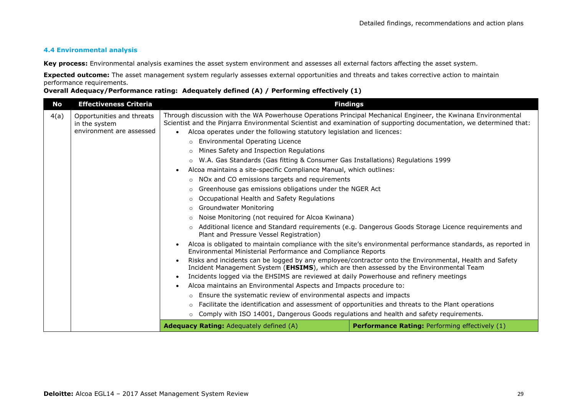#### **4.4 Environmental analysis**

**Key process:** Environmental analysis examines the asset system environment and assesses all external factors affecting the asset system.

**Expected outcome:** The asset management system regularly assesses external opportunities and threats and takes corrective action to maintain performance requirements.

| No   | <b>Effectiveness Criteria</b>                                          | <b>Findings</b>                                                                                                                                                                                                                                                                                                                                                                                                                                                                                                                                                                                                                                                                                                                                                                                                                                                                                                                                                                                                                                                                                                                                                                                                                                                                                                                                                                                                                                                                                                                                                                            |                                                                                                                                                                                                                                                                                                                                |
|------|------------------------------------------------------------------------|--------------------------------------------------------------------------------------------------------------------------------------------------------------------------------------------------------------------------------------------------------------------------------------------------------------------------------------------------------------------------------------------------------------------------------------------------------------------------------------------------------------------------------------------------------------------------------------------------------------------------------------------------------------------------------------------------------------------------------------------------------------------------------------------------------------------------------------------------------------------------------------------------------------------------------------------------------------------------------------------------------------------------------------------------------------------------------------------------------------------------------------------------------------------------------------------------------------------------------------------------------------------------------------------------------------------------------------------------------------------------------------------------------------------------------------------------------------------------------------------------------------------------------------------------------------------------------------------|--------------------------------------------------------------------------------------------------------------------------------------------------------------------------------------------------------------------------------------------------------------------------------------------------------------------------------|
| 4(a) | Opportunities and threats<br>in the system<br>environment are assessed | Through discussion with the WA Powerhouse Operations Principal Mechanical Engineer, the Kwinana Environmental<br>Scientist and the Pinjarra Environmental Scientist and examination of supporting documentation, we determined that:<br>Alcoa operates under the following statutory legislation and licences:<br><b>Environmental Operating Licence</b><br>$\circ$<br>Mines Safety and Inspection Regulations<br>W.A. Gas Standards (Gas fitting & Consumer Gas Installations) Regulations 1999<br>$\circ$<br>Alcoa maintains a site-specific Compliance Manual, which outlines:<br>NOx and CO emissions targets and requirements<br>$\circ$<br>Greenhouse gas emissions obligations under the NGER Act<br>$\circ$<br>Occupational Health and Safety Regulations<br>$\circ$<br><b>Groundwater Monitoring</b><br>$\circ$<br>Noise Monitoring (not required for Alcoa Kwinana)<br>$\circ$<br>$\circ$<br>Plant and Pressure Vessel Registration)<br>Environmental Ministerial Performance and Compliance Reports<br>Incident Management System (EHSIMS), which are then assessed by the Environmental Team<br>Incidents logged via the EHSIMS are reviewed at daily Powerhouse and refinery meetings<br>$\bullet$<br>Alcoa maintains an Environmental Aspects and Impacts procedure to:<br>Ensure the systematic review of environmental aspects and impacts<br>$\circ$<br>Facilitate the identification and assessment of opportunities and threats to the Plant operations<br>$\circ$<br>Comply with ISO 14001, Dangerous Goods regulations and health and safety reguirements.<br>$\circ$ | Additional licence and Standard requirements (e.g. Dangerous Goods Storage Licence requirements and<br>Alcoa is obligated to maintain compliance with the site's environmental performance standards, as reported in<br>Risks and incidents can be logged by any employee/contractor onto the Environmental, Health and Safety |
|      |                                                                        | <b>Adequacy Rating: Adequately defined (A)</b>                                                                                                                                                                                                                                                                                                                                                                                                                                                                                                                                                                                                                                                                                                                                                                                                                                                                                                                                                                                                                                                                                                                                                                                                                                                                                                                                                                                                                                                                                                                                             | <b>Performance Rating: Performing effectively (1)</b>                                                                                                                                                                                                                                                                          |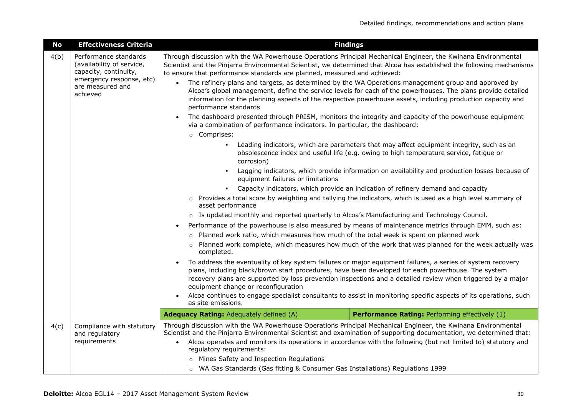| <b>No</b>             | <b>Effectiveness Criteria</b>                                               | <b>Findings</b>                                                                                                                                                                                                                                                                                                                                                                                                                                                                                                   |  |
|-----------------------|-----------------------------------------------------------------------------|-------------------------------------------------------------------------------------------------------------------------------------------------------------------------------------------------------------------------------------------------------------------------------------------------------------------------------------------------------------------------------------------------------------------------------------------------------------------------------------------------------------------|--|
| 4(b)                  | Performance standards<br>(availability of service,<br>capacity, continuity, | Through discussion with the WA Powerhouse Operations Principal Mechanical Engineer, the Kwinana Environmental<br>Scientist and the Pinjarra Environmental Scientist, we determined that Alcoa has established the following mechanisms<br>to ensure that performance standards are planned, measured and achieved:                                                                                                                                                                                                |  |
|                       | emergency response, etc)<br>are measured and<br>achieved                    | The refinery plans and targets, as determined by the WA Operations management group and approved by<br>$\bullet$<br>Alcoa's global management, define the service levels for each of the powerhouses. The plans provide detailed<br>information for the planning aspects of the respective powerhouse assets, including production capacity and<br>performance standards                                                                                                                                          |  |
|                       |                                                                             | The dashboard presented through PRISM, monitors the integrity and capacity of the powerhouse equipment<br>via a combination of performance indicators. In particular, the dashboard:<br>o Comprises:                                                                                                                                                                                                                                                                                                              |  |
|                       |                                                                             | Leading indicators, which are parameters that may affect equipment integrity, such as an<br>obsolescence index and useful life (e.g. owing to high temperature service, fatigue or<br>corrosion)                                                                                                                                                                                                                                                                                                                  |  |
|                       |                                                                             | Lagging indicators, which provide information on availability and production losses because of<br>$\blacksquare$<br>equipment failures or limitations                                                                                                                                                                                                                                                                                                                                                             |  |
|                       |                                                                             | Capacity indicators, which provide an indication of refinery demand and capacity                                                                                                                                                                                                                                                                                                                                                                                                                                  |  |
|                       |                                                                             | Provides a total score by weighting and tallying the indicators, which is used as a high level summary of<br>asset performance                                                                                                                                                                                                                                                                                                                                                                                    |  |
|                       |                                                                             | $\circ$ Is updated monthly and reported quarterly to Alcoa's Manufacturing and Technology Council.                                                                                                                                                                                                                                                                                                                                                                                                                |  |
|                       |                                                                             | Performance of the powerhouse is also measured by means of maintenance metrics through EMM, such as:                                                                                                                                                                                                                                                                                                                                                                                                              |  |
|                       |                                                                             | o Planned work ratio, which measures how much of the total week is spent on planned work                                                                                                                                                                                                                                                                                                                                                                                                                          |  |
| $\circ$<br>completed. |                                                                             | Planned work complete, which measures how much of the work that was planned for the week actually was                                                                                                                                                                                                                                                                                                                                                                                                             |  |
|                       |                                                                             | To address the eventuality of key system failures or major equipment failures, a series of system recovery<br>plans, including black/brown start procedures, have been developed for each powerhouse. The system<br>recovery plans are supported by loss prevention inspections and a detailed review when triggered by a major<br>equipment change or reconfiguration<br>Alcoa continues to engage specialist consultants to assist in monitoring specific aspects of its operations, such<br>as site emissions. |  |
|                       |                                                                             | Adequacy Rating: Adequately defined (A)<br>Performance Rating: Performing effectively (1)                                                                                                                                                                                                                                                                                                                                                                                                                         |  |
| 4(c)                  | Compliance with statutory<br>and regulatory<br>requirements                 | Through discussion with the WA Powerhouse Operations Principal Mechanical Engineer, the Kwinana Environmental<br>Scientist and the Pinjarra Environmental Scientist and examination of supporting documentation, we determined that:<br>Alcoa operates and monitors its operations in accordance with the following (but not limited to) statutory and<br>$\bullet$<br>regulatory requirements:                                                                                                                   |  |
|                       |                                                                             | o Mines Safety and Inspection Regulations<br>o WA Gas Standards (Gas fitting & Consumer Gas Installations) Regulations 1999                                                                                                                                                                                                                                                                                                                                                                                       |  |
|                       |                                                                             |                                                                                                                                                                                                                                                                                                                                                                                                                                                                                                                   |  |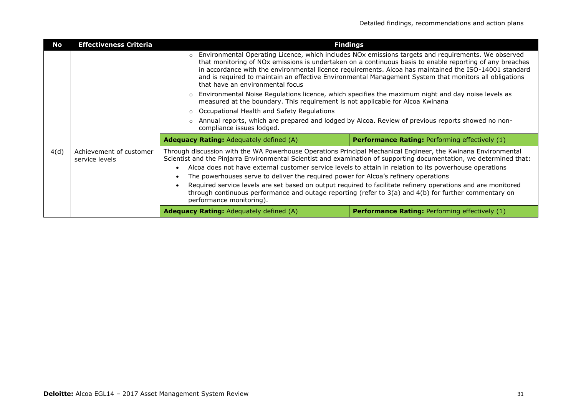| No   | <b>Effectiveness Criteria</b>             | <b>Findings</b>                                       |                                                                                                                                                                                                                                                                                                                                                                                                                                                                                                                                                                                                                                                                     |  |
|------|-------------------------------------------|-------------------------------------------------------|---------------------------------------------------------------------------------------------------------------------------------------------------------------------------------------------------------------------------------------------------------------------------------------------------------------------------------------------------------------------------------------------------------------------------------------------------------------------------------------------------------------------------------------------------------------------------------------------------------------------------------------------------------------------|--|
|      |                                           | that have an environmental focus                      | Environmental Operating Licence, which includes NOx emissions targets and requirements. We observed<br>that monitoring of NOx emissions is undertaken on a continuous basis to enable reporting of any breaches<br>in accordance with the environmental licence requirements. Alcoa has maintained the ISO-14001 standard<br>and is required to maintain an effective Environmental Management System that monitors all obligations<br>Environmental Noise Regulations licence, which specifies the maximum night and day noise levels as<br>measured at the boundary. This requirement is not applicable for Alcoa Kwinana                                         |  |
|      |                                           | $\circ$                                               |                                                                                                                                                                                                                                                                                                                                                                                                                                                                                                                                                                                                                                                                     |  |
|      |                                           | Occupational Health and Safety Regulations<br>$\circ$ |                                                                                                                                                                                                                                                                                                                                                                                                                                                                                                                                                                                                                                                                     |  |
|      |                                           | compliance issues lodged.                             | Annual reports, which are prepared and lodged by Alcoa. Review of previous reports showed no non-                                                                                                                                                                                                                                                                                                                                                                                                                                                                                                                                                                   |  |
|      |                                           | <b>Adequacy Rating: Adequately defined (A)</b>        | <b>Performance Rating: Performing effectively (1)</b>                                                                                                                                                                                                                                                                                                                                                                                                                                                                                                                                                                                                               |  |
| 4(d) | Achievement of customer<br>service levels |                                                       | Through discussion with the WA Powerhouse Operations Principal Mechanical Engineer, the Kwinana Environmental<br>Scientist and the Pinjarra Environmental Scientist and examination of supporting documentation, we determined that:<br>Alcoa does not have external customer service levels to attain in relation to its powerhouse operations<br>The powerhouses serve to deliver the required power for Alcoa's refinery operations<br>Required service levels are set based on output required to facilitate refinery operations and are monitored<br>through continuous performance and outage reporting (refer to $3(a)$ and $4(b)$ for further commentary on |  |
|      |                                           | performance monitoring).                              |                                                                                                                                                                                                                                                                                                                                                                                                                                                                                                                                                                                                                                                                     |  |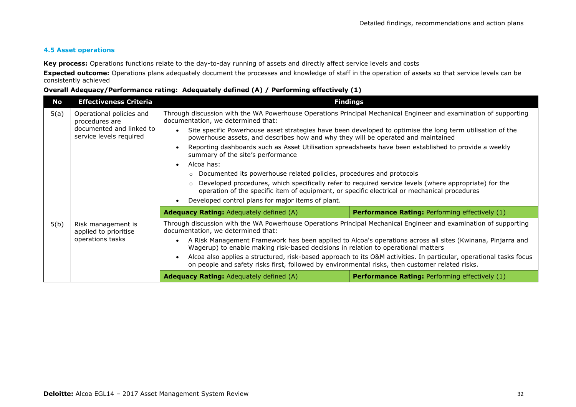#### **4.5 Asset operations**

**Key process:** Operations functions relate to the day-to-day running of assets and directly affect service levels and costs

**Expected outcome:** Operations plans adequately document the processes and knowledge of staff in the operation of assets so that service levels can be consistently achieved

| No   | <b>Effectiveness Criteria</b>                       |                                                                                                                                                        | <b>Findings</b>                                                                                                    |
|------|-----------------------------------------------------|--------------------------------------------------------------------------------------------------------------------------------------------------------|--------------------------------------------------------------------------------------------------------------------|
| 5(a) | Operational policies and<br>procedures are          | Through discussion with the WA Powerhouse Operations Principal Mechanical Engineer and examination of supporting<br>documentation, we determined that: |                                                                                                                    |
|      | documented and linked to<br>service levels required | $\bullet$<br>powerhouse assets, and describes how and why they will be operated and maintained                                                         | Site specific Powerhouse asset strategies have been developed to optimise the long term utilisation of the         |
|      |                                                     | summary of the site's performance                                                                                                                      | Reporting dashboards such as Asset Utilisation spreadsheets have been established to provide a weekly              |
|      |                                                     | Alcoa has:<br>$\bullet$                                                                                                                                |                                                                                                                    |
|      |                                                     | Documented its powerhouse related policies, procedures and protocols<br>$\circ$                                                                        |                                                                                                                    |
|      |                                                     | Developed procedures, which specifically refer to required service levels (where appropriate) for the<br>$\circ$                                       |                                                                                                                    |
|      |                                                     | operation of the specific item of equipment, or specific electrical or mechanical procedures                                                           |                                                                                                                    |
|      |                                                     | Developed control plans for major items of plant.                                                                                                      |                                                                                                                    |
|      |                                                     | <b>Adequacy Rating:</b> Adequately defined (A)                                                                                                         | <b>Performance Rating: Performing effectively (1)</b>                                                              |
| 5(b) | Risk management is<br>applied to prioritise         | Through discussion with the WA Powerhouse Operations Principal Mechanical Engineer and examination of supporting<br>documentation, we determined that: |                                                                                                                    |
|      | operations tasks                                    | $\bullet$<br>Wagerup) to enable making risk-based decisions in relation to operational matters                                                         | A Risk Management Framework has been applied to Alcoa's operations across all sites (Kwinana, Pinjarra and         |
|      |                                                     | on people and safety risks first, followed by environmental risks, then customer related risks.                                                        | Alcoa also applies a structured, risk-based approach to its O&M activities. In particular, operational tasks focus |
|      |                                                     | <b>Adequacy Rating:</b> Adequately defined (A)                                                                                                         | <b>Performance Rating: Performing effectively (1)</b>                                                              |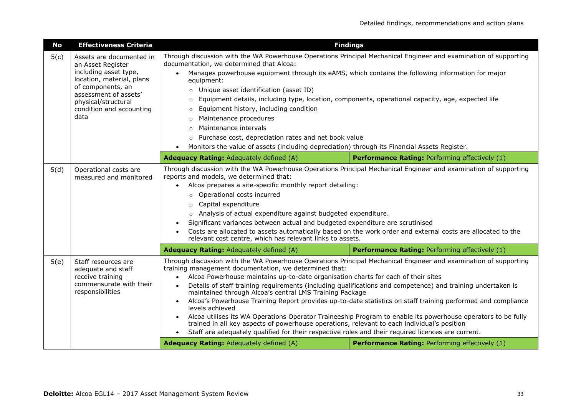| <b>No</b> | <b>Effectiveness Criteria</b>                                                                                                                                                                                |                                                                                                                                                                                                                                                                                                                                                                                                                                                                                                                                                                                                                                                                                                                                                                                                                                                                                                                                                       | <b>Findings</b>                                |
|-----------|--------------------------------------------------------------------------------------------------------------------------------------------------------------------------------------------------------------|-------------------------------------------------------------------------------------------------------------------------------------------------------------------------------------------------------------------------------------------------------------------------------------------------------------------------------------------------------------------------------------------------------------------------------------------------------------------------------------------------------------------------------------------------------------------------------------------------------------------------------------------------------------------------------------------------------------------------------------------------------------------------------------------------------------------------------------------------------------------------------------------------------------------------------------------------------|------------------------------------------------|
| 5(c)      | Assets are documented in<br>an Asset Register<br>including asset type,<br>location, material, plans<br>of components, an<br>assessment of assets'<br>physical/structural<br>condition and accounting<br>data | Through discussion with the WA Powerhouse Operations Principal Mechanical Engineer and examination of supporting<br>documentation, we determined that Alcoa:<br>Manages powerhouse equipment through its eAMS, which contains the following information for major<br>$\bullet$<br>equipment:<br>Unique asset identification (asset ID)<br>$\circ$<br>Equipment details, including type, location, components, operational capacity, age, expected life<br>$\circ$<br>Equipment history, including condition<br>$\circ$<br>Maintenance procedures<br>$\circ$<br>Maintenance intervals<br>$\Omega$<br>Purchase cost, depreciation rates and net book value<br>$\circ$<br>Monitors the value of assets (including depreciation) through its Financial Assets Register.<br>$\bullet$                                                                                                                                                                      |                                                |
|           |                                                                                                                                                                                                              | Adequacy Rating: Adequately defined (A)                                                                                                                                                                                                                                                                                                                                                                                                                                                                                                                                                                                                                                                                                                                                                                                                                                                                                                               | Performance Rating: Performing effectively (1) |
| 5(d)      | Operational costs are<br>measured and monitored                                                                                                                                                              | Through discussion with the WA Powerhouse Operations Principal Mechanical Engineer and examination of supporting<br>reports and models, we determined that:<br>Alcoa prepares a site-specific monthly report detailing:<br>o Operational costs incurred<br>Capital expenditure<br>$\circ$<br>o Analysis of actual expenditure against budgeted expenditure.<br>Significant variances between actual and budgeted expenditure are scrutinised<br>Costs are allocated to assets automatically based on the work order and external costs are allocated to the<br>relevant cost centre, which has relevant links to assets.                                                                                                                                                                                                                                                                                                                              |                                                |
|           |                                                                                                                                                                                                              | <b>Adequacy Rating: Adequately defined (A)</b>                                                                                                                                                                                                                                                                                                                                                                                                                                                                                                                                                                                                                                                                                                                                                                                                                                                                                                        | Performance Rating: Performing effectively (1) |
| 5(e)      | Staff resources are<br>adequate and staff<br>receive training<br>commensurate with their<br>responsibilities                                                                                                 | Through discussion with the WA Powerhouse Operations Principal Mechanical Engineer and examination of supporting<br>training management documentation, we determined that:<br>Alcoa Powerhouse maintains up-to-date organisation charts for each of their sites<br>$\bullet$<br>Details of staff training requirements (including qualifications and competence) and training undertaken is<br>$\bullet$<br>maintained through Alcoa's central LMS Training Package<br>Alcoa's Powerhouse Training Report provides up-to-date statistics on staff training performed and compliance<br>$\bullet$<br>levels achieved<br>Alcoa utilises its WA Operations Operator Traineeship Program to enable its powerhouse operators to be fully<br>trained in all key aspects of powerhouse operations, relevant to each individual's position<br>Staff are adequately qualified for their respective roles and their required licences are current.<br>$\bullet$ |                                                |
|           |                                                                                                                                                                                                              | Adequacy Rating: Adequately defined (A)                                                                                                                                                                                                                                                                                                                                                                                                                                                                                                                                                                                                                                                                                                                                                                                                                                                                                                               | Performance Rating: Performing effectively (1) |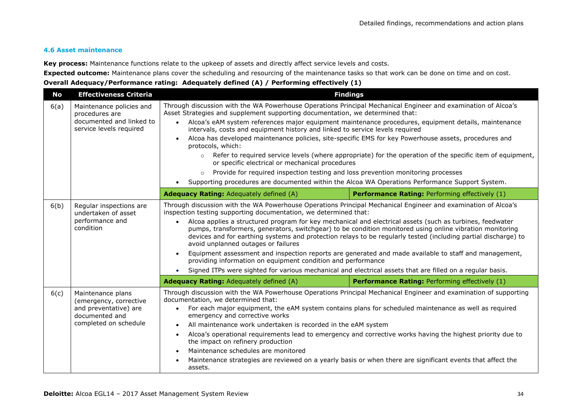#### **4.6 Asset maintenance**

**Key process:** Maintenance functions relate to the upkeep of assets and directly affect service levels and costs.

**Expected outcome:** Maintenance plans cover the scheduling and resourcing of the maintenance tasks so that work can be done on time and on cost.

| <b>No</b> | <b>Effectiveness Criteria</b>                                                                                   |                                                                                                                                                                                                                                                                                                                                                                                                                                                                                                                                                                                                                                                                                                                                                                                                                                                                                                                               | <b>Findings</b>                                       |
|-----------|-----------------------------------------------------------------------------------------------------------------|-------------------------------------------------------------------------------------------------------------------------------------------------------------------------------------------------------------------------------------------------------------------------------------------------------------------------------------------------------------------------------------------------------------------------------------------------------------------------------------------------------------------------------------------------------------------------------------------------------------------------------------------------------------------------------------------------------------------------------------------------------------------------------------------------------------------------------------------------------------------------------------------------------------------------------|-------------------------------------------------------|
| 6(a)      | Maintenance policies and<br>procedures are<br>documented and linked to<br>service levels required               | Through discussion with the WA Powerhouse Operations Principal Mechanical Engineer and examination of Alcoa's<br>Asset Strategies and supplement supporting documentation, we determined that:<br>• Alcoa's eAM system references major equipment maintenance procedures, equipment details, maintenance<br>intervals, costs and equipment history and linked to service levels required<br>Alcoa has developed maintenance policies, site-specific EMS for key Powerhouse assets, procedures and<br>$\bullet$<br>protocols, which:<br>Refer to required service levels (where appropriate) for the operation of the specific item of equipment,<br>$\circ$<br>or specific electrical or mechanical procedures<br>Provide for required inspection testing and loss prevention monitoring processes<br>$\circ$<br>Supporting procedures are documented within the Alcoa WA Operations Performance Support System.<br>$\bullet$ |                                                       |
|           |                                                                                                                 | <b>Adequacy Rating: Adequately defined (A)</b>                                                                                                                                                                                                                                                                                                                                                                                                                                                                                                                                                                                                                                                                                                                                                                                                                                                                                | Performance Rating: Performing effectively (1)        |
| 6(b)      | Regular inspections are<br>undertaken of asset<br>performance and<br>condition                                  | Through discussion with the WA Powerhouse Operations Principal Mechanical Engineer and examination of Alcoa's<br>inspection testing supporting documentation, we determined that:<br>Alcoa applies a structured program for key mechanical and electrical assets (such as turbines, feedwater<br>$\bullet$<br>pumps, transformers, generators, switchgear) to be condition monitored using online vibration monitoring<br>devices and for earthing systems and protection relays to be regularly tested (including partial discharge) to<br>avoid unplanned outages or failures<br>Equipment assessment and inspection reports are generated and made available to staff and management,<br>$\bullet$<br>providing information on equipment condition and performance<br>Signed ITPs were sighted for various mechanical and electrical assets that are filled on a regular basis.<br>$\bullet$                               |                                                       |
|           |                                                                                                                 | <b>Adequacy Rating: Adequately defined (A)</b>                                                                                                                                                                                                                                                                                                                                                                                                                                                                                                                                                                                                                                                                                                                                                                                                                                                                                | <b>Performance Rating: Performing effectively (1)</b> |
| 6(c)      | Maintenance plans<br>(emergency, corrective<br>and preventative) are<br>documented and<br>completed on schedule | Through discussion with the WA Powerhouse Operations Principal Mechanical Engineer and examination of supporting<br>documentation, we determined that:<br>For each major equipment, the eAM system contains plans for scheduled maintenance as well as required<br>$\bullet$<br>emergency and corrective works<br>All maintenance work undertaken is recorded in the eAM system<br>$\bullet$<br>Alcoa's operational requirements lead to emergency and corrective works having the highest priority due to<br>$\bullet$<br>the impact on refinery production<br>Maintenance schedules are monitored<br>$\bullet$<br>Maintenance strategies are reviewed on a yearly basis or when there are significant events that affect the<br>assets.                                                                                                                                                                                     |                                                       |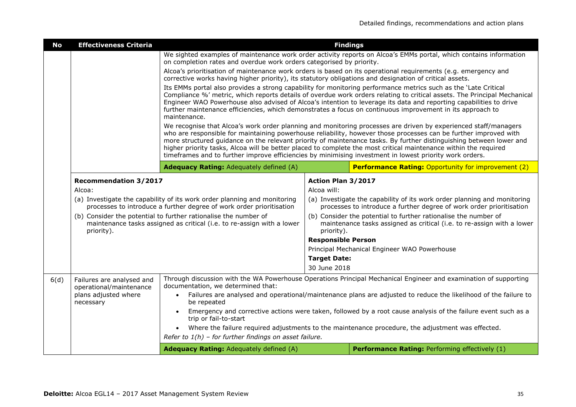| <b>No</b> | <b>Effectiveness Criteria</b>                                                                                                                           |                                                                                                                                                                                                                                                                                                                                                                                                                                                                                                                                                                                           | <b>Findings</b>                                                                                                                                         |                                                                                                                   |
|-----------|---------------------------------------------------------------------------------------------------------------------------------------------------------|-------------------------------------------------------------------------------------------------------------------------------------------------------------------------------------------------------------------------------------------------------------------------------------------------------------------------------------------------------------------------------------------------------------------------------------------------------------------------------------------------------------------------------------------------------------------------------------------|---------------------------------------------------------------------------------------------------------------------------------------------------------|-------------------------------------------------------------------------------------------------------------------|
|           |                                                                                                                                                         | on completion rates and overdue work orders categorised by priority.                                                                                                                                                                                                                                                                                                                                                                                                                                                                                                                      |                                                                                                                                                         | We sighted examples of maintenance work order activity reports on Alcoa's EMMs portal, which contains information |
|           |                                                                                                                                                         | corrective works having higher priority), its statutory obligations and designation of critical assets.                                                                                                                                                                                                                                                                                                                                                                                                                                                                                   |                                                                                                                                                         | Alcoa's prioritisation of maintenance work orders is based on its operational requirements (e.g. emergency and    |
|           |                                                                                                                                                         | Its EMMs portal also provides a strong capability for monitoring performance metrics such as the 'Late Critical<br>Compliance %' metric, which reports details of overdue work orders relating to critical assets. The Principal Mechanical<br>Engineer WAO Powerhouse also advised of Alcoa's intention to leverage its data and reporting capabilities to drive<br>further maintenance efficiencies, which demonstrates a focus on continuous improvement in its approach to<br>maintenance.                                                                                            |                                                                                                                                                         |                                                                                                                   |
|           |                                                                                                                                                         | We recognise that Alcoa's work order planning and monitoring processes are driven by experienced staff/managers<br>who are responsible for maintaining powerhouse reliability, however those processes can be further improved with<br>more structured guidance on the relevant priority of maintenance tasks. By further distinguishing between lower and<br>higher priority tasks, Alcoa will be better placed to complete the most critical maintenance within the required<br>timeframes and to further improve efficiencies by minimising investment in lowest priority work orders. |                                                                                                                                                         |                                                                                                                   |
|           |                                                                                                                                                         | Adequacy Rating: Adequately defined (A)                                                                                                                                                                                                                                                                                                                                                                                                                                                                                                                                                   |                                                                                                                                                         | <b>Performance Rating: Opportunity for improvement (2)</b>                                                        |
|           | <b>Recommendation 3/2017</b><br>Alcoa:                                                                                                                  |                                                                                                                                                                                                                                                                                                                                                                                                                                                                                                                                                                                           | Action Plan 3/2017<br>Alcoa will:                                                                                                                       |                                                                                                                   |
|           | (a) Investigate the capability of its work order planning and monitoring<br>processes to introduce a further degree of work order prioritisation        |                                                                                                                                                                                                                                                                                                                                                                                                                                                                                                                                                                                           | (a) Investigate the capability of its work order planning and monitoring<br>processes to introduce a further degree of work order prioritisation        |                                                                                                                   |
|           | (b) Consider the potential to further rationalise the number of<br>maintenance tasks assigned as critical (i.e. to re-assign with a lower<br>priority). |                                                                                                                                                                                                                                                                                                                                                                                                                                                                                                                                                                                           | (b) Consider the potential to further rationalise the number of<br>maintenance tasks assigned as critical (i.e. to re-assign with a lower<br>priority). |                                                                                                                   |
|           |                                                                                                                                                         |                                                                                                                                                                                                                                                                                                                                                                                                                                                                                                                                                                                           | <b>Responsible Person</b>                                                                                                                               |                                                                                                                   |
|           |                                                                                                                                                         |                                                                                                                                                                                                                                                                                                                                                                                                                                                                                                                                                                                           |                                                                                                                                                         | Principal Mechanical Engineer WAO Powerhouse                                                                      |
|           |                                                                                                                                                         |                                                                                                                                                                                                                                                                                                                                                                                                                                                                                                                                                                                           | <b>Target Date:</b><br>30 June 2018                                                                                                                     |                                                                                                                   |
| 6(d)      | Failures are analysed and<br>operational/maintenance                                                                                                    | documentation, we determined that:                                                                                                                                                                                                                                                                                                                                                                                                                                                                                                                                                        |                                                                                                                                                         | Through discussion with the WA Powerhouse Operations Principal Mechanical Engineer and examination of supporting  |
|           | plans adjusted where<br>necessary                                                                                                                       | $\bullet$<br>be repeated                                                                                                                                                                                                                                                                                                                                                                                                                                                                                                                                                                  |                                                                                                                                                         | Failures are analysed and operational/maintenance plans are adjusted to reduce the likelihood of the failure to   |
|           |                                                                                                                                                         | trip or fail-to-start                                                                                                                                                                                                                                                                                                                                                                                                                                                                                                                                                                     |                                                                                                                                                         | Emergency and corrective actions were taken, followed by a root cause analysis of the failure event such as a     |
|           |                                                                                                                                                         |                                                                                                                                                                                                                                                                                                                                                                                                                                                                                                                                                                                           |                                                                                                                                                         | Where the failure required adjustments to the maintenance procedure, the adjustment was effected.                 |
|           |                                                                                                                                                         | Refer to $1(h)$ - for further findings on asset failure.                                                                                                                                                                                                                                                                                                                                                                                                                                                                                                                                  |                                                                                                                                                         |                                                                                                                   |
|           |                                                                                                                                                         | Adequacy Rating: Adequately defined (A)                                                                                                                                                                                                                                                                                                                                                                                                                                                                                                                                                   |                                                                                                                                                         | Performance Rating: Performing effectively (1)                                                                    |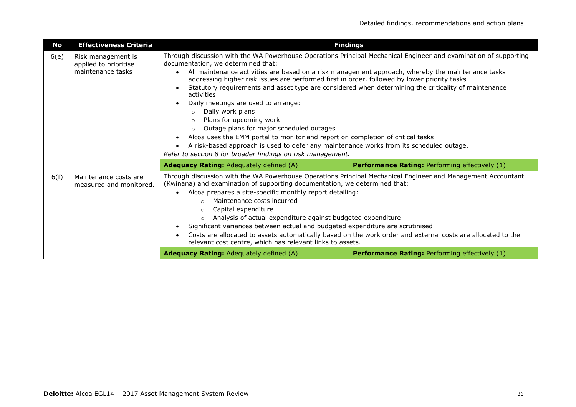| No   | <b>Effectiveness Criteria</b>                                    |                                                                                                                                                                                                                                                                                                                                                                                                                                                                                                                                                                                                                                                                                                                                                                                                                                                                                                     | <b>Findings</b>                                                                                             |
|------|------------------------------------------------------------------|-----------------------------------------------------------------------------------------------------------------------------------------------------------------------------------------------------------------------------------------------------------------------------------------------------------------------------------------------------------------------------------------------------------------------------------------------------------------------------------------------------------------------------------------------------------------------------------------------------------------------------------------------------------------------------------------------------------------------------------------------------------------------------------------------------------------------------------------------------------------------------------------------------|-------------------------------------------------------------------------------------------------------------|
| 6(e) | Risk management is<br>applied to prioritise<br>maintenance tasks | Through discussion with the WA Powerhouse Operations Principal Mechanical Engineer and examination of supporting<br>documentation, we determined that:<br>All maintenance activities are based on a risk management approach, whereby the maintenance tasks<br>addressing higher risk issues are performed first in order, followed by lower priority tasks<br>Statutory requirements and asset type are considered when determining the criticality of maintenance<br>activities<br>Daily meetings are used to arrange:<br>Daily work plans<br>$\circ$<br>Plans for upcoming work<br>$\Omega$<br>Outage plans for major scheduled outages<br>$\Omega$<br>Alcoa uses the EMM portal to monitor and report on completion of critical tasks<br>A risk-based approach is used to defer any maintenance works from its scheduled outage.<br>Refer to section 8 for broader findings on risk management. |                                                                                                             |
|      |                                                                  | <b>Adequacy Rating: Adequately defined (A)</b>                                                                                                                                                                                                                                                                                                                                                                                                                                                                                                                                                                                                                                                                                                                                                                                                                                                      | <b>Performance Rating: Performing effectively (1)</b>                                                       |
| 6(f) | Maintenance costs are<br>measured and monitored.                 | Through discussion with the WA Powerhouse Operations Principal Mechanical Engineer and Management Accountant<br>(Kwinana) and examination of supporting documentation, we determined that:<br>Alcoa prepares a site-specific monthly report detailing:<br>Maintenance costs incurred<br>$\circ$<br>Capital expenditure<br>$\circ$<br>Analysis of actual expenditure against budgeted expenditure<br>$\circ$<br>Significant variances between actual and budgeted expenditure are scrutinised<br>relevant cost centre, which has relevant links to assets.                                                                                                                                                                                                                                                                                                                                           | Costs are allocated to assets automatically based on the work order and external costs are allocated to the |
|      |                                                                  | <b>Adequacy Rating: Adequately defined (A)</b>                                                                                                                                                                                                                                                                                                                                                                                                                                                                                                                                                                                                                                                                                                                                                                                                                                                      | <b>Performance Rating: Performing effectively (1)</b>                                                       |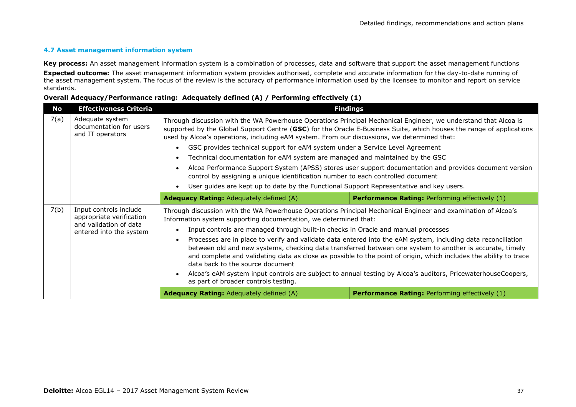#### **4.7 Asset management information system**

**Key process:** An asset management information system is a combination of processes, data and software that support the asset management functions **Expected outcome:** The asset management information system provides authorised, complete and accurate information for the day-to-date running of the asset management system. The focus of the review is the accuracy of performance information used by the licensee to monitor and report on service standards.

| No   | <b>Effectiveness Criteria</b>                                                                           | <b>Findings</b>                                                                                                                                                                                                                                                                                                                                                                                                                                                                                                                                                                                                                                                                                                    |                                                                                                                                                                                                                                                                                                                                                |
|------|---------------------------------------------------------------------------------------------------------|--------------------------------------------------------------------------------------------------------------------------------------------------------------------------------------------------------------------------------------------------------------------------------------------------------------------------------------------------------------------------------------------------------------------------------------------------------------------------------------------------------------------------------------------------------------------------------------------------------------------------------------------------------------------------------------------------------------------|------------------------------------------------------------------------------------------------------------------------------------------------------------------------------------------------------------------------------------------------------------------------------------------------------------------------------------------------|
| 7(a) | Adequate system<br>documentation for users<br>and IT operators                                          | Through discussion with the WA Powerhouse Operations Principal Mechanical Engineer, we understand that Alcoa is<br>supported by the Global Support Centre (GSC) for the Oracle E-Business Suite, which houses the range of applications<br>used by Alcoa's operations, including eAM system. From our discussions, we determined that:<br>GSC provides technical support for eAM system under a Service Level Agreement<br>$\bullet$<br>Technical documentation for eAM system are managed and maintained by the GSC<br>Alcoa Performance Support System (APSS) stores user support documentation and provides document version<br>control by assigning a unique identification number to each controlled document |                                                                                                                                                                                                                                                                                                                                                |
|      |                                                                                                         | User guides are kept up to date by the Functional Support Representative and key users.                                                                                                                                                                                                                                                                                                                                                                                                                                                                                                                                                                                                                            |                                                                                                                                                                                                                                                                                                                                                |
|      |                                                                                                         | <b>Adequacy Rating: Adequately defined (A)</b>                                                                                                                                                                                                                                                                                                                                                                                                                                                                                                                                                                                                                                                                     | <b>Performance Rating: Performing effectively (1)</b>                                                                                                                                                                                                                                                                                          |
| 7(b) | Input controls include<br>appropriate verification<br>and validation of data<br>entered into the system | Through discussion with the WA Powerhouse Operations Principal Mechanical Engineer and examination of Alcoa's<br>Information system supporting documentation, we determined that:<br>Input controls are managed through built-in checks in Oracle and manual processes<br>data back to the source document                                                                                                                                                                                                                                                                                                                                                                                                         | Processes are in place to verify and validate data entered into the eAM system, including data reconciliation<br>between old and new systems, checking data transferred between one system to another is accurate, timely<br>and complete and validating data as close as possible to the point of origin, which includes the ability to trace |
|      |                                                                                                         | as part of broader controls testing.                                                                                                                                                                                                                                                                                                                                                                                                                                                                                                                                                                                                                                                                               | Alcoa's eAM system input controls are subject to annual testing by Alcoa's auditors, PricewaterhouseCoopers,                                                                                                                                                                                                                                   |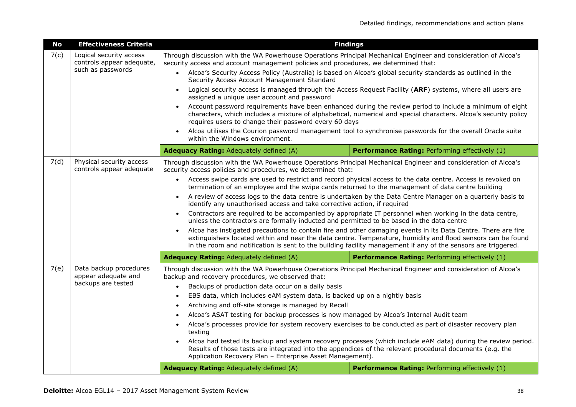| <b>No</b> | <b>Effectiveness Criteria</b>                        | <b>Findings</b>                                                                                                                                                                                        |                                                                                                                                                                                                                              |
|-----------|------------------------------------------------------|--------------------------------------------------------------------------------------------------------------------------------------------------------------------------------------------------------|------------------------------------------------------------------------------------------------------------------------------------------------------------------------------------------------------------------------------|
| 7(c)      | Logical security access<br>controls appear adequate, | Through discussion with the WA Powerhouse Operations Principal Mechanical Engineer and consideration of Alcoa's<br>security access and account management policies and procedures, we determined that: |                                                                                                                                                                                                                              |
|           | such as passwords                                    | Alcoa's Security Access Policy (Australia) is based on Alcoa's global security standards as outlined in the<br>$\bullet$<br>Security Access Account Management Standard                                |                                                                                                                                                                                                                              |
|           |                                                      | $\bullet$<br>assigned a unique user account and password                                                                                                                                               | Logical security access is managed through the Access Request Facility (ARF) systems, where all users are                                                                                                                    |
|           |                                                      | requires users to change their password every 60 days                                                                                                                                                  | Account password requirements have been enhanced during the review period to include a minimum of eight<br>characters, which includes a mixture of alphabetical, numerical and special characters. Alcoa's security policy   |
|           |                                                      | $\bullet$<br>within the Windows environment.                                                                                                                                                           | Alcoa utilises the Courion password management tool to synchronise passwords for the overall Oracle suite                                                                                                                    |
|           |                                                      | Adequacy Rating: Adequately defined (A)                                                                                                                                                                | Performance Rating: Performing effectively (1)                                                                                                                                                                               |
| 7(d)      | Physical security access<br>controls appear adequate | Through discussion with the WA Powerhouse Operations Principal Mechanical Engineer and consideration of Alcoa's<br>security access policies and procedures, we determined that:                        |                                                                                                                                                                                                                              |
|           |                                                      | $\bullet$<br>termination of an employee and the swipe cards returned to the management of data centre building                                                                                         | Access swipe cards are used to restrict and record physical access to the data centre. Access is revoked on                                                                                                                  |
|           |                                                      | identify any unauthorised access and take corrective action, if required                                                                                                                               | A review of access logs to the data centre is undertaken by the Data Centre Manager on a quarterly basis to                                                                                                                  |
|           |                                                      | $\bullet$<br>unless the contractors are formally inducted and permitted to be based in the data centre                                                                                                 | Contractors are required to be accompanied by appropriate IT personnel when working in the data centre,                                                                                                                      |
|           |                                                      | $\bullet$<br>in the room and notification is sent to the building facility management if any of the sensors are triggered.                                                                             | Alcoa has instigated precautions to contain fire and other damaging events in its Data Centre. There are fire<br>extinguishers located within and near the data centre. Temperature, humidity and flood sensors can be found |
|           |                                                      |                                                                                                                                                                                                        |                                                                                                                                                                                                                              |
|           |                                                      | <b>Adequacy Rating: Adequately defined (A)</b>                                                                                                                                                         | <b>Performance Rating: Performing effectively (1)</b>                                                                                                                                                                        |
| 7(e)      | Data backup procedures<br>appear adequate and        | Through discussion with the WA Powerhouse Operations Principal Mechanical Engineer and consideration of Alcoa's<br>backup and recovery procedures, we observed that:                                   |                                                                                                                                                                                                                              |
|           | backups are tested                                   | Backups of production data occur on a daily basis<br>$\bullet$                                                                                                                                         |                                                                                                                                                                                                                              |
|           |                                                      | EBS data, which includes eAM system data, is backed up on a nightly basis                                                                                                                              |                                                                                                                                                                                                                              |
|           |                                                      | Archiving and off-site storage is managed by Recall<br>$\bullet$                                                                                                                                       |                                                                                                                                                                                                                              |
|           |                                                      | Alcoa's ASAT testing for backup processes is now managed by Alcoa's Internal Audit team                                                                                                                |                                                                                                                                                                                                                              |
|           |                                                      | $\bullet$<br>testing                                                                                                                                                                                   | Alcoa's processes provide for system recovery exercises to be conducted as part of disaster recovery plan                                                                                                                    |
|           |                                                      | Application Recovery Plan - Enterprise Asset Management).                                                                                                                                              | Alcoa had tested its backup and system recovery processes (which include eAM data) during the review period.<br>Results of those tests are integrated into the appendices of the relevant procedural documents (e.g. the     |
|           |                                                      | Adequacy Rating: Adequately defined (A)                                                                                                                                                                | Performance Rating: Performing effectively (1)                                                                                                                                                                               |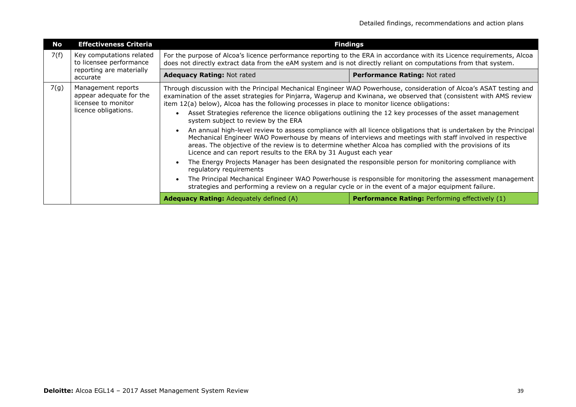| No   | <b>Effectiveness Criteria</b>                                                                | <b>Findings</b>                                                                                                                                                                                                                                                                                                                                                                                                                                          |                                                                                                                                                                                                                                                                                                                                           |  |
|------|----------------------------------------------------------------------------------------------|----------------------------------------------------------------------------------------------------------------------------------------------------------------------------------------------------------------------------------------------------------------------------------------------------------------------------------------------------------------------------------------------------------------------------------------------------------|-------------------------------------------------------------------------------------------------------------------------------------------------------------------------------------------------------------------------------------------------------------------------------------------------------------------------------------------|--|
| 7(f) | Key computations related<br>to licensee performance                                          | For the purpose of Alcoa's licence performance reporting to the ERA in accordance with its Licence requirements, Alcoa<br>does not directly extract data from the eAM system and is not directly reliant on computations from that system.                                                                                                                                                                                                               |                                                                                                                                                                                                                                                                                                                                           |  |
|      | reporting are materially<br>accurate                                                         | <b>Adequacy Rating: Not rated</b>                                                                                                                                                                                                                                                                                                                                                                                                                        | Performance Rating: Not rated                                                                                                                                                                                                                                                                                                             |  |
| 7(g) | Management reports<br>appear adequate for the<br>licensee to monitor<br>licence obligations. | Through discussion with the Principal Mechanical Engineer WAO Powerhouse, consideration of Alcoa's ASAT testing and<br>examination of the asset strategies for Pinjarra, Wagerup and Kwinana, we observed that (consistent with AMS review<br>item 12(a) below), Alcoa has the following processes in place to monitor licence obligations:<br>Asset Strategies reference the licence obligations outlining the 12 key processes of the asset management |                                                                                                                                                                                                                                                                                                                                           |  |
|      |                                                                                              | system subject to review by the ERA<br>Licence and can report results to the ERA by 31 August each year                                                                                                                                                                                                                                                                                                                                                  | An annual high-level review to assess compliance with all licence obligations that is undertaken by the Principal<br>Mechanical Engineer WAO Powerhouse by means of interviews and meetings with staff involved in respective<br>areas. The objective of the review is to determine whether Alcoa has complied with the provisions of its |  |
|      |                                                                                              | regulatory requirements                                                                                                                                                                                                                                                                                                                                                                                                                                  | The Energy Projects Manager has been designated the responsible person for monitoring compliance with                                                                                                                                                                                                                                     |  |
|      |                                                                                              | strategies and performing a review on a regular cycle or in the event of a major equipment failure.                                                                                                                                                                                                                                                                                                                                                      | The Principal Mechanical Engineer WAO Powerhouse is responsible for monitoring the assessment management                                                                                                                                                                                                                                  |  |
|      |                                                                                              | <b>Adequacy Rating: Adequately defined (A)</b>                                                                                                                                                                                                                                                                                                                                                                                                           | <b>Performance Rating: Performing effectively (1)</b>                                                                                                                                                                                                                                                                                     |  |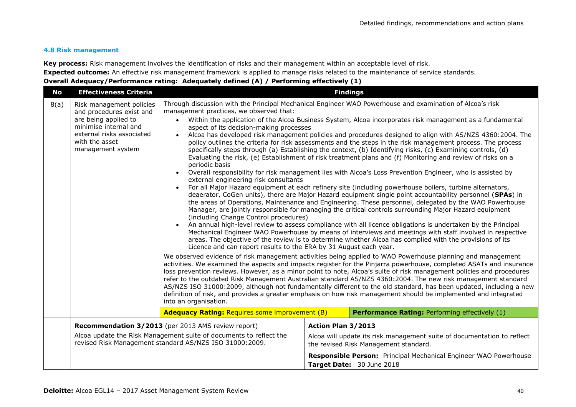#### **4.8 Risk management**

**Key process:** Risk management involves the identification of risks and their management within an acceptable level of risk.

**Expected outcome:** An effective risk management framework is applied to manage risks related to the maintenance of service standards.

| No   | <b>Effectiveness Criteria</b>                                                                                                 | <b>Findings</b>                                                                                                                                                                                                                                        |                                                                                                                                                                                                                                                                                                                                                                                                                                                                                                                                                                                                                                                                                                                                                                                                                                                                                                                                                                                                                                                                                                                                                                                                                                                                                                                                                                                                                                                                                                                                                                                                                                                                                                                                                                                                                                                                                                                                                                                                                                                                                                                                                                                          |  |
|------|-------------------------------------------------------------------------------------------------------------------------------|--------------------------------------------------------------------------------------------------------------------------------------------------------------------------------------------------------------------------------------------------------|------------------------------------------------------------------------------------------------------------------------------------------------------------------------------------------------------------------------------------------------------------------------------------------------------------------------------------------------------------------------------------------------------------------------------------------------------------------------------------------------------------------------------------------------------------------------------------------------------------------------------------------------------------------------------------------------------------------------------------------------------------------------------------------------------------------------------------------------------------------------------------------------------------------------------------------------------------------------------------------------------------------------------------------------------------------------------------------------------------------------------------------------------------------------------------------------------------------------------------------------------------------------------------------------------------------------------------------------------------------------------------------------------------------------------------------------------------------------------------------------------------------------------------------------------------------------------------------------------------------------------------------------------------------------------------------------------------------------------------------------------------------------------------------------------------------------------------------------------------------------------------------------------------------------------------------------------------------------------------------------------------------------------------------------------------------------------------------------------------------------------------------------------------------------------------------|--|
| 8(a) | Risk management policies<br>and procedures exist and                                                                          | Through discussion with the Principal Mechanical Engineer WAO Powerhouse and examination of Alcoa's risk<br>management practices, we observed that:                                                                                                    |                                                                                                                                                                                                                                                                                                                                                                                                                                                                                                                                                                                                                                                                                                                                                                                                                                                                                                                                                                                                                                                                                                                                                                                                                                                                                                                                                                                                                                                                                                                                                                                                                                                                                                                                                                                                                                                                                                                                                                                                                                                                                                                                                                                          |  |
|      | are being applied to<br>minimise internal and<br>external risks associated<br>with the asset<br>management system             | aspect of its decision-making processes<br>periodic basis<br>external engineering risk consultants<br>$\bullet$<br>(including Change Control procedures)<br>Licence and can report results to the ERA by 31 August each year.<br>into an organisation. | Within the application of the Alcoa Business System, Alcoa incorporates risk management as a fundamental<br>Alcoa has developed risk management policies and procedures designed to align with AS/NZS 4360:2004. The<br>policy outlines the criteria for risk assessments and the steps in the risk management process. The process<br>specifically steps through (a) Establishing the context, (b) Identifying risks, (c) Examining controls, (d)<br>Evaluating the risk, (e) Establishment of risk treatment plans and (f) Monitoring and review of risks on a<br>Overall responsibility for risk management lies with Alcoa's Loss Prevention Engineer, who is assisted by<br>For all Major Hazard equipment at each refinery site (including powerhouse boilers, turbine alternators,<br>deaerator, CoGen units), there are Major Hazard equipment single point accountability personnel (SPAs) in<br>the areas of Operations, Maintenance and Engineering. These personnel, delegated by the WAO Powerhouse<br>Manager, are jointly responsible for managing the critical controls surrounding Major Hazard equipment<br>An annual high-level review to assess compliance with all licence obligations is undertaken by the Principal<br>Mechanical Engineer WAO Powerhouse by means of interviews and meetings with staff involved in respective<br>areas. The objective of the review is to determine whether Alcoa has complied with the provisions of its<br>We observed evidence of risk management activities being applied to WAO Powerhouse planning and management<br>activities. We examined the aspects and impacts register for the Pinjarra powerhouse, completed ASATs and insurance<br>loss prevention reviews. However, as a minor point to note, Alcoa's suite of risk management policies and procedures<br>refer to the outdated Risk Management Australian standard AS/NZS 4360:2004. The new risk management standard<br>AS/NZS ISO 31000:2009, although not fundamentally different to the old standard, has been updated, including a new<br>definition of risk, and provides a greater emphasis on how risk management should be implemented and integrated |  |
|      |                                                                                                                               | <b>Adequacy Rating: Requires some improvement (B)</b><br>Performance Rating: Performing effectively (1)                                                                                                                                                |                                                                                                                                                                                                                                                                                                                                                                                                                                                                                                                                                                                                                                                                                                                                                                                                                                                                                                                                                                                                                                                                                                                                                                                                                                                                                                                                                                                                                                                                                                                                                                                                                                                                                                                                                                                                                                                                                                                                                                                                                                                                                                                                                                                          |  |
|      |                                                                                                                               | Recommendation 3/2013 (per 2013 AMS review report)                                                                                                                                                                                                     | Action Plan 3/2013                                                                                                                                                                                                                                                                                                                                                                                                                                                                                                                                                                                                                                                                                                                                                                                                                                                                                                                                                                                                                                                                                                                                                                                                                                                                                                                                                                                                                                                                                                                                                                                                                                                                                                                                                                                                                                                                                                                                                                                                                                                                                                                                                                       |  |
|      | Alcoa update the Risk Management suite of documents to reflect the<br>revised Risk Management standard AS/NZS ISO 31000:2009. |                                                                                                                                                                                                                                                        | Alcoa will update its risk management suite of documentation to reflect<br>the revised Risk Management standard.                                                                                                                                                                                                                                                                                                                                                                                                                                                                                                                                                                                                                                                                                                                                                                                                                                                                                                                                                                                                                                                                                                                                                                                                                                                                                                                                                                                                                                                                                                                                                                                                                                                                                                                                                                                                                                                                                                                                                                                                                                                                         |  |
|      |                                                                                                                               |                                                                                                                                                                                                                                                        | <b>Responsible Person:</b> Principal Mechanical Engineer WAO Powerhouse<br>Target Date: 30 June 2018                                                                                                                                                                                                                                                                                                                                                                                                                                                                                                                                                                                                                                                                                                                                                                                                                                                                                                                                                                                                                                                                                                                                                                                                                                                                                                                                                                                                                                                                                                                                                                                                                                                                                                                                                                                                                                                                                                                                                                                                                                                                                     |  |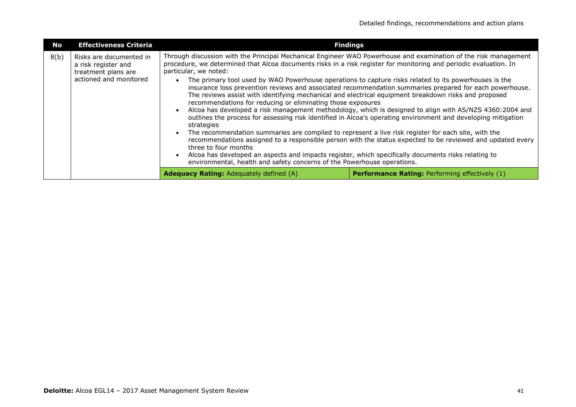| No   | <b>Effectiveness Criteria</b>                                                                                                                                                                                                                                                                                                                                                                                                                                                                                                                                                                                                                                                                                                                                                                                                                                                                                                                                                           | <b>Findings</b>                                                                                                                                                                                                                                                                                                                                                               |                                                                                                                                                                     |  |
|------|-----------------------------------------------------------------------------------------------------------------------------------------------------------------------------------------------------------------------------------------------------------------------------------------------------------------------------------------------------------------------------------------------------------------------------------------------------------------------------------------------------------------------------------------------------------------------------------------------------------------------------------------------------------------------------------------------------------------------------------------------------------------------------------------------------------------------------------------------------------------------------------------------------------------------------------------------------------------------------------------|-------------------------------------------------------------------------------------------------------------------------------------------------------------------------------------------------------------------------------------------------------------------------------------------------------------------------------------------------------------------------------|---------------------------------------------------------------------------------------------------------------------------------------------------------------------|--|
| 8(b) | Through discussion with the Principal Mechanical Engineer WAO Powerhouse and examination of the risk management<br>Risks are documented in<br>procedure, we determined that Alcoa documents risks in a risk register for monitoring and periodic evaluation. In<br>a risk register and<br>particular, we noted:<br>treatment plans are<br>actioned and monitored<br>The primary tool used by WAO Powerhouse operations to capture risks related to its powerhouses is the<br>insurance loss prevention reviews and associated recommendation summaries prepared for each powerhouse.<br>The reviews assist with identifying mechanical and electrical equipment breakdown risks and proposed<br>recommendations for reducing or eliminating those exposures<br>Alcoa has developed a risk management methodology, which is designed to align with AS/NZS 4360:2004 and<br>outlines the process for assessing risk identified in Alcoa's operating environment and developing mitigation |                                                                                                                                                                                                                                                                                                                                                                               |                                                                                                                                                                     |  |
|      |                                                                                                                                                                                                                                                                                                                                                                                                                                                                                                                                                                                                                                                                                                                                                                                                                                                                                                                                                                                         | strategies<br>The recommendation summaries are compiled to represent a live risk register for each site, with the<br>three to four months<br>Alcoa has developed an aspects and impacts register, which specifically documents risks relating to<br>environmental, health and safety concerns of the Powerhouse operations.<br><b>Adequacy Rating: Adequately defined (A)</b> | recommendations assigned to a responsible person with the status expected to be reviewed and updated every<br><b>Performance Rating: Performing effectively (1)</b> |  |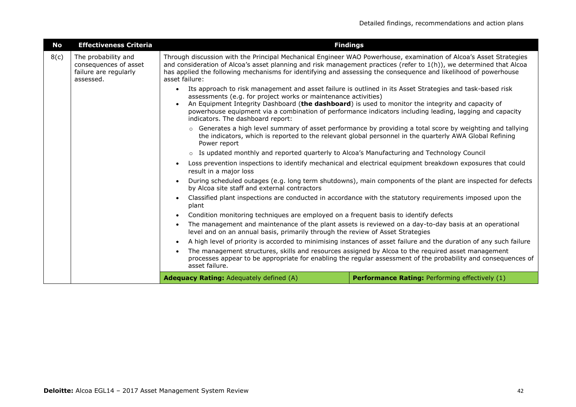| <b>No</b> | <b>Effectiveness Criteria</b>                                                                                                                                                                                                         | <b>Findings</b>                                                                                                                                                                                                                                                                                                                                                                                                           |                                                                                                                                                                                                                                                                                                                                                             |  |
|-----------|---------------------------------------------------------------------------------------------------------------------------------------------------------------------------------------------------------------------------------------|---------------------------------------------------------------------------------------------------------------------------------------------------------------------------------------------------------------------------------------------------------------------------------------------------------------------------------------------------------------------------------------------------------------------------|-------------------------------------------------------------------------------------------------------------------------------------------------------------------------------------------------------------------------------------------------------------------------------------------------------------------------------------------------------------|--|
| 8(c)      | The probability and<br>consequences of asset<br>failure are regularly<br>assessed.                                                                                                                                                    | asset failure:                                                                                                                                                                                                                                                                                                                                                                                                            | Through discussion with the Principal Mechanical Engineer WAO Powerhouse, examination of Alcoa's Asset Strategies<br>and consideration of Alcoa's asset planning and risk management practices (refer to 1(h)), we determined that Alcoa<br>has applied the following mechanisms for identifying and assessing the consequence and likelihood of powerhouse |  |
|           |                                                                                                                                                                                                                                       | Its approach to risk management and asset failure is outlined in its Asset Strategies and task-based risk<br>$\bullet$<br>assessments (e.g. for project works or maintenance activities)                                                                                                                                                                                                                                  |                                                                                                                                                                                                                                                                                                                                                             |  |
|           |                                                                                                                                                                                                                                       | An Equipment Integrity Dashboard (the dashboard) is used to monitor the integrity and capacity of<br>indicators. The dashboard report:                                                                                                                                                                                                                                                                                    | powerhouse equipment via a combination of performance indicators including leading, lagging and capacity                                                                                                                                                                                                                                                    |  |
|           |                                                                                                                                                                                                                                       | $\circ$ Generates a high level summary of asset performance by providing a total score by weighting and tallying<br>the indicators, which is reported to the relevant global personnel in the quarterly AWA Global Refining<br>Power report                                                                                                                                                                               |                                                                                                                                                                                                                                                                                                                                                             |  |
|           |                                                                                                                                                                                                                                       | o Is updated monthly and reported quarterly to Alcoa's Manufacturing and Technology Council                                                                                                                                                                                                                                                                                                                               |                                                                                                                                                                                                                                                                                                                                                             |  |
|           |                                                                                                                                                                                                                                       | Loss prevention inspections to identify mechanical and electrical equipment breakdown exposures that could<br>result in a major loss<br>During scheduled outages (e.g. long term shutdowns), main components of the plant are inspected for defects<br>by Alcoa site staff and external contractors<br>Classified plant inspections are conducted in accordance with the statutory requirements imposed upon the<br>plant |                                                                                                                                                                                                                                                                                                                                                             |  |
|           |                                                                                                                                                                                                                                       |                                                                                                                                                                                                                                                                                                                                                                                                                           |                                                                                                                                                                                                                                                                                                                                                             |  |
|           |                                                                                                                                                                                                                                       |                                                                                                                                                                                                                                                                                                                                                                                                                           |                                                                                                                                                                                                                                                                                                                                                             |  |
|           |                                                                                                                                                                                                                                       | Condition monitoring techniques are employed on a frequent basis to identify defects                                                                                                                                                                                                                                                                                                                                      |                                                                                                                                                                                                                                                                                                                                                             |  |
|           |                                                                                                                                                                                                                                       | The management and maintenance of the plant assets is reviewed on a day-to-day basis at an operational<br>level and on an annual basis, primarily through the review of Asset Strategies<br>A high level of priority is accorded to minimising instances of asset failure and the duration of any such failure                                                                                                            |                                                                                                                                                                                                                                                                                                                                                             |  |
|           |                                                                                                                                                                                                                                       |                                                                                                                                                                                                                                                                                                                                                                                                                           |                                                                                                                                                                                                                                                                                                                                                             |  |
|           | The management structures, skills and resources assigned by Alcoa to the required asset management<br>processes appear to be appropriate for enabling the regular assessment of the probability and consequences of<br>asset failure. |                                                                                                                                                                                                                                                                                                                                                                                                                           |                                                                                                                                                                                                                                                                                                                                                             |  |
|           |                                                                                                                                                                                                                                       | Adequacy Rating: Adequately defined (A)                                                                                                                                                                                                                                                                                                                                                                                   | Performance Rating: Performing effectively (1)                                                                                                                                                                                                                                                                                                              |  |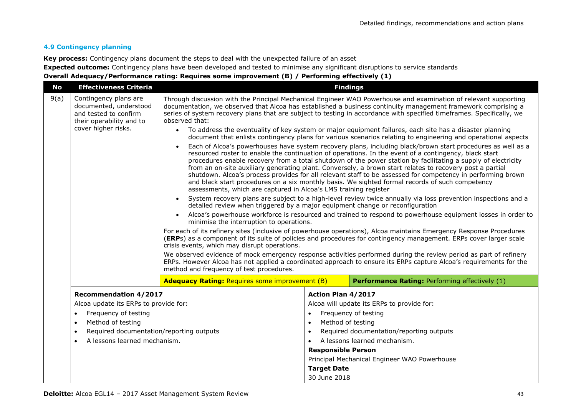#### **4.9 Contingency planning**

**Key process:** Contingency plans document the steps to deal with the unexpected failure of an asset

**Expected outcome:** Contingency plans have been developed and tested to minimise any significant disruptions to service standards

#### **Overall Adequacy/Performance rating: Requires some improvement (B) / Performing effectively (1)**

| <b>No</b> | <b>Effectiveness Criteria</b>                                                                                                                                                                                                         | <b>Findings</b>                                                                                                                                                                                                                                                                                                                                                                                                                                                                                                                                                                                                                                                                                                                         |                                                                                                |                                                                                                                                                                                                |
|-----------|---------------------------------------------------------------------------------------------------------------------------------------------------------------------------------------------------------------------------------------|-----------------------------------------------------------------------------------------------------------------------------------------------------------------------------------------------------------------------------------------------------------------------------------------------------------------------------------------------------------------------------------------------------------------------------------------------------------------------------------------------------------------------------------------------------------------------------------------------------------------------------------------------------------------------------------------------------------------------------------------|------------------------------------------------------------------------------------------------|------------------------------------------------------------------------------------------------------------------------------------------------------------------------------------------------|
| 9(a)      | Contingency plans are<br>documented, understood<br>and tested to confirm<br>their operability and to                                                                                                                                  | Through discussion with the Principal Mechanical Engineer WAO Powerhouse and examination of relevant supporting<br>documentation, we observed that Alcoa has established a business continuity management framework comprising a<br>series of system recovery plans that are subject to testing in accordance with specified timeframes. Specifically, we<br>observed that:                                                                                                                                                                                                                                                                                                                                                             |                                                                                                |                                                                                                                                                                                                |
|           | cover higher risks.                                                                                                                                                                                                                   | • To address the eventuality of key system or major equipment failures, each site has a disaster planning<br>document that enlists contingency plans for various scenarios relating to engineering and operational aspects                                                                                                                                                                                                                                                                                                                                                                                                                                                                                                              |                                                                                                |                                                                                                                                                                                                |
|           |                                                                                                                                                                                                                                       | Each of Alcoa's powerhouses have system recovery plans, including black/brown start procedures as well as a<br>resourced roster to enable the continuation of operations. In the event of a contingency, black start<br>procedures enable recovery from a total shutdown of the power station by facilitating a supply of electricity<br>from an on-site auxiliary generating plant. Conversely, a brown start relates to recovery post a partial<br>shutdown. Alcoa's process provides for all relevant staff to be assessed for competency in performing brown<br>and black start procedures on a six monthly basis. We sighted formal records of such competency<br>assessments, which are captured in Alcoa's LMS training register |                                                                                                |                                                                                                                                                                                                |
|           |                                                                                                                                                                                                                                       | System recovery plans are subject to a high-level review twice annually via loss prevention inspections and a<br>$\bullet$<br>detailed review when triggered by a major equipment change or reconfiguration                                                                                                                                                                                                                                                                                                                                                                                                                                                                                                                             |                                                                                                |                                                                                                                                                                                                |
|           |                                                                                                                                                                                                                                       | Alcoa's powerhouse workforce is resourced and trained to respond to powerhouse equipment losses in order to<br>$\bullet$<br>minimise the interruption to operations.                                                                                                                                                                                                                                                                                                                                                                                                                                                                                                                                                                    |                                                                                                |                                                                                                                                                                                                |
|           |                                                                                                                                                                                                                                       | For each of its refinery sites (inclusive of powerhouse operations), Alcoa maintains Emergency Response Procedures<br>(ERPs) as a component of its suite of policies and procedures for contingency management. ERPs cover larger scale<br>crisis events, which may disrupt operations.                                                                                                                                                                                                                                                                                                                                                                                                                                                 |                                                                                                |                                                                                                                                                                                                |
|           |                                                                                                                                                                                                                                       | We observed evidence of mock emergency response activities performed during the review period as part of refinery<br>ERPs. However Alcoa has not applied a coordinated approach to ensure its ERPs capture Alcoa's requirements for the<br>method and frequency of test procedures.                                                                                                                                                                                                                                                                                                                                                                                                                                                     |                                                                                                |                                                                                                                                                                                                |
|           |                                                                                                                                                                                                                                       | <b>Adequacy Rating: Requires some improvement (B)</b>                                                                                                                                                                                                                                                                                                                                                                                                                                                                                                                                                                                                                                                                                   |                                                                                                | Performance Rating: Performing effectively (1)                                                                                                                                                 |
|           | <b>Recommendation 4/2017</b><br>Alcoa update its ERPs to provide for:<br>Frequency of testing<br>$\bullet$<br>Method of testing<br>$\bullet$<br>Required documentation/reporting outputs<br>$\bullet$<br>A lessons learned mechanism. |                                                                                                                                                                                                                                                                                                                                                                                                                                                                                                                                                                                                                                                                                                                                         | Action Plan 4/2017<br>Method of testing<br>$\bullet$<br>$\bullet$<br><b>Responsible Person</b> | Alcoa will update its ERPs to provide for:<br>Frequency of testing<br>Required documentation/reporting outputs<br>A lessons learned mechanism.<br>Principal Mechanical Engineer WAO Powerhouse |
|           |                                                                                                                                                                                                                                       |                                                                                                                                                                                                                                                                                                                                                                                                                                                                                                                                                                                                                                                                                                                                         | <b>Target Date</b><br>30 June 2018                                                             |                                                                                                                                                                                                |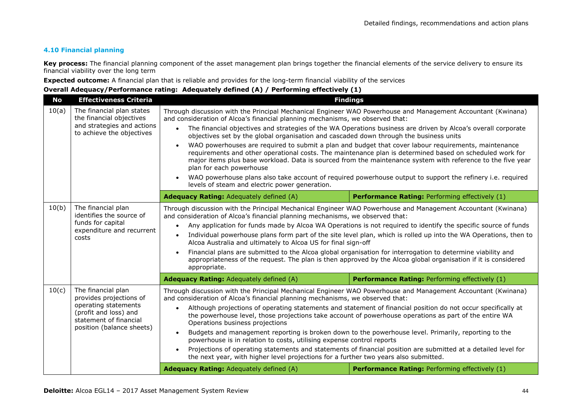#### **4.10 Financial planning**

**Key process:** The financial planning component of the asset management plan brings together the financial elements of the service delivery to ensure its financial viability over the long term

**Expected outcome:** A financial plan that is reliable and provides for the long-term financial viability of the services

| <b>No</b>                                                                                                                                                      | <b>Effectiveness Criteria</b>                                                                                    | <b>Findings</b>                                                                                                                                                                                                                                                                                                                                                                                                                                                                                                                                                                                                                                                                                                                                                                                                                                                                                                                                                   |                                                                                                                                                                                                                                                                                                                                                                                                                                                   |  |
|----------------------------------------------------------------------------------------------------------------------------------------------------------------|------------------------------------------------------------------------------------------------------------------|-------------------------------------------------------------------------------------------------------------------------------------------------------------------------------------------------------------------------------------------------------------------------------------------------------------------------------------------------------------------------------------------------------------------------------------------------------------------------------------------------------------------------------------------------------------------------------------------------------------------------------------------------------------------------------------------------------------------------------------------------------------------------------------------------------------------------------------------------------------------------------------------------------------------------------------------------------------------|---------------------------------------------------------------------------------------------------------------------------------------------------------------------------------------------------------------------------------------------------------------------------------------------------------------------------------------------------------------------------------------------------------------------------------------------------|--|
| 10(a)                                                                                                                                                          | The financial plan states<br>the financial objectives<br>and strategies and actions<br>to achieve the objectives | Through discussion with the Principal Mechanical Engineer WAO Powerhouse and Management Accountant (Kwinana)<br>and consideration of Alcoa's financial planning mechanisms, we observed that:<br>The financial objectives and strategies of the WA Operations business are driven by Alcoa's overall corporate<br>$\bullet$<br>objectives set by the global organisation and cascaded down through the business units<br>WAO powerhouses are required to submit a plan and budget that cover labour requirements, maintenance<br>$\bullet$<br>requirements and other operational costs. The maintenance plan is determined based on scheduled work for<br>major items plus base workload. Data is sourced from the maintenance system with reference to the five year<br>plan for each powerhouse<br>WAO powerhouse plans also take account of required powerhouse output to support the refinery i.e. required<br>levels of steam and electric power generation. |                                                                                                                                                                                                                                                                                                                                                                                                                                                   |  |
|                                                                                                                                                                |                                                                                                                  | Adequacy Rating: Adequately defined (A)                                                                                                                                                                                                                                                                                                                                                                                                                                                                                                                                                                                                                                                                                                                                                                                                                                                                                                                           | Performance Rating: Performing effectively (1)                                                                                                                                                                                                                                                                                                                                                                                                    |  |
| 10(b)                                                                                                                                                          | The financial plan<br>identifies the source of<br>funds for capital<br>expenditure and recurrent<br>costs        | Through discussion with the Principal Mechanical Engineer WAO Powerhouse and Management Accountant (Kwinana)<br>and consideration of Alcoa's financial planning mechanisms, we observed that:<br>Any application for funds made by Alcoa WA Operations is not required to identify the specific source of funds<br>$\bullet$<br>Individual powerhouse plans form part of the site level plan, which is rolled up into the WA Operations, then to<br>Alcoa Australia and ultimately to Alcoa US for final sign-off<br>Financial plans are submitted to the Alcoa global organisation for interrogation to determine viability and<br>$\bullet$<br>appropriateness of the request. The plan is then approved by the Alcoa global organisation if it is considered<br>appropriate.                                                                                                                                                                                   |                                                                                                                                                                                                                                                                                                                                                                                                                                                   |  |
|                                                                                                                                                                |                                                                                                                  | <b>Adequacy Rating: Adequately defined (A)</b>                                                                                                                                                                                                                                                                                                                                                                                                                                                                                                                                                                                                                                                                                                                                                                                                                                                                                                                    | Performance Rating: Performing effectively (1)                                                                                                                                                                                                                                                                                                                                                                                                    |  |
| 10(c)<br>The financial plan<br>provides projections of<br>operating statements<br>(profit and loss) and<br>statement of financial<br>position (balance sheets) |                                                                                                                  | Through discussion with the Principal Mechanical Engineer WAO Powerhouse and Management Accountant (Kwinana)<br>and consideration of Alcoa's financial planning mechanisms, we observed that:<br>$\bullet$<br>Operations business projections<br>powerhouse is in relation to costs, utilising expense control reports<br>$\bullet$<br>the next year, with higher level projections for a further two years also submitted.                                                                                                                                                                                                                                                                                                                                                                                                                                                                                                                                       | Although projections of operating statements and statement of financial position do not occur specifically at<br>the powerhouse level, those projections take account of powerhouse operations as part of the entire WA<br>Budgets and management reporting is broken down to the powerhouse level. Primarily, reporting to the<br>Projections of operating statements and statements of financial position are submitted at a detailed level for |  |
|                                                                                                                                                                |                                                                                                                  | Adequacy Rating: Adequately defined (A)                                                                                                                                                                                                                                                                                                                                                                                                                                                                                                                                                                                                                                                                                                                                                                                                                                                                                                                           | Performance Rating: Performing effectively (1)                                                                                                                                                                                                                                                                                                                                                                                                    |  |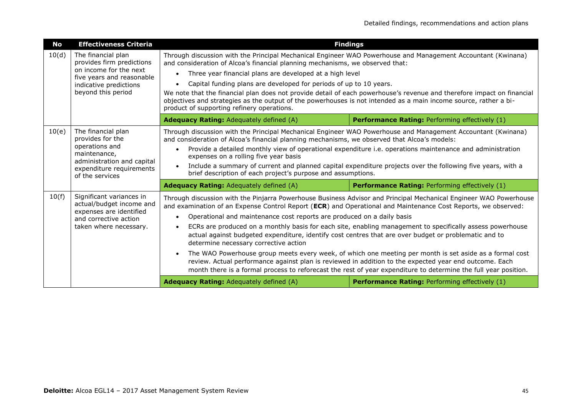| No    | <b>Effectiveness Criteria</b>                                                                                                                          |                                                                                                                                                                                                                                                                                                                                                                                                                                                                                                                                                                                                                             | <b>Findings</b>                                                                                                                                                                                                                                                                                                                                                                                                                                                                                                                                                        |  |  |
|-------|--------------------------------------------------------------------------------------------------------------------------------------------------------|-----------------------------------------------------------------------------------------------------------------------------------------------------------------------------------------------------------------------------------------------------------------------------------------------------------------------------------------------------------------------------------------------------------------------------------------------------------------------------------------------------------------------------------------------------------------------------------------------------------------------------|------------------------------------------------------------------------------------------------------------------------------------------------------------------------------------------------------------------------------------------------------------------------------------------------------------------------------------------------------------------------------------------------------------------------------------------------------------------------------------------------------------------------------------------------------------------------|--|--|
| 10(d) | The financial plan<br>provides firm predictions<br>on income for the next<br>five years and reasonable<br>indicative predictions<br>beyond this period | Through discussion with the Principal Mechanical Engineer WAO Powerhouse and Management Accountant (Kwinana)<br>and consideration of Alcoa's financial planning mechanisms, we observed that:<br>Three year financial plans are developed at a high level<br>Capital funding plans are developed for periods of up to 10 years.<br>We note that the financial plan does not provide detail of each powerhouse's revenue and therefore impact on financial<br>objectives and strategies as the output of the powerhouses is not intended as a main income source, rather a bi-<br>product of supporting refinery operations. |                                                                                                                                                                                                                                                                                                                                                                                                                                                                                                                                                                        |  |  |
|       |                                                                                                                                                        | Adequacy Rating: Adequately defined (A)                                                                                                                                                                                                                                                                                                                                                                                                                                                                                                                                                                                     | <b>Performance Rating: Performing effectively (1)</b>                                                                                                                                                                                                                                                                                                                                                                                                                                                                                                                  |  |  |
| 10(e) | The financial plan<br>provides for the<br>operations and<br>maintenance,<br>administration and capital<br>expenditure requirements<br>of the services  | Through discussion with the Principal Mechanical Engineer WAO Powerhouse and Management Accountant (Kwinana)<br>and consideration of Alcoa's financial planning mechanisms, we observed that Alcoa's models:<br>Provide a detailed monthly view of operational expenditure i.e. operations maintenance and administration<br>expenses on a rolling five year basis<br>Include a summary of current and planned capital expenditure projects over the following five years, with a<br>$\bullet$<br>brief description of each project's purpose and assumptions.                                                              |                                                                                                                                                                                                                                                                                                                                                                                                                                                                                                                                                                        |  |  |
|       |                                                                                                                                                        | <b>Adequacy Rating: Adequately defined (A)</b>                                                                                                                                                                                                                                                                                                                                                                                                                                                                                                                                                                              | Performance Rating: Performing effectively (1)                                                                                                                                                                                                                                                                                                                                                                                                                                                                                                                         |  |  |
| 10(f) | Significant variances in<br>actual/budget income and<br>expenses are identified<br>and corrective action<br>taken where necessary.                     | and examination of an Expense Control Report (ECR) and Operational and Maintenance Cost Reports, we observed:<br>Operational and maintenance cost reports are produced on a daily basis<br>$\bullet$<br>actual against budgeted expenditure, identify cost centres that are over budget or problematic and to<br>determine necessary corrective action<br>$\bullet$                                                                                                                                                                                                                                                         | Through discussion with the Pinjarra Powerhouse Business Advisor and Principal Mechanical Engineer WAO Powerhouse<br>ECRs are produced on a monthly basis for each site, enabling management to specifically assess powerhouse<br>The WAO Powerhouse group meets every week, of which one meeting per month is set aside as a formal cost<br>review. Actual performance against plan is reviewed in addition to the expected year end outcome. Each<br>month there is a formal process to reforecast the rest of year expenditure to determine the full year position. |  |  |
|       |                                                                                                                                                        | <b>Adequacy Rating: Adequately defined (A)</b>                                                                                                                                                                                                                                                                                                                                                                                                                                                                                                                                                                              | <b>Performance Rating: Performing effectively (1)</b>                                                                                                                                                                                                                                                                                                                                                                                                                                                                                                                  |  |  |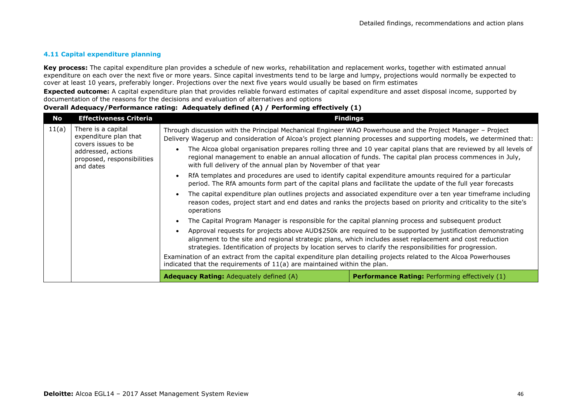#### **4.11 Capital expenditure planning**

**Key process:** The capital expenditure plan provides a schedule of new works, rehabilitation and replacement works, together with estimated annual expenditure on each over the next five or more years. Since capital investments tend to be large and lumpy, projections would normally be expected to cover at least 10 years, preferably longer. Projections over the next five years would usually be based on firm estimates

**Expected outcome:** A capital expenditure plan that provides reliable forward estimates of capital expenditure and asset disposal income, supported by documentation of the reasons for the decisions and evaluation of alternatives and options

| No    | <b>Effectiveness Criteria</b>                                                                                                       |                                                                                                                                                                                                                                                                                                                          | <b>Findings</b>                                                                                                                                                                                                                                                                                                                                                                                                                                                                                                                                                                |
|-------|-------------------------------------------------------------------------------------------------------------------------------------|--------------------------------------------------------------------------------------------------------------------------------------------------------------------------------------------------------------------------------------------------------------------------------------------------------------------------|--------------------------------------------------------------------------------------------------------------------------------------------------------------------------------------------------------------------------------------------------------------------------------------------------------------------------------------------------------------------------------------------------------------------------------------------------------------------------------------------------------------------------------------------------------------------------------|
| 11(a) | There is a capital<br>expenditure plan that<br>covers issues to be<br>addressed, actions<br>proposed, responsibilities<br>and dates | Through discussion with the Principal Mechanical Engineer WAO Powerhouse and the Project Manager - Project<br>$\bullet$<br>with full delivery of the annual plan by November of that year                                                                                                                                | Delivery Wagerup and consideration of Alcoa's project planning processes and supporting models, we determined that:<br>The Alcoa global organisation prepares rolling three and 10 year capital plans that are reviewed by all levels of<br>regional management to enable an annual allocation of funds. The capital plan process commences in July,<br>RfA templates and procedures are used to identify capital expenditure amounts required for a particular<br>period. The RfA amounts form part of the capital plans and facilitate the update of the full year forecasts |
|       |                                                                                                                                     | $\bullet$<br>operations                                                                                                                                                                                                                                                                                                  | The capital expenditure plan outlines projects and associated expenditure over a ten year timeframe including<br>reason codes, project start and end dates and ranks the projects based on priority and criticality to the site's                                                                                                                                                                                                                                                                                                                                              |
|       |                                                                                                                                     | The Capital Program Manager is responsible for the capital planning process and subsequent product                                                                                                                                                                                                                       |                                                                                                                                                                                                                                                                                                                                                                                                                                                                                                                                                                                |
|       |                                                                                                                                     | $\bullet$<br>strategies. Identification of projects by location serves to clarify the responsibilities for progression.<br>Examination of an extract from the capital expenditure plan detailing projects related to the Alcoa Powerhouses<br>indicated that the requirements of $11(a)$ are maintained within the plan. | Approval requests for projects above AUD\$250k are required to be supported by justification demonstrating<br>alignment to the site and regional strategic plans, which includes asset replacement and cost reduction                                                                                                                                                                                                                                                                                                                                                          |
|       |                                                                                                                                     | <b>Adequacy Rating:</b> Adequately defined (A)                                                                                                                                                                                                                                                                           | <b>Performance Rating:</b> Performing effectively (1)                                                                                                                                                                                                                                                                                                                                                                                                                                                                                                                          |
|       |                                                                                                                                     |                                                                                                                                                                                                                                                                                                                          |                                                                                                                                                                                                                                                                                                                                                                                                                                                                                                                                                                                |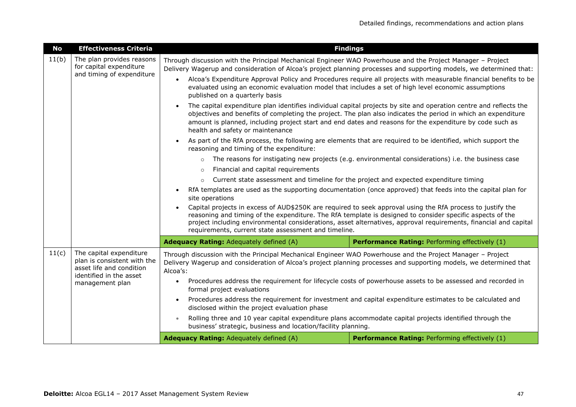| <b>No</b>                                                                                                                                                                                                                                                                                                                                                                                           | <b>Effectiveness Criteria</b>                                                                                                    |                                                                                                                                                                                                                                                                                                                                                                                                                                                                                                             | <b>Findings</b>                                                                                                                                                                                                                                                                                                                   |  |
|-----------------------------------------------------------------------------------------------------------------------------------------------------------------------------------------------------------------------------------------------------------------------------------------------------------------------------------------------------------------------------------------------------|----------------------------------------------------------------------------------------------------------------------------------|-------------------------------------------------------------------------------------------------------------------------------------------------------------------------------------------------------------------------------------------------------------------------------------------------------------------------------------------------------------------------------------------------------------------------------------------------------------------------------------------------------------|-----------------------------------------------------------------------------------------------------------------------------------------------------------------------------------------------------------------------------------------------------------------------------------------------------------------------------------|--|
| 11(b)                                                                                                                                                                                                                                                                                                                                                                                               | The plan provides reasons<br>for capital expenditure<br>and timing of expenditure                                                | Through discussion with the Principal Mechanical Engineer WAO Powerhouse and the Project Manager - Project<br>Delivery Wagerup and consideration of Alcoa's project planning processes and supporting models, we determined that:<br>Alcoa's Expenditure Approval Policy and Procedures require all projects with measurable financial benefits to be<br>$\bullet$<br>evaluated using an economic evaluation model that includes a set of high level economic assumptions<br>published on a quarterly basis |                                                                                                                                                                                                                                                                                                                                   |  |
|                                                                                                                                                                                                                                                                                                                                                                                                     |                                                                                                                                  | The capital expenditure plan identifies individual capital projects by site and operation centre and reflects the<br>objectives and benefits of completing the project. The plan also indicates the period in which an expenditure<br>amount is planned, including project start and end dates and reasons for the expenditure by code such as<br>health and safety or maintenance                                                                                                                          |                                                                                                                                                                                                                                                                                                                                   |  |
|                                                                                                                                                                                                                                                                                                                                                                                                     |                                                                                                                                  | reasoning and timing of the expenditure:                                                                                                                                                                                                                                                                                                                                                                                                                                                                    | As part of the RfA process, the following are elements that are required to be identified, which support the                                                                                                                                                                                                                      |  |
|                                                                                                                                                                                                                                                                                                                                                                                                     |                                                                                                                                  | The reasons for instigating new projects (e.g. environmental considerations) i.e. the business case<br>$\circ$                                                                                                                                                                                                                                                                                                                                                                                              |                                                                                                                                                                                                                                                                                                                                   |  |
|                                                                                                                                                                                                                                                                                                                                                                                                     | Financial and capital requirements                                                                                               |                                                                                                                                                                                                                                                                                                                                                                                                                                                                                                             |                                                                                                                                                                                                                                                                                                                                   |  |
| Current state assessment and timeline for the project and expected expenditure timing<br>$\circ$                                                                                                                                                                                                                                                                                                    |                                                                                                                                  |                                                                                                                                                                                                                                                                                                                                                                                                                                                                                                             |                                                                                                                                                                                                                                                                                                                                   |  |
|                                                                                                                                                                                                                                                                                                                                                                                                     |                                                                                                                                  | RfA templates are used as the supporting documentation (once approved) that feeds into the capital plan for<br>site operations                                                                                                                                                                                                                                                                                                                                                                              |                                                                                                                                                                                                                                                                                                                                   |  |
| Capital projects in excess of AUD\$250K are required to seek approval using the RfA process to justify the<br>reasoning and timing of the expenditure. The RfA template is designed to consider specific aspects of the<br>project including environmental considerations, asset alternatives, approval requirements, financial and capital<br>requirements, current state assessment and timeline. |                                                                                                                                  |                                                                                                                                                                                                                                                                                                                                                                                                                                                                                                             |                                                                                                                                                                                                                                                                                                                                   |  |
|                                                                                                                                                                                                                                                                                                                                                                                                     |                                                                                                                                  | <b>Adequacy Rating: Adequately defined (A)</b>                                                                                                                                                                                                                                                                                                                                                                                                                                                              | Performance Rating: Performing effectively (1)                                                                                                                                                                                                                                                                                    |  |
| 11(c)                                                                                                                                                                                                                                                                                                                                                                                               | The capital expenditure<br>plan is consistent with the<br>asset life and condition<br>identified in the asset<br>management plan | Through discussion with the Principal Mechanical Engineer WAO Powerhouse and the Project Manager - Project<br>Delivery Wagerup and consideration of Alcoa's project planning processes and supporting models, we determined that<br>Alcoa's:<br>$\bullet$<br>formal project evaluations<br>disclosed within the project evaluation phase<br>business' strategic, business and location/facility planning.                                                                                                   | Procedures address the requirement for lifecycle costs of powerhouse assets to be assessed and recorded in<br>Procedures address the requirement for investment and capital expenditure estimates to be calculated and<br>Rolling three and 10 year capital expenditure plans accommodate capital projects identified through the |  |
|                                                                                                                                                                                                                                                                                                                                                                                                     |                                                                                                                                  | <b>Adequacy Rating: Adequately defined (A)</b>                                                                                                                                                                                                                                                                                                                                                                                                                                                              | Performance Rating: Performing effectively (1)                                                                                                                                                                                                                                                                                    |  |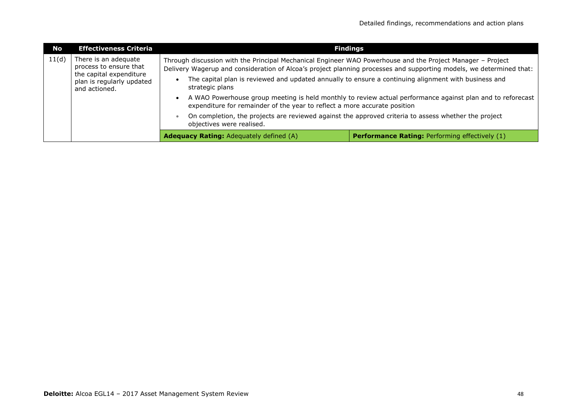| No    | <b>Effectiveness Criteria</b>                                                                                           |                                                                                                                                                                                                                                                                                                                                                                                                                                                         | <b>Findings</b>                                                                                                                                                                                                                   |
|-------|-------------------------------------------------------------------------------------------------------------------------|---------------------------------------------------------------------------------------------------------------------------------------------------------------------------------------------------------------------------------------------------------------------------------------------------------------------------------------------------------------------------------------------------------------------------------------------------------|-----------------------------------------------------------------------------------------------------------------------------------------------------------------------------------------------------------------------------------|
| 11(d) | There is an adequate<br>process to ensure that<br>the capital expenditure<br>plan is regularly updated<br>and actioned. | Through discussion with the Principal Mechanical Engineer WAO Powerhouse and the Project Manager - Project<br>The capital plan is reviewed and updated annually to ensure a continuing alignment with business and<br>strategic plans<br>expenditure for remainder of the year to reflect a more accurate position<br>On completion, the projects are reviewed against the approved criteria to assess whether the project<br>objectives were realised. | Delivery Wagerup and consideration of Alcoa's project planning processes and supporting models, we determined that:<br>A WAO Powerhouse group meeting is held monthly to review actual performance against plan and to reforecast |
|       |                                                                                                                         | <b>Adequacy Rating:</b> Adequately defined (A)                                                                                                                                                                                                                                                                                                                                                                                                          | <b>Performance Rating: Performing effectively (1)</b>                                                                                                                                                                             |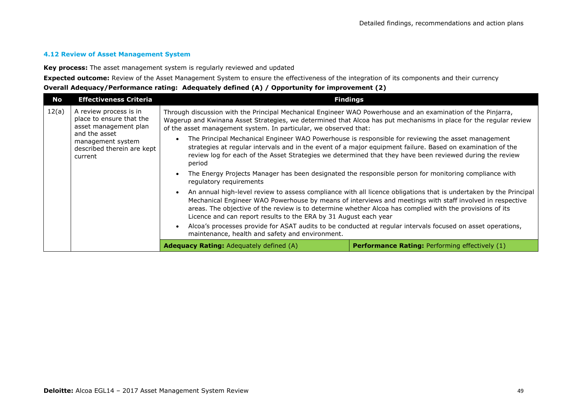#### **4.12 Review of Asset Management System**

**Key process:** The asset management system is regularly reviewed and updated

**Expected outcome:** Review of the Asset Management System to ensure the effectiveness of the integration of its components and their currency **Overall Adequacy/Performance rating: Adequately defined (A) / Opportunity for improvement (2)**

| No    | <b>Effectiveness Criteria</b>                                                                                                                              | <b>Findings</b>                                                                                                                                                                                                                                                                                                                                                                                                                                                                                                                                                                                                                                                                     |                                                                                                                                                                                                                                                                                                                                                                                                                                                                                                                                                                                                                                                                                 |
|-------|------------------------------------------------------------------------------------------------------------------------------------------------------------|-------------------------------------------------------------------------------------------------------------------------------------------------------------------------------------------------------------------------------------------------------------------------------------------------------------------------------------------------------------------------------------------------------------------------------------------------------------------------------------------------------------------------------------------------------------------------------------------------------------------------------------------------------------------------------------|---------------------------------------------------------------------------------------------------------------------------------------------------------------------------------------------------------------------------------------------------------------------------------------------------------------------------------------------------------------------------------------------------------------------------------------------------------------------------------------------------------------------------------------------------------------------------------------------------------------------------------------------------------------------------------|
| 12(a) | A review process is in<br>place to ensure that the<br>asset management plan<br>and the asset<br>management system<br>described therein are kept<br>current | Through discussion with the Principal Mechanical Engineer WAO Powerhouse and an examination of the Pinjarra,<br>Wagerup and Kwinana Asset Strategies, we determined that Alcoa has put mechanisms in place for the regular review<br>of the asset management system. In particular, we observed that:<br>The Principal Mechanical Engineer WAO Powerhouse is responsible for reviewing the asset management<br>period<br>regulatory requirements<br>areas. The objective of the review is to determine whether Alcoa has complied with the provisions of its<br>Licence and can report results to the ERA by 31 August each year<br>maintenance, health and safety and environment. | strategies at regular intervals and in the event of a major equipment failure. Based on examination of the<br>review log for each of the Asset Strategies we determined that they have been reviewed during the review<br>The Energy Projects Manager has been designated the responsible person for monitoring compliance with<br>An annual high-level review to assess compliance with all licence obligations that is undertaken by the Principal<br>Mechanical Engineer WAO Powerhouse by means of interviews and meetings with staff involved in respective<br>Alcoa's processes provide for ASAT audits to be conducted at regular intervals focused on asset operations, |
|       |                                                                                                                                                            | <b>Adequacy Rating:</b> Adequately defined (A)                                                                                                                                                                                                                                                                                                                                                                                                                                                                                                                                                                                                                                      | <b>Performance Rating: Performing effectively (1)</b>                                                                                                                                                                                                                                                                                                                                                                                                                                                                                                                                                                                                                           |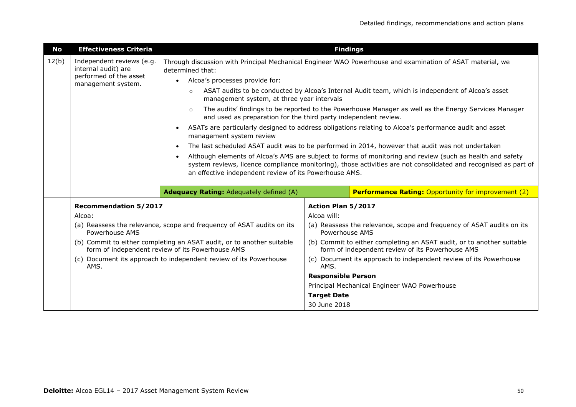| No                                                                                                                                                                                 | <b>Effectiveness Criteria</b>                    | <b>Findings</b>                                                                                                                                                                                                                                                                        |                    |                                                                                                                           |
|------------------------------------------------------------------------------------------------------------------------------------------------------------------------------------|--------------------------------------------------|----------------------------------------------------------------------------------------------------------------------------------------------------------------------------------------------------------------------------------------------------------------------------------------|--------------------|---------------------------------------------------------------------------------------------------------------------------|
| 12(b)                                                                                                                                                                              | Independent reviews (e.g.<br>internal audit) are | Through discussion with Principal Mechanical Engineer WAO Powerhouse and examination of ASAT material, we<br>determined that:                                                                                                                                                          |                    |                                                                                                                           |
|                                                                                                                                                                                    | performed of the asset<br>management system.     | Alcoa's processes provide for:<br>$\bullet$                                                                                                                                                                                                                                            |                    |                                                                                                                           |
|                                                                                                                                                                                    |                                                  | ASAT audits to be conducted by Alcoa's Internal Audit team, which is independent of Alcoa's asset<br>$\circ$<br>management system, at three year intervals                                                                                                                             |                    |                                                                                                                           |
| The audits' findings to be reported to the Powerhouse Manager as well as the Energy Services Manager<br>$\circ$<br>and used as preparation for the third party independent review. |                                                  |                                                                                                                                                                                                                                                                                        |                    |                                                                                                                           |
|                                                                                                                                                                                    |                                                  | ASATs are particularly designed to address obligations relating to Alcoa's performance audit and asset<br>management system review                                                                                                                                                     |                    |                                                                                                                           |
|                                                                                                                                                                                    |                                                  |                                                                                                                                                                                                                                                                                        |                    | The last scheduled ASAT audit was to be performed in 2014, however that audit was not undertaken                          |
|                                                                                                                                                                                    |                                                  | Although elements of Alcoa's AMS are subject to forms of monitoring and review (such as health and safety<br>system reviews, licence compliance monitoring), those activities are not consolidated and recognised as part of<br>an effective independent review of its Powerhouse AMS. |                    |                                                                                                                           |
|                                                                                                                                                                                    |                                                  | <b>Adequacy Rating: Adequately defined (A)</b>                                                                                                                                                                                                                                         |                    | <b>Performance Rating: Opportunity for improvement (2)</b>                                                                |
|                                                                                                                                                                                    | <b>Recommendation 5/2017</b>                     |                                                                                                                                                                                                                                                                                        | Action Plan 5/2017 |                                                                                                                           |
|                                                                                                                                                                                    | Alcoa:                                           |                                                                                                                                                                                                                                                                                        | Alcoa will:        |                                                                                                                           |
|                                                                                                                                                                                    | Powerhouse AMS                                   | (a) Reassess the relevance, scope and frequency of ASAT audits on its                                                                                                                                                                                                                  | Powerhouse AMS     | (a) Reassess the relevance, scope and frequency of ASAT audits on its                                                     |
|                                                                                                                                                                                    |                                                  | (b) Commit to either completing an ASAT audit, or to another suitable<br>form of independent review of its Powerhouse AMS                                                                                                                                                              |                    | (b) Commit to either completing an ASAT audit, or to another suitable<br>form of independent review of its Powerhouse AMS |
|                                                                                                                                                                                    | AMS.                                             | (c) Document its approach to independent review of its Powerhouse<br>AMS.                                                                                                                                                                                                              |                    | (c) Document its approach to independent review of its Powerhouse                                                         |
| <b>Responsible Person</b>                                                                                                                                                          |                                                  |                                                                                                                                                                                                                                                                                        |                    |                                                                                                                           |
|                                                                                                                                                                                    |                                                  |                                                                                                                                                                                                                                                                                        |                    | Principal Mechanical Engineer WAO Powerhouse                                                                              |
|                                                                                                                                                                                    |                                                  |                                                                                                                                                                                                                                                                                        | <b>Target Date</b> |                                                                                                                           |
|                                                                                                                                                                                    |                                                  |                                                                                                                                                                                                                                                                                        | 30 June 2018       |                                                                                                                           |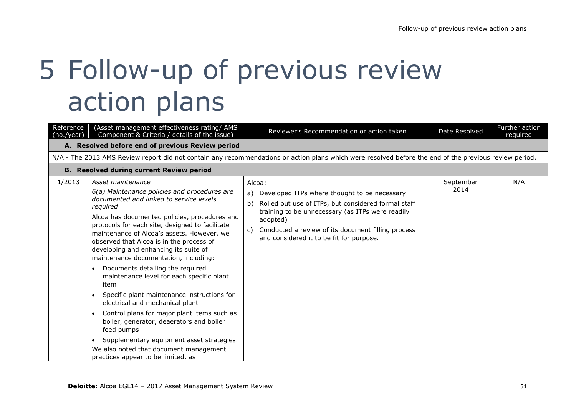# 5 Follow-up of previous review action plans

| Reference<br>(no./year) | (Asset management effectiveness rating/ AMS<br>Component & Criteria / details of the issue)                                                                                                                                                                                                                                                                                                                                                                                                                                                                                                                                                                                                                                                                                                                                                         | Reviewer's Recommendation or action taken                                                                                                                                                                                                                                                         | Date Resolved     | Further action<br>required |  |
|-------------------------|-----------------------------------------------------------------------------------------------------------------------------------------------------------------------------------------------------------------------------------------------------------------------------------------------------------------------------------------------------------------------------------------------------------------------------------------------------------------------------------------------------------------------------------------------------------------------------------------------------------------------------------------------------------------------------------------------------------------------------------------------------------------------------------------------------------------------------------------------------|---------------------------------------------------------------------------------------------------------------------------------------------------------------------------------------------------------------------------------------------------------------------------------------------------|-------------------|----------------------------|--|
|                         | A. Resolved before end of previous Review period                                                                                                                                                                                                                                                                                                                                                                                                                                                                                                                                                                                                                                                                                                                                                                                                    |                                                                                                                                                                                                                                                                                                   |                   |                            |  |
|                         |                                                                                                                                                                                                                                                                                                                                                                                                                                                                                                                                                                                                                                                                                                                                                                                                                                                     | N/A - The 2013 AMS Review report did not contain any recommendations or action plans which were resolved before the end of the previous review period.                                                                                                                                            |                   |                            |  |
|                         | <b>B. Resolved during current Review period</b>                                                                                                                                                                                                                                                                                                                                                                                                                                                                                                                                                                                                                                                                                                                                                                                                     |                                                                                                                                                                                                                                                                                                   |                   |                            |  |
| 1/2013                  | Asset maintenance<br>6(a) Maintenance policies and procedures are<br>documented and linked to service levels<br>required<br>Alcoa has documented policies, procedures and<br>protocols for each site, designed to facilitate<br>maintenance of Alcoa's assets. However, we<br>observed that Alcoa is in the process of<br>developing and enhancing its suite of<br>maintenance documentation, including:<br>Documents detailing the required<br>maintenance level for each specific plant<br>item<br>Specific plant maintenance instructions for<br>electrical and mechanical plant<br>Control plans for major plant items such as<br>$\bullet$<br>boiler, generator, deaerators and boiler<br>feed pumps<br>Supplementary equipment asset strategies.<br>$\bullet$<br>We also noted that document management<br>practices appear to be limited, as | Alcoa:<br>Developed ITPs where thought to be necessary<br>a)<br>Rolled out use of ITPs, but considered formal staff<br>b)<br>training to be unnecessary (as ITPs were readily<br>adopted)<br>Conducted a review of its document filling process<br>C)<br>and considered it to be fit for purpose. | September<br>2014 | N/A                        |  |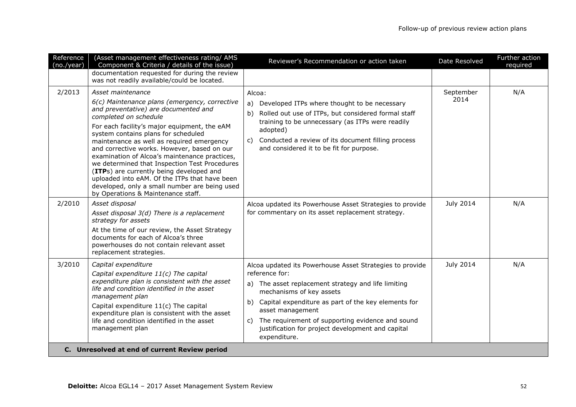| Reference<br>(no./year) | (Asset management effectiveness rating/ AMS<br>Component & Criteria / details of the issue)                                                                                                                                                                                                                                                                                                                                                                                                                                                                                                                  | Reviewer's Recommendation or action taken                                                                                                                                                                                                                                                                                                                                     | Date Resolved     | Further action<br>required |
|-------------------------|--------------------------------------------------------------------------------------------------------------------------------------------------------------------------------------------------------------------------------------------------------------------------------------------------------------------------------------------------------------------------------------------------------------------------------------------------------------------------------------------------------------------------------------------------------------------------------------------------------------|-------------------------------------------------------------------------------------------------------------------------------------------------------------------------------------------------------------------------------------------------------------------------------------------------------------------------------------------------------------------------------|-------------------|----------------------------|
|                         | documentation requested for during the review<br>was not readily available/could be located.                                                                                                                                                                                                                                                                                                                                                                                                                                                                                                                 |                                                                                                                                                                                                                                                                                                                                                                               |                   |                            |
| 2/2013                  | Asset maintenance<br>6(c) Maintenance plans (emergency, corrective<br>and preventative) are documented and<br>completed on schedule<br>For each facility's major equipment, the eAM<br>system contains plans for scheduled<br>maintenance as well as required emergency<br>and corrective works. However, based on our<br>examination of Alcoa's maintenance practices,<br>we determined that Inspection Test Procedures<br>(ITPs) are currently being developed and<br>uploaded into eAM. Of the ITPs that have been<br>developed, only a small number are being used<br>by Operations & Maintenance staff. | Alcoa:<br>Developed ITPs where thought to be necessary<br>a)<br>b)<br>Rolled out use of ITPs, but considered formal staff<br>training to be unnecessary (as ITPs were readily<br>adopted)<br>Conducted a review of its document filling process<br>C)<br>and considered it to be fit for purpose.                                                                             | September<br>2014 | N/A                        |
| 2/2010                  | Asset disposal<br>Asset disposal 3(d) There is a replacement<br>strategy for assets<br>At the time of our review, the Asset Strategy<br>documents for each of Alcoa's three<br>powerhouses do not contain relevant asset<br>replacement strategies.                                                                                                                                                                                                                                                                                                                                                          | Alcoa updated its Powerhouse Asset Strategies to provide<br>for commentary on its asset replacement strategy.                                                                                                                                                                                                                                                                 | July 2014         | N/A                        |
| 3/2010                  | Capital expenditure<br>Capital expenditure 11(c) The capital<br>expenditure plan is consistent with the asset<br>life and condition identified in the asset<br>management plan<br>Capital expenditure 11(c) The capital<br>expenditure plan is consistent with the asset<br>life and condition identified in the asset<br>management plan                                                                                                                                                                                                                                                                    | Alcoa updated its Powerhouse Asset Strategies to provide<br>reference for:<br>a) The asset replacement strategy and life limiting<br>mechanisms of key assets<br>Capital expenditure as part of the key elements for<br>b)<br>asset management<br>The requirement of supporting evidence and sound<br>C)<br>justification for project development and capital<br>expenditure. | July 2014         | N/A                        |
|                         | C. Unresolved at end of current Review period                                                                                                                                                                                                                                                                                                                                                                                                                                                                                                                                                                |                                                                                                                                                                                                                                                                                                                                                                               |                   |                            |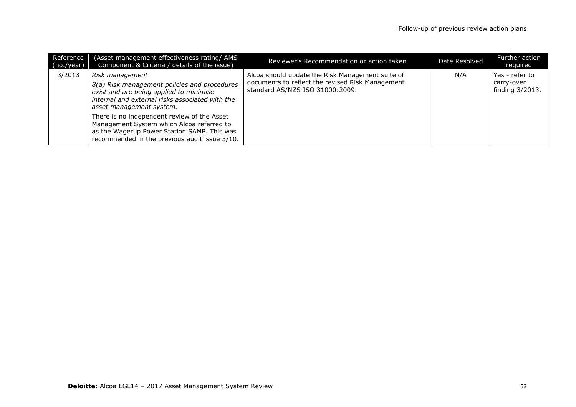| Reference<br>(no./year) | (Asset management effectiveness rating/ AMS)<br>Component & Criteria / details of the issue)                                                                                              | Reviewer's Recommendation or action taken                                                                                               | Date Resolved | Further action<br>reguired                      |
|-------------------------|-------------------------------------------------------------------------------------------------------------------------------------------------------------------------------------------|-----------------------------------------------------------------------------------------------------------------------------------------|---------------|-------------------------------------------------|
| 3/2013                  | Risk management<br>8(a) Risk management policies and procedures<br>exist and are being applied to minimise<br>internal and external risks associated with the<br>asset management system. | Alcoa should update the Risk Management suite of<br>documents to reflect the revised Risk Management<br>standard AS/NZS ISO 31000:2009. | N/A           | Yes - refer to<br>carry-over<br>finding 3/2013. |
|                         | There is no independent review of the Asset<br>Management System which Alcoa referred to<br>as the Wagerup Power Station SAMP. This was<br>recommended in the previous audit issue 3/10.  |                                                                                                                                         |               |                                                 |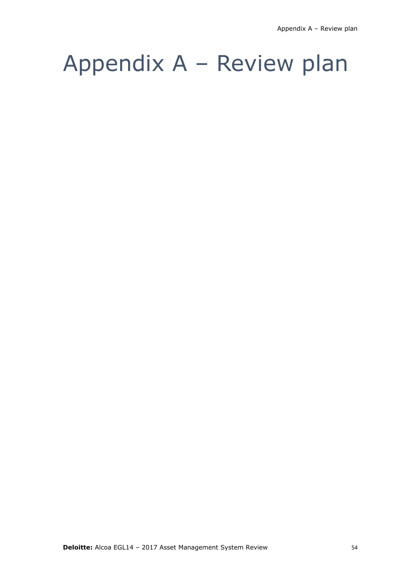### Appendix A – Review plan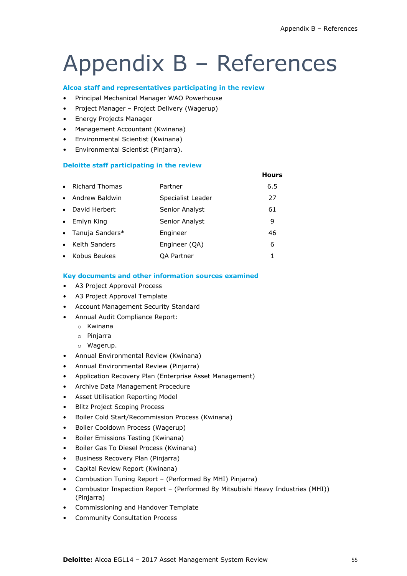**Hours**

### Appendix B – References

#### **Alcoa staff and representatives participating in the review**

- Principal Mechanical Manager WAO Powerhouse
- Project Manager Project Delivery (Wagerup)
- Energy Projects Manager
- Management Accountant (Kwinana)
- Environmental Scientist (Kwinana)
- Environmental Scientist (Pinjarra).

#### **Deloitte staff participating in the review**

| $\bullet$ | <b>Richard Thomas</b> | Partner           | 6.5 |
|-----------|-----------------------|-------------------|-----|
| $\bullet$ | Andrew Baldwin        | Specialist Leader | 27  |
| $\bullet$ | David Herbert         | Senior Analyst    | 61  |
| $\bullet$ | Emlyn King            | Senior Analyst    | 9   |
|           | • Tanuja Sanders*     | Engineer          | 46  |
| $\bullet$ | Keith Sanders         | Engineer (QA)     | 6   |
| $\bullet$ | Kobus Beukes          | QA Partner        |     |

#### **Key documents and other information sources examined**

- A3 Project Approval Process
- A3 Project Approval Template
- Account Management Security Standard
- Annual Audit Compliance Report:
	- o Kwinana
	- o Pinjarra
	- o Wagerup.
- Annual Environmental Review (Kwinana)
- Annual Environmental Review (Pinjarra)
- Application Recovery Plan (Enterprise Asset Management)
- Archive Data Management Procedure
- Asset Utilisation Reporting Model
- **Blitz Project Scoping Process**
- Boiler Cold Start/Recommission Process (Kwinana)
- Boiler Cooldown Process (Wagerup)
- Boiler Emissions Testing (Kwinana)
- Boiler Gas To Diesel Process (Kwinana)
- Business Recovery Plan (Pinjarra)
- Capital Review Report (Kwinana)
- Combustion Tuning Report (Performed By MHI) Pinjarra)
- Combustor Inspection Report (Performed By Mitsubishi Heavy Industries (MHI)) (Pinjarra)
- Commissioning and Handover Template
- Community Consultation Process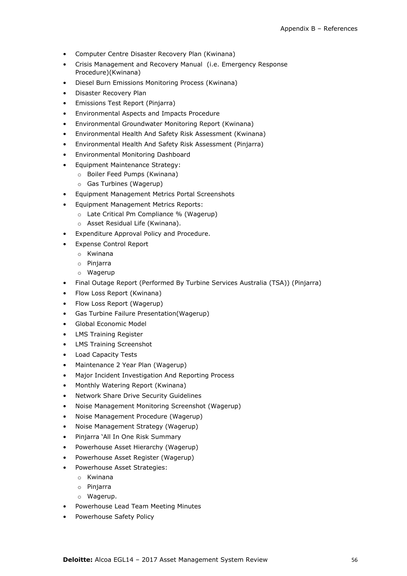- Computer Centre Disaster Recovery Plan (Kwinana)
- Crisis Management and Recovery Manual (i.e. Emergency Response Procedure)(Kwinana)
- Diesel Burn Emissions Monitoring Process (Kwinana)
- Disaster Recovery Plan
- Emissions Test Report (Pinjarra)
- Environmental Aspects and Impacts Procedure
- Environmental Groundwater Monitoring Report (Kwinana)
- Environmental Health And Safety Risk Assessment (Kwinana)
- Environmental Health And Safety Risk Assessment (Pinjarra)
- Environmental Monitoring Dashboard
- Equipment Maintenance Strategy:
	- o Boiler Feed Pumps (Kwinana)
	- o Gas Turbines (Wagerup)
- Equipment Management Metrics Portal Screenshots
- Equipment Management Metrics Reports:
	- o Late Critical Pm Compliance % (Wagerup)
		- o Asset Residual Life (Kwinana).
- Expenditure Approval Policy and Procedure.
- Expense Control Report
	- o Kwinana
	- o Pinjarra
	- o Wagerup
- Final Outage Report (Performed By Turbine Services Australia (TSA)) (Pinjarra)
- Flow Loss Report (Kwinana)
- Flow Loss Report (Wagerup)
- Gas Turbine Failure Presentation(Wagerup)
- Global Economic Model
- LMS Training Register
- LMS Training Screenshot
- Load Capacity Tests
- Maintenance 2 Year Plan (Wagerup)
- Major Incident Investigation And Reporting Process
- Monthly Watering Report (Kwinana)
- Network Share Drive Security Guidelines
- Noise Management Monitoring Screenshot (Wagerup)
- Noise Management Procedure (Wagerup)
- Noise Management Strategy (Wagerup)
- Pinjarra 'All In One Risk Summary
- Powerhouse Asset Hierarchy (Wagerup)
- Powerhouse Asset Register (Wagerup)
- Powerhouse Asset Strategies:
	- o Kwinana
	- o Pinjarra
	- o Wagerup.
- Powerhouse Lead Team Meeting Minutes
- Powerhouse Safety Policy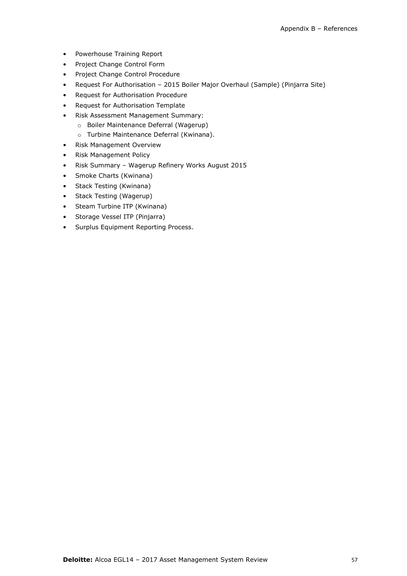- Powerhouse Training Report
- Project Change Control Form
- Project Change Control Procedure
- Request For Authorisation 2015 Boiler Major Overhaul (Sample) (Pinjarra Site)
- Request for Authorisation Procedure
- Request for Authorisation Template
- Risk Assessment Management Summary:
	- o Boiler Maintenance Deferral (Wagerup)
	- o Turbine Maintenance Deferral (Kwinana).
- Risk Management Overview
- Risk Management Policy
- Risk Summary Wagerup Refinery Works August 2015
- Smoke Charts (Kwinana)
- Stack Testing (Kwinana)
- Stack Testing (Wagerup)
- Steam Turbine ITP (Kwinana)
- Storage Vessel ITP (Pinjarra)
- Surplus Equipment Reporting Process.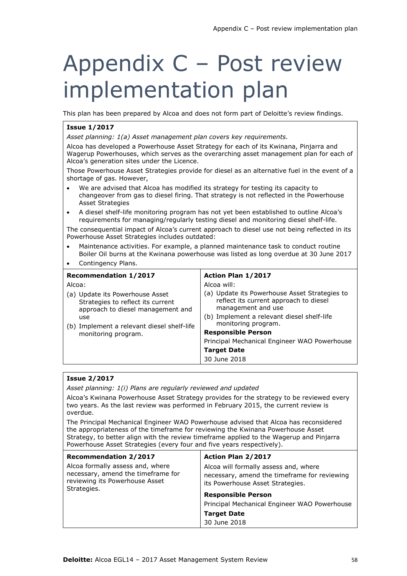### Appendix C – Post review implementation plan

This plan has been prepared by Alcoa and does not form part of Deloitte's review findings.

#### **Issue 1/2017**

*Asset planning: 1(a) Asset management plan covers key requirements.*

Alcoa has developed a Powerhouse Asset Strategy for each of its Kwinana, Pinjarra and Wagerup Powerhouses, which serves as the overarching asset management plan for each of Alcoa's generation sites under the Licence.

Those Powerhouse Asset Strategies provide for diesel as an alternative fuel in the event of a shortage of gas. However,

- We are advised that Alcoa has modified its strategy for testing its capacity to changeover from gas to diesel firing. That strategy is not reflected in the Powerhouse Asset Strategies
- A diesel shelf-life monitoring program has not yet been established to outline Alcoa's requirements for managing/regularly testing diesel and monitoring diesel shelf-life.

The consequential impact of Alcoa's current approach to diesel use not being reflected in its Powerhouse Asset Strategies includes outdated:

- Maintenance activities. For example, a planned maintenance task to conduct routine Boiler Oil burns at the Kwinana powerhouse was listed as long overdue at 30 June 2017
- Contingency Plans.

| <b>Recommendation 1/2017</b>                                                                              | Action Plan 1/2017                                                                                            |
|-----------------------------------------------------------------------------------------------------------|---------------------------------------------------------------------------------------------------------------|
| Alcoa:                                                                                                    | Alcoa will:                                                                                                   |
| (a) Update its Powerhouse Asset<br>Strategies to reflect its current<br>approach to diesel management and | (a) Update its Powerhouse Asset Strategies to<br>reflect its current approach to diesel<br>management and use |
| use                                                                                                       | (b) Implement a relevant diesel shelf-life<br>monitoring program.                                             |
| (b) Implement a relevant diesel shelf-life                                                                | <b>Responsible Person</b>                                                                                     |
| monitoring program.                                                                                       |                                                                                                               |
|                                                                                                           | Principal Mechanical Engineer WAO Powerhouse                                                                  |
|                                                                                                           | <b>Target Date</b>                                                                                            |
|                                                                                                           | 30 June 2018                                                                                                  |

#### **Issue 2/2017**

*Asset planning: 1(i) Plans are regularly reviewed and updated*

Alcoa's Kwinana Powerhouse Asset Strategy provides for the strategy to be reviewed every two years. As the last review was performed in February 2015, the current review is overdue.

The Principal Mechanical Engineer WAO Powerhouse advised that Alcoa has reconsidered the appropriateness of the timeframe for reviewing the Kwinana Powerhouse Asset Strategy, to better align with the review timeframe applied to the Wagerup and Pinjarra Powerhouse Asset Strategies (every four and five years respectively).

| <b>Recommendation 2/2017</b>                                                                                            | Action Plan 2/2017                                                                                                        |
|-------------------------------------------------------------------------------------------------------------------------|---------------------------------------------------------------------------------------------------------------------------|
| Alcoa formally assess and, where<br>necessary, amend the timeframe for<br>reviewing its Powerhouse Asset<br>Strategies. | Alcoa will formally assess and, where<br>necessary, amend the timeframe for reviewing<br>its Powerhouse Asset Strategies. |
|                                                                                                                         | <b>Responsible Person</b>                                                                                                 |
|                                                                                                                         | Principal Mechanical Engineer WAO Powerhouse                                                                              |
|                                                                                                                         | <b>Target Date</b>                                                                                                        |
|                                                                                                                         | 30 June 2018                                                                                                              |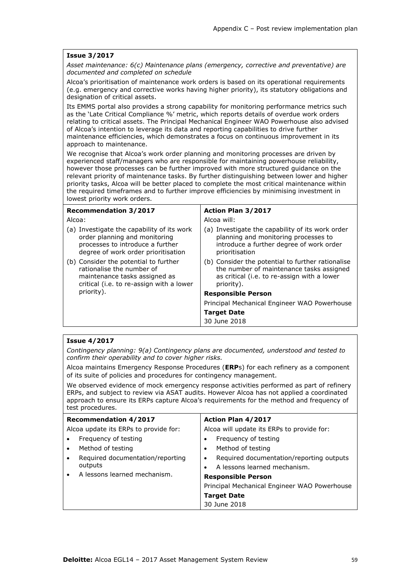#### **Issue 3/2017**

*Asset maintenance: 6(c) Maintenance plans (emergency, corrective and preventative) are documented and completed on schedule* 

Alcoa's prioritisation of maintenance work orders is based on its operational requirements (e.g. emergency and corrective works having higher priority), its statutory obligations and designation of critical assets.

Its EMMS portal also provides a strong capability for monitoring performance metrics such as the 'Late Critical Compliance %' metric, which reports details of overdue work orders relating to critical assets. The Principal Mechanical Engineer WAO Powerhouse also advised of Alcoa's intention to leverage its data and reporting capabilities to drive further maintenance efficiencies, which demonstrates a focus on continuous improvement in its approach to maintenance.

We recognise that Alcoa's work order planning and monitoring processes are driven by experienced staff/managers who are responsible for maintaining powerhouse reliability, however those processes can be further improved with more structured guidance on the relevant priority of maintenance tasks. By further distinguishing between lower and higher priority tasks, Alcoa will be better placed to complete the most critical maintenance within the required timeframes and to further improve efficiencies by minimising investment in lowest priority work orders.

| <b>Recommendation 3/2017</b>                                                                                                                           | Action Plan 3/2017                                                                                                                                         |  |  |
|--------------------------------------------------------------------------------------------------------------------------------------------------------|------------------------------------------------------------------------------------------------------------------------------------------------------------|--|--|
| Alcoa:                                                                                                                                                 | Alcoa will:                                                                                                                                                |  |  |
| (a) Investigate the capability of its work<br>order planning and monitoring<br>processes to introduce a further<br>degree of work order prioritisation | (a) Investigate the capability of its work order<br>planning and monitoring processes to<br>introduce a further degree of work order<br>prioritisation     |  |  |
| (b) Consider the potential to further<br>rationalise the number of<br>maintenance tasks assigned as<br>critical (i.e. to re-assign with a lower        | (b) Consider the potential to further rationalise<br>the number of maintenance tasks assigned<br>as critical (i.e. to re-assign with a lower<br>priority). |  |  |
| priority).                                                                                                                                             | <b>Responsible Person</b>                                                                                                                                  |  |  |
|                                                                                                                                                        | Principal Mechanical Engineer WAO Powerhouse                                                                                                               |  |  |
|                                                                                                                                                        | <b>Target Date</b>                                                                                                                                         |  |  |
|                                                                                                                                                        | 30 June 2018                                                                                                                                               |  |  |

#### **Issue 4/2017**

*Contingency planning: 9(a) Contingency plans are documented, understood and tested to confirm their operability and to cover higher risks.*

Alcoa maintains Emergency Response Procedures (**ERP**s) for each refinery as a component of its suite of policies and procedures for contingency management.

We observed evidence of mock emergency response activities performed as part of refinery ERPs, and subject to review via ASAT audits. However Alcoa has not applied a coordinated approach to ensure its ERPs capture Alcoa's requirements for the method and frequency of test procedures.

| <b>Recommendation 4/2017</b>                              | Action Plan 4/2017                           |  |
|-----------------------------------------------------------|----------------------------------------------|--|
| Alcoa update its ERPs to provide for:                     | Alcoa will update its ERPs to provide for:   |  |
| Frequency of testing<br>Frequency of testing              |                                              |  |
| Method of testing<br>Method of testing<br>$\bullet$<br>٠  |                                              |  |
| Required documentation/reporting<br>$\bullet$             | Required documentation/reporting outputs     |  |
| outputs                                                   | A lessons learned mechanism.                 |  |
| A lessons learned mechanism.<br><b>Responsible Person</b> |                                              |  |
|                                                           | Principal Mechanical Engineer WAO Powerhouse |  |
| <b>Target Date</b>                                        |                                              |  |
| 30 June 2018                                              |                                              |  |